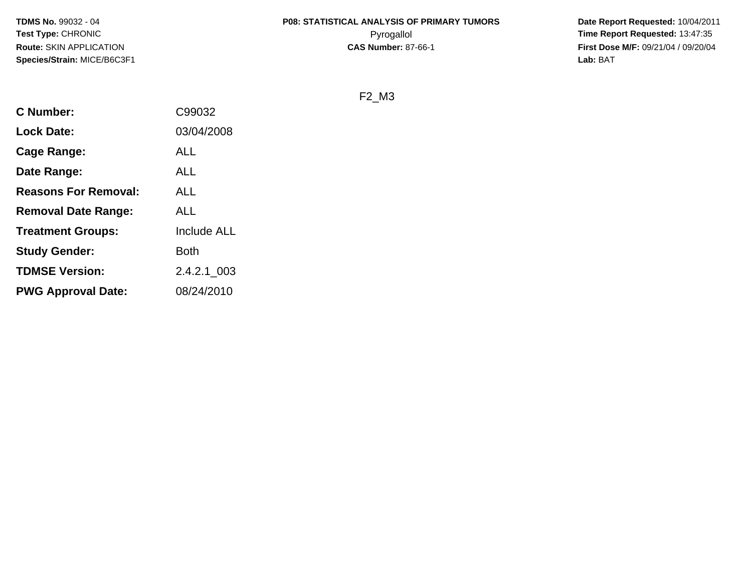# **P08: STATISTICAL ANALYSIS OF PRIMARY TUMORS**

 **Date Report Requested:** 10/04/2011 Pyrogallol **Time Report Requested:** 13:47:35 **First Dose M/F:** 09/21/04 / 09/20/04<br>Lab: BAT **Lab:** BAT

F2\_M3

| <b>C</b> Number:            | C99032      |
|-----------------------------|-------------|
| <b>Lock Date:</b>           | 03/04/2008  |
| <b>Cage Range:</b>          | <b>ALL</b>  |
| Date Range:                 | ALL         |
| <b>Reasons For Removal:</b> | <b>ALL</b>  |
| <b>Removal Date Range:</b>  | <b>ALL</b>  |
| <b>Treatment Groups:</b>    | Include ALL |
| <b>Study Gender:</b>        | Both        |
| <b>TDMSE Version:</b>       | 2.4.2.1 003 |
| <b>PWG Approval Date:</b>   | 08/24/2010  |
|                             |             |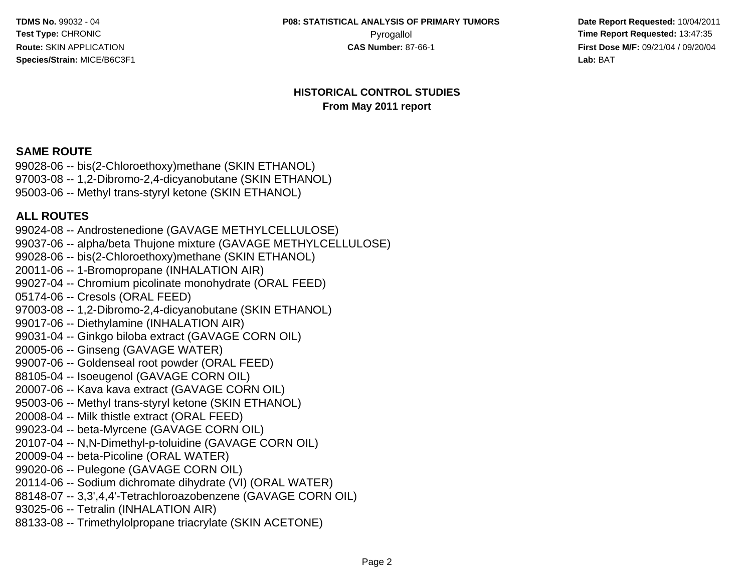**Date Report Requested:** 10/04/2011 Pyrogallol **Pyrogallol Pyrogallol Time Report Requested:** 13:47:35<br>**CAS Number:** 87-66-1 **Time Report Requested:** 13:47:35 **First Dose M/F:** 09/21/04 / 09/20/04<br>**Lab:** BAT **Lab:** BAT

#### **HISTORICAL CONTROL STUDIESFrom May 2011 report**

# **SAME ROUTE**

 99028-06 -- bis(2-Chloroethoxy)methane (SKIN ETHANOL) 97003-08 -- 1,2-Dibromo-2,4-dicyanobutane (SKIN ETHANOL)95003-06 -- Methyl trans-styryl ketone (SKIN ETHANOL)

# **ALL ROUTES**

 99024-08 -- Androstenedione (GAVAGE METHYLCELLULOSE) 99037-06 -- alpha/beta Thujone mixture (GAVAGE METHYLCELLULOSE)99028-06 -- bis(2-Chloroethoxy)methane (SKIN ETHANOL)20011-06 -- 1-Bromopropane (INHALATION AIR) 99027-04 -- Chromium picolinate monohydrate (ORAL FEED)05174-06 -- Cresols (ORAL FEED) 97003-08 -- 1,2-Dibromo-2,4-dicyanobutane (SKIN ETHANOL)99017-06 -- Diethylamine (INHALATION AIR) 99031-04 -- Ginkgo biloba extract (GAVAGE CORN OIL)20005-06 -- Ginseng (GAVAGE WATER) 99007-06 -- Goldenseal root powder (ORAL FEED)88105-04 -- Isoeugenol (GAVAGE CORN OIL) 20007-06 -- Kava kava extract (GAVAGE CORN OIL) 95003-06 -- Methyl trans-styryl ketone (SKIN ETHANOL)20008-04 -- Milk thistle extract (ORAL FEED) 99023-04 -- beta-Myrcene (GAVAGE CORN OIL) 20107-04 -- N,N-Dimethyl-p-toluidine (GAVAGE CORN OIL)20009-04 -- beta-Picoline (ORAL WATER) 99020-06 -- Pulegone (GAVAGE CORN OIL) 20114-06 -- Sodium dichromate dihydrate (VI) (ORAL WATER) 88148-07 -- 3,3',4,4'-Tetrachloroazobenzene (GAVAGE CORN OIL)93025-06 -- Tetralin (INHALATION AIR)88133-08 -- Trimethylolpropane triacrylate (SKIN ACETONE)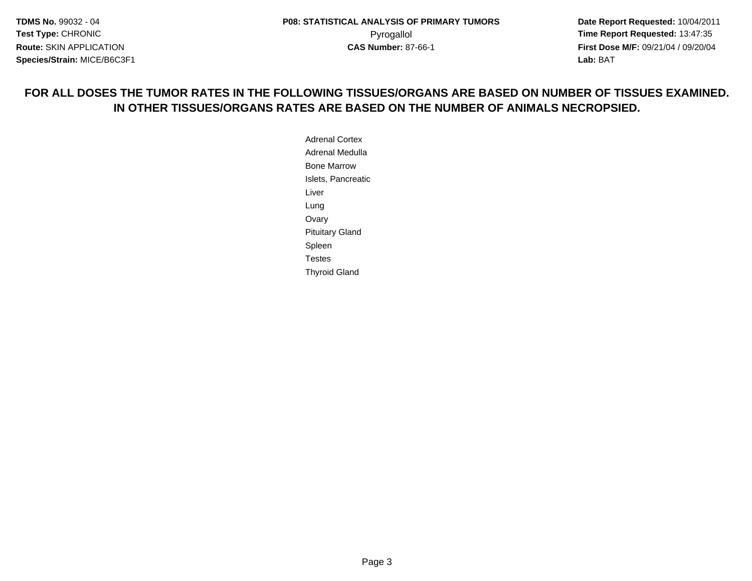**Date Report Requested:** 10/04/2011 **First Dose M/F:** 09/21/04 / 09/20/04<br>**Lab:** BAT **Lab:** BAT

# **FOR ALL DOSES THE TUMOR RATES IN THE FOLLOWING TISSUES/ORGANS ARE BASED ON NUMBER OF TISSUES EXAMINED.IN OTHER TISSUES/ORGANS RATES ARE BASED ON THE NUMBER OF ANIMALS NECROPSIED.**

Adrenal Cortex Adrenal MedullaBone Marrow Islets, PancreaticLiverLung Ovary Pituitary GlandSpleen TestesThyroid Gland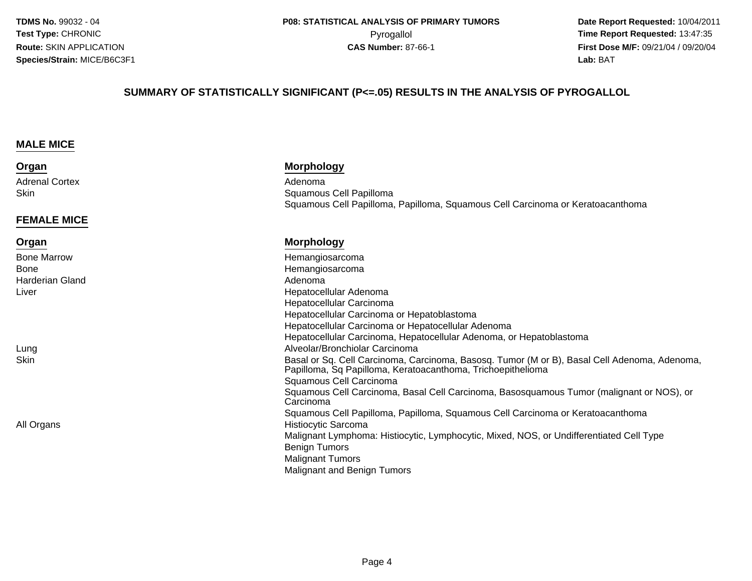**Date Report Requested:** 10/04/2011 Pyrogallol **Time Report Requested:** 13:47:35 **First Dose M/F:** 09/21/04 / 09/20/04<br>**Lab:** BAT **Lab:** BAT

#### **SUMMARY OF STATISTICALLY SIGNIFICANT (P<=.05) RESULTS IN THE ANALYSIS OF PYROGALLOL**

#### **MALE MICE**

#### **Organ**

Adrenal Cortex**Skin** 

#### **FEMALE MICE**

#### **Organ**

Bone MarrowBoneHarderian GlandLiver

LungSkin

All Organs

#### **Morphology**

x Adenoma n and Squamous Cell Papilloma<br>External Squamous Cell Papilloma Squamous Cell Papilloma, Papilloma, Squamous Cell Carcinoma or Keratoacanthoma

#### **Morphology**

 Hemangiosarcoma Hemangiosarcoma Adenoma Hepatocellular Adenoma Hepatocellular Carcinoma Hepatocellular Carcinoma or Hepatoblastoma Hepatocellular Carcinoma or Hepatocellular Adenoma Hepatocellular Carcinoma, Hepatocellular Adenoma, or Hepatoblastoma Alveolar/Bronchiolar Carcinoma Basal or Sq. Cell Carcinoma, Carcinoma, Basosq. Tumor (M or B), Basal Cell Adenoma, Adenoma, Papilloma, Sq Papilloma, Keratoacanthoma, TrichoepitheliomaSquamous Cell Carcinoma Squamous Cell Carcinoma, Basal Cell Carcinoma, Basosquamous Tumor (malignant or NOS), orCarcinoma Squamous Cell Papilloma, Papilloma, Squamous Cell Carcinoma or Keratoacanthoma Histiocytic Sarcoma Malignant Lymphoma: Histiocytic, Lymphocytic, Mixed, NOS, or Undifferentiated Cell TypeBenign Tumors Malignant TumorsMalignant and Benign Tumors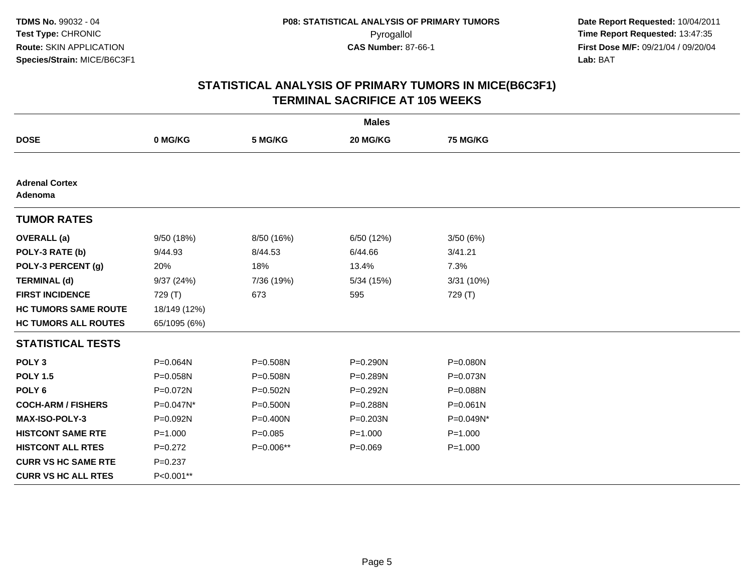|                                  |              |              | <b>Males</b> |              |  |
|----------------------------------|--------------|--------------|--------------|--------------|--|
| <b>DOSE</b>                      | 0 MG/KG      | 5 MG/KG      | 20 MG/KG     | 75 MG/KG     |  |
|                                  |              |              |              |              |  |
| <b>Adrenal Cortex</b><br>Adenoma |              |              |              |              |  |
| <b>TUMOR RATES</b>               |              |              |              |              |  |
| <b>OVERALL</b> (a)               | 9/50 (18%)   | 8/50 (16%)   | 6/50 (12%)   | 3/50(6%)     |  |
| POLY-3 RATE (b)                  | 9/44.93      | 8/44.53      | 6/44.66      | 3/41.21      |  |
| POLY-3 PERCENT (g)               | 20%          | 18%          | 13.4%        | 7.3%         |  |
| <b>TERMINAL (d)</b>              | 9/37(24%)    | 7/36 (19%)   | 5/34(15%)    | 3/31 (10%)   |  |
| <b>FIRST INCIDENCE</b>           | 729 (T)      | 673          | 595          | 729 (T)      |  |
| <b>HC TUMORS SAME ROUTE</b>      | 18/149 (12%) |              |              |              |  |
| <b>HC TUMORS ALL ROUTES</b>      | 65/1095 (6%) |              |              |              |  |
| <b>STATISTICAL TESTS</b>         |              |              |              |              |  |
| POLY <sub>3</sub>                | P=0.064N     | P=0.508N     | $P = 0.290N$ | P=0.080N     |  |
| <b>POLY 1.5</b>                  | P=0.058N     | P=0.508N     | P=0.289N     | P=0.073N     |  |
| POLY <sub>6</sub>                | P=0.072N     | P=0.502N     | P=0.292N     | P=0.088N     |  |
| <b>COCH-ARM / FISHERS</b>        | P=0.047N*    | $P = 0.500N$ | P=0.288N     | $P = 0.061N$ |  |
| <b>MAX-ISO-POLY-3</b>            | P=0.092N     | P=0.400N     | P=0.203N     | P=0.049N*    |  |
| <b>HISTCONT SAME RTE</b>         | $P = 1.000$  | $P = 0.085$  | $P = 1.000$  | $P = 1.000$  |  |
| <b>HISTCONT ALL RTES</b>         | $P=0.272$    | P=0.006**    | $P = 0.069$  | $P = 1.000$  |  |
| <b>CURR VS HC SAME RTE</b>       | $P = 0.237$  |              |              |              |  |
| <b>CURR VS HC ALL RTES</b>       | P<0.001**    |              |              |              |  |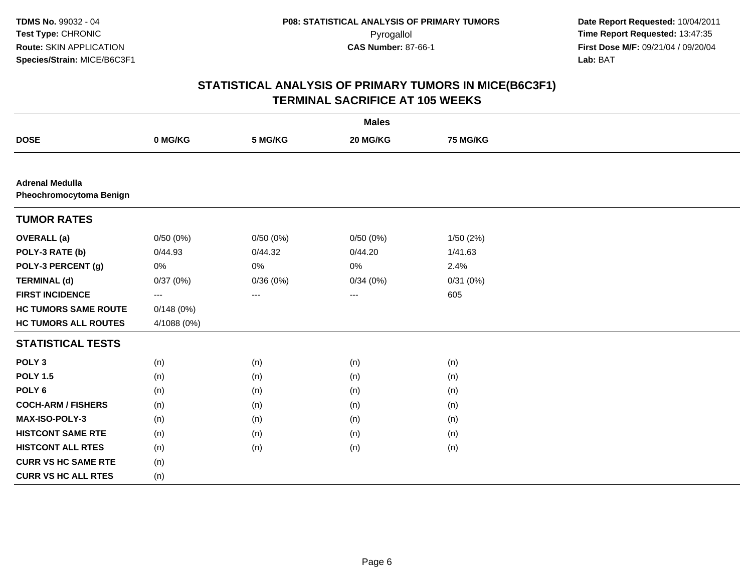|                                                   |             |          | <b>Males</b> |                 |  |
|---------------------------------------------------|-------------|----------|--------------|-----------------|--|
| <b>DOSE</b>                                       | 0 MG/KG     | 5 MG/KG  | 20 MG/KG     | <b>75 MG/KG</b> |  |
|                                                   |             |          |              |                 |  |
| <b>Adrenal Medulla</b><br>Pheochromocytoma Benign |             |          |              |                 |  |
| <b>TUMOR RATES</b>                                |             |          |              |                 |  |
| <b>OVERALL</b> (a)                                | 0/50(0%)    | 0/50(0%) | 0/50(0%)     | 1/50 (2%)       |  |
| POLY-3 RATE (b)                                   | 0/44.93     | 0/44.32  | 0/44.20      | 1/41.63         |  |
| POLY-3 PERCENT (g)                                | 0%          | 0%       | 0%           | 2.4%            |  |
| <b>TERMINAL (d)</b>                               | 0/37(0%)    | 0/36(0%) | 0/34(0%)     | 0/31(0%)        |  |
| <b>FIRST INCIDENCE</b>                            | ---         | ---      | ---          | 605             |  |
| <b>HC TUMORS SAME ROUTE</b>                       | 0/148(0%)   |          |              |                 |  |
| <b>HC TUMORS ALL ROUTES</b>                       | 4/1088 (0%) |          |              |                 |  |
| <b>STATISTICAL TESTS</b>                          |             |          |              |                 |  |
| POLY <sub>3</sub>                                 | (n)         | (n)      | (n)          | (n)             |  |
| <b>POLY 1.5</b>                                   | (n)         | (n)      | (n)          | (n)             |  |
| POLY <sub>6</sub>                                 | (n)         | (n)      | (n)          | (n)             |  |
| <b>COCH-ARM / FISHERS</b>                         | (n)         | (n)      | (n)          | (n)             |  |
| MAX-ISO-POLY-3                                    | (n)         | (n)      | (n)          | (n)             |  |
| <b>HISTCONT SAME RTE</b>                          | (n)         | (n)      | (n)          | (n)             |  |
| <b>HISTCONT ALL RTES</b>                          | (n)         | (n)      | (n)          | (n)             |  |
| <b>CURR VS HC SAME RTE</b>                        | (n)         |          |              |                 |  |
| <b>CURR VS HC ALL RTES</b>                        | (n)         |          |              |                 |  |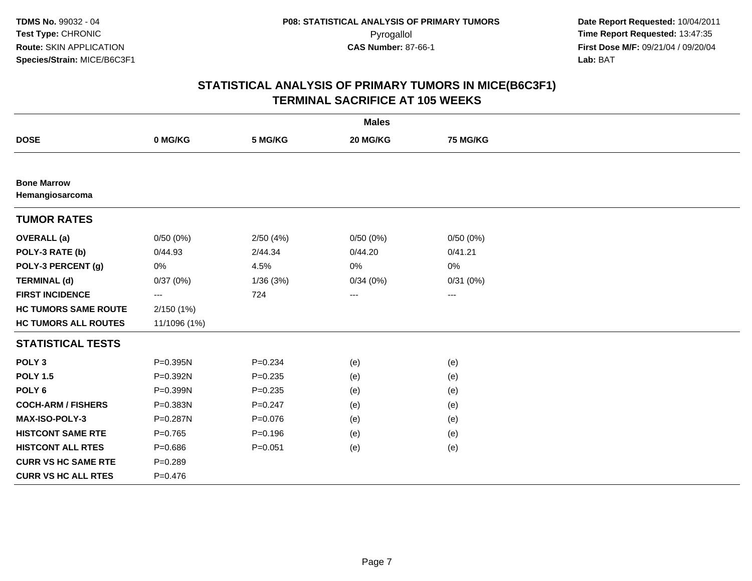|                                       |                   |             | <b>Males</b>           |                 |  |
|---------------------------------------|-------------------|-------------|------------------------|-----------------|--|
| <b>DOSE</b>                           | 0 MG/KG           | 5 MG/KG     | 20 MG/KG               | <b>75 MG/KG</b> |  |
|                                       |                   |             |                        |                 |  |
| <b>Bone Marrow</b><br>Hemangiosarcoma |                   |             |                        |                 |  |
| <b>TUMOR RATES</b>                    |                   |             |                        |                 |  |
| <b>OVERALL</b> (a)                    | 0/50(0%)          | 2/50(4%)    | 0/50(0%)               | 0/50(0%)        |  |
| POLY-3 RATE (b)                       | 0/44.93           | 2/44.34     | 0/44.20                | 0/41.21         |  |
| POLY-3 PERCENT (g)                    | 0%                | 4.5%        | 0%                     | 0%              |  |
| <b>TERMINAL (d)</b>                   | 0/37(0%)          | 1/36(3%)    | 0/34(0%)               | 0/31(0%)        |  |
| <b>FIRST INCIDENCE</b>                | $\qquad \qquad -$ | 724         | $\qquad \qquad \cdots$ | ---             |  |
| <b>HC TUMORS SAME ROUTE</b>           | 2/150(1%)         |             |                        |                 |  |
| <b>HC TUMORS ALL ROUTES</b>           | 11/1096 (1%)      |             |                        |                 |  |
| <b>STATISTICAL TESTS</b>              |                   |             |                        |                 |  |
| POLY <sub>3</sub>                     | P=0.395N          | $P = 0.234$ | (e)                    | (e)             |  |
| <b>POLY 1.5</b>                       | P=0.392N          | $P = 0.235$ | (e)                    | (e)             |  |
| POLY <sub>6</sub>                     | P=0.399N          | $P = 0.235$ | (e)                    | (e)             |  |
| <b>COCH-ARM / FISHERS</b>             | P=0.383N          | $P = 0.247$ | (e)                    | (e)             |  |
| MAX-ISO-POLY-3                        | P=0.287N          | $P = 0.076$ | (e)                    | (e)             |  |
| <b>HISTCONT SAME RTE</b>              | $P=0.765$         | $P = 0.196$ | (e)                    | (e)             |  |
| <b>HISTCONT ALL RTES</b>              | $P = 0.686$       | $P = 0.051$ | (e)                    | (e)             |  |
| <b>CURR VS HC SAME RTE</b>            | $P = 0.289$       |             |                        |                 |  |
| <b>CURR VS HC ALL RTES</b>            | $P = 0.476$       |             |                        |                 |  |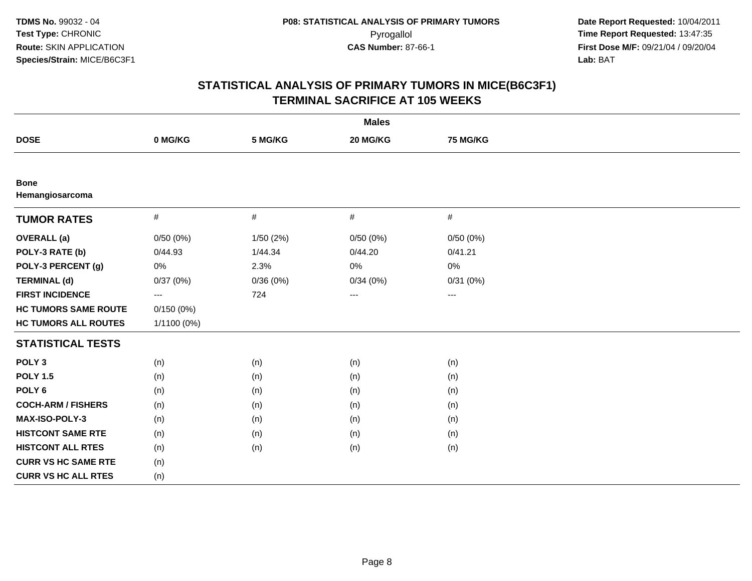| <b>Males</b>                   |             |           |          |          |  |
|--------------------------------|-------------|-----------|----------|----------|--|
| <b>DOSE</b>                    | 0 MG/KG     | 5 MG/KG   | 20 MG/KG | 75 MG/KG |  |
|                                |             |           |          |          |  |
| <b>Bone</b><br>Hemangiosarcoma |             |           |          |          |  |
| <b>TUMOR RATES</b>             | $\#$        | $\#$      | $\#$     | $\#$     |  |
| <b>OVERALL</b> (a)             | 0/50(0%)    | 1/50 (2%) | 0/50(0%) | 0/50(0%) |  |
| POLY-3 RATE (b)                | 0/44.93     | 1/44.34   | 0/44.20  | 0/41.21  |  |
| POLY-3 PERCENT (g)             | 0%          | 2.3%      | 0%       | 0%       |  |
| <b>TERMINAL (d)</b>            | 0/37(0%)    | 0/36(0%)  | 0/34(0%) | 0/31(0%) |  |
| <b>FIRST INCIDENCE</b>         | $---$       | 724       | $\cdots$ | $\cdots$ |  |
| <b>HC TUMORS SAME ROUTE</b>    | 0/150(0%)   |           |          |          |  |
| <b>HC TUMORS ALL ROUTES</b>    | 1/1100 (0%) |           |          |          |  |
| <b>STATISTICAL TESTS</b>       |             |           |          |          |  |
| POLY <sub>3</sub>              | (n)         | (n)       | (n)      | (n)      |  |
| <b>POLY 1.5</b>                | (n)         | (n)       | (n)      | (n)      |  |
| POLY <sub>6</sub>              | (n)         | (n)       | (n)      | (n)      |  |
| <b>COCH-ARM / FISHERS</b>      | (n)         | (n)       | (n)      | (n)      |  |
| MAX-ISO-POLY-3                 | (n)         | (n)       | (n)      | (n)      |  |
| <b>HISTCONT SAME RTE</b>       | (n)         | (n)       | (n)      | (n)      |  |
| <b>HISTCONT ALL RTES</b>       | (n)         | (n)       | (n)      | (n)      |  |
| <b>CURR VS HC SAME RTE</b>     | (n)         |           |          |          |  |
| <b>CURR VS HC ALL RTES</b>     | (n)         |           |          |          |  |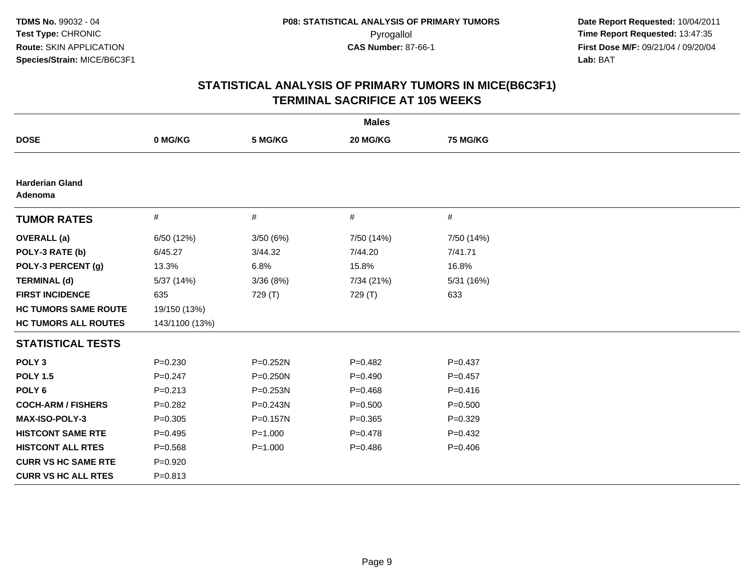|                                   |                |              | <b>Males</b> |                 |
|-----------------------------------|----------------|--------------|--------------|-----------------|
| <b>DOSE</b>                       | 0 MG/KG        | 5 MG/KG      | 20 MG/KG     | <b>75 MG/KG</b> |
|                                   |                |              |              |                 |
| <b>Harderian Gland</b><br>Adenoma |                |              |              |                 |
| <b>TUMOR RATES</b>                | $\#$           | $\#$         | #            | #               |
| <b>OVERALL</b> (a)                | 6/50 (12%)     | 3/50(6%)     | 7/50 (14%)   | 7/50 (14%)      |
| POLY-3 RATE (b)                   | 6/45.27        | 3/44.32      | 7/44.20      | 7/41.71         |
| POLY-3 PERCENT (g)                | 13.3%          | 6.8%         | 15.8%        | 16.8%           |
| <b>TERMINAL (d)</b>               | 5/37 (14%)     | 3/36(8%)     | 7/34 (21%)   | 5/31 (16%)      |
| <b>FIRST INCIDENCE</b>            | 635            | 729 (T)      | 729 (T)      | 633             |
| <b>HC TUMORS SAME ROUTE</b>       | 19/150 (13%)   |              |              |                 |
| <b>HC TUMORS ALL ROUTES</b>       | 143/1100 (13%) |              |              |                 |
| <b>STATISTICAL TESTS</b>          |                |              |              |                 |
| POLY <sub>3</sub>                 | $P = 0.230$    | P=0.252N     | $P=0.482$    | $P=0.437$       |
| <b>POLY 1.5</b>                   | $P = 0.247$    | $P = 0.250N$ | $P=0.490$    | $P = 0.457$     |
| POLY <sub>6</sub>                 | $P = 0.213$    | $P = 0.253N$ | $P=0.468$    | $P=0.416$       |
| <b>COCH-ARM / FISHERS</b>         | $P = 0.282$    | P=0.243N     | $P = 0.500$  | $P = 0.500$     |
| MAX-ISO-POLY-3                    | $P = 0.305$    | P=0.157N     | $P = 0.365$  | $P=0.329$       |
| <b>HISTCONT SAME RTE</b>          | $P=0.495$      | $P = 1.000$  | $P = 0.478$  | $P=0.432$       |
| <b>HISTCONT ALL RTES</b>          | $P = 0.568$    | $P = 1.000$  | $P=0.486$    | $P=0.406$       |
| <b>CURR VS HC SAME RTE</b>        | $P = 0.920$    |              |              |                 |
| <b>CURR VS HC ALL RTES</b>        | $P = 0.813$    |              |              |                 |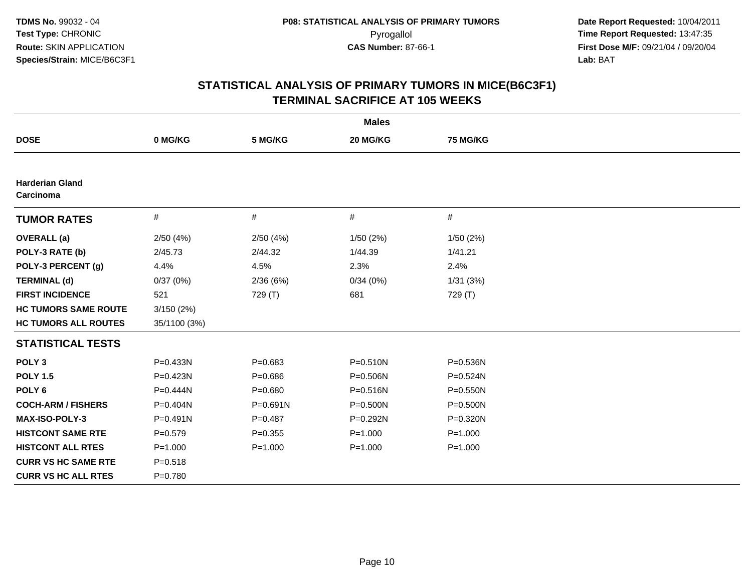| <b>Males</b>                        |              |              |             |                 |  |
|-------------------------------------|--------------|--------------|-------------|-----------------|--|
| <b>DOSE</b>                         | 0 MG/KG      | 5 MG/KG      | 20 MG/KG    | <b>75 MG/KG</b> |  |
|                                     |              |              |             |                 |  |
| <b>Harderian Gland</b><br>Carcinoma |              |              |             |                 |  |
| <b>TUMOR RATES</b>                  | $\#$         | #            | $\#$        | $\#$            |  |
| <b>OVERALL</b> (a)                  | 2/50(4%)     | 2/50(4%)     | 1/50(2%)    | 1/50(2%)        |  |
| POLY-3 RATE (b)                     | 2/45.73      | 2/44.32      | 1/44.39     | 1/41.21         |  |
| POLY-3 PERCENT (g)                  | 4.4%         | 4.5%         | 2.3%        | 2.4%            |  |
| <b>TERMINAL (d)</b>                 | 0/37(0%)     | 2/36(6%)     | 0/34(0%)    | 1/31(3%)        |  |
| <b>FIRST INCIDENCE</b>              | 521          | 729 (T)      | 681         | 729 (T)         |  |
| <b>HC TUMORS SAME ROUTE</b>         | 3/150(2%)    |              |             |                 |  |
| <b>HC TUMORS ALL ROUTES</b>         | 35/1100 (3%) |              |             |                 |  |
| <b>STATISTICAL TESTS</b>            |              |              |             |                 |  |
| POLY <sub>3</sub>                   | P=0.433N     | $P = 0.683$  | P=0.510N    | P=0.536N        |  |
| <b>POLY 1.5</b>                     | P=0.423N     | $P = 0.686$  | P=0.506N    | P=0.524N        |  |
| POLY <sub>6</sub>                   | P=0.444N     | $P = 0.680$  | P=0.516N    | $P = 0.550N$    |  |
| <b>COCH-ARM / FISHERS</b>           | P=0.404N     | $P = 0.691N$ | P=0.500N    | P=0.500N        |  |
| <b>MAX-ISO-POLY-3</b>               | $P=0.491N$   | $P = 0.487$  | P=0.292N    | P=0.320N        |  |
| <b>HISTCONT SAME RTE</b>            | $P=0.579$    | $P = 0.355$  | $P = 1.000$ | $P = 1.000$     |  |
| <b>HISTCONT ALL RTES</b>            | $P = 1.000$  | $P = 1.000$  | $P = 1.000$ | $P = 1.000$     |  |
| <b>CURR VS HC SAME RTE</b>          | $P = 0.518$  |              |             |                 |  |
| <b>CURR VS HC ALL RTES</b>          | $P=0.780$    |              |             |                 |  |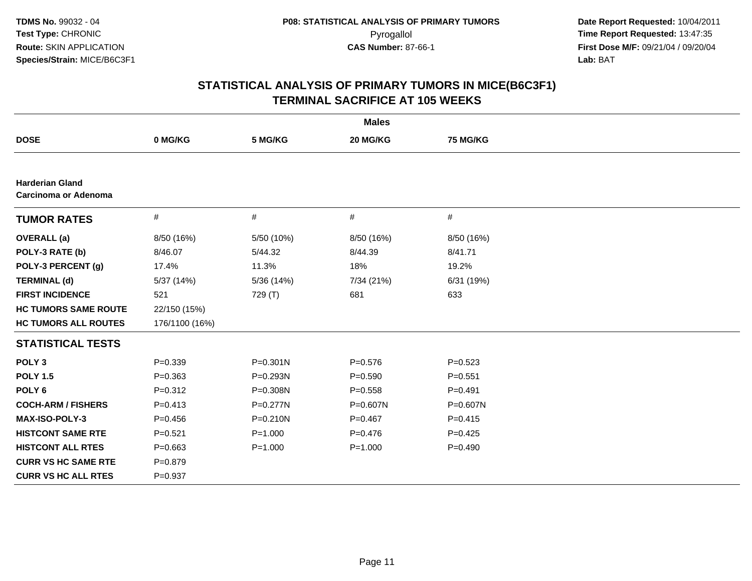| <b>Males</b>                                          |                |              |              |                 |  |  |
|-------------------------------------------------------|----------------|--------------|--------------|-----------------|--|--|
| <b>DOSE</b>                                           | 0 MG/KG        | 5 MG/KG      | 20 MG/KG     | <b>75 MG/KG</b> |  |  |
|                                                       |                |              |              |                 |  |  |
| <b>Harderian Gland</b><br><b>Carcinoma or Adenoma</b> |                |              |              |                 |  |  |
| <b>TUMOR RATES</b>                                    | $\#$           | #            | $\#$         | $\#$            |  |  |
| <b>OVERALL</b> (a)                                    | 8/50 (16%)     | 5/50 (10%)   | 8/50 (16%)   | 8/50 (16%)      |  |  |
| POLY-3 RATE (b)                                       | 8/46.07        | 5/44.32      | 8/44.39      | 8/41.71         |  |  |
| POLY-3 PERCENT (g)                                    | 17.4%          | 11.3%        | 18%          | 19.2%           |  |  |
| <b>TERMINAL (d)</b>                                   | 5/37 (14%)     | 5/36 (14%)   | 7/34 (21%)   | 6/31 (19%)      |  |  |
| <b>FIRST INCIDENCE</b>                                | 521            | 729 (T)      | 681          | 633             |  |  |
| <b>HC TUMORS SAME ROUTE</b>                           | 22/150 (15%)   |              |              |                 |  |  |
| <b>HC TUMORS ALL ROUTES</b>                           | 176/1100 (16%) |              |              |                 |  |  |
| <b>STATISTICAL TESTS</b>                              |                |              |              |                 |  |  |
| POLY <sub>3</sub>                                     | $P = 0.339$    | $P = 0.301N$ | $P = 0.576$  | $P = 0.523$     |  |  |
| <b>POLY 1.5</b>                                       | $P = 0.363$    | P=0.293N     | $P = 0.590$  | $P = 0.551$     |  |  |
| POLY <sub>6</sub>                                     | $P = 0.312$    | P=0.308N     | $P = 0.558$  | $P = 0.491$     |  |  |
| <b>COCH-ARM / FISHERS</b>                             | $P = 0.413$    | $P = 0.277N$ | $P = 0.607N$ | P=0.607N        |  |  |
| MAX-ISO-POLY-3                                        | $P = 0.456$    | P=0.210N     | $P = 0.467$  | $P = 0.415$     |  |  |
| <b>HISTCONT SAME RTE</b>                              | $P = 0.521$    | $P = 1.000$  | $P=0.476$    | $P=0.425$       |  |  |
| <b>HISTCONT ALL RTES</b>                              | $P = 0.663$    | $P = 1.000$  | $P = 1.000$  | $P=0.490$       |  |  |
| <b>CURR VS HC SAME RTE</b>                            | $P = 0.879$    |              |              |                 |  |  |
| <b>CURR VS HC ALL RTES</b>                            | $P=0.937$      |              |              |                 |  |  |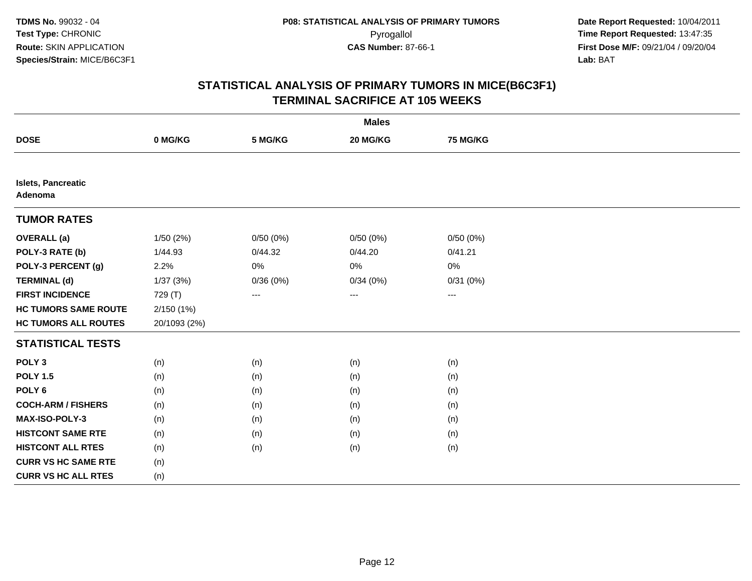|                               |              |          | <b>Males</b>      |                 |  |
|-------------------------------|--------------|----------|-------------------|-----------------|--|
| <b>DOSE</b>                   | 0 MG/KG      | 5 MG/KG  | 20 MG/KG          | <b>75 MG/KG</b> |  |
|                               |              |          |                   |                 |  |
| Islets, Pancreatic<br>Adenoma |              |          |                   |                 |  |
| <b>TUMOR RATES</b>            |              |          |                   |                 |  |
| <b>OVERALL</b> (a)            | 1/50 (2%)    | 0/50(0%) | 0/50(0%)          | 0/50(0%)        |  |
| POLY-3 RATE (b)               | 1/44.93      | 0/44.32  | 0/44.20           | 0/41.21         |  |
| POLY-3 PERCENT (g)            | 2.2%         | $0\%$    | 0%                | 0%              |  |
| <b>TERMINAL (d)</b>           | 1/37(3%)     | 0/36(0%) | 0/34(0%)          | 0/31(0%)        |  |
| <b>FIRST INCIDENCE</b>        | 729 (T)      | $---$    | $\qquad \qquad -$ | $---$           |  |
| <b>HC TUMORS SAME ROUTE</b>   | 2/150(1%)    |          |                   |                 |  |
| <b>HC TUMORS ALL ROUTES</b>   | 20/1093 (2%) |          |                   |                 |  |
| <b>STATISTICAL TESTS</b>      |              |          |                   |                 |  |
| POLY <sub>3</sub>             | (n)          | (n)      | (n)               | (n)             |  |
| <b>POLY 1.5</b>               | (n)          | (n)      | (n)               | (n)             |  |
| POLY <sub>6</sub>             | (n)          | (n)      | (n)               | (n)             |  |
| <b>COCH-ARM / FISHERS</b>     | (n)          | (n)      | (n)               | (n)             |  |
| MAX-ISO-POLY-3                | (n)          | (n)      | (n)               | (n)             |  |
| <b>HISTCONT SAME RTE</b>      | (n)          | (n)      | (n)               | (n)             |  |
| <b>HISTCONT ALL RTES</b>      | (n)          | (n)      | (n)               | (n)             |  |
| <b>CURR VS HC SAME RTE</b>    | (n)          |          |                   |                 |  |
| <b>CURR VS HC ALL RTES</b>    | (n)          |          |                   |                 |  |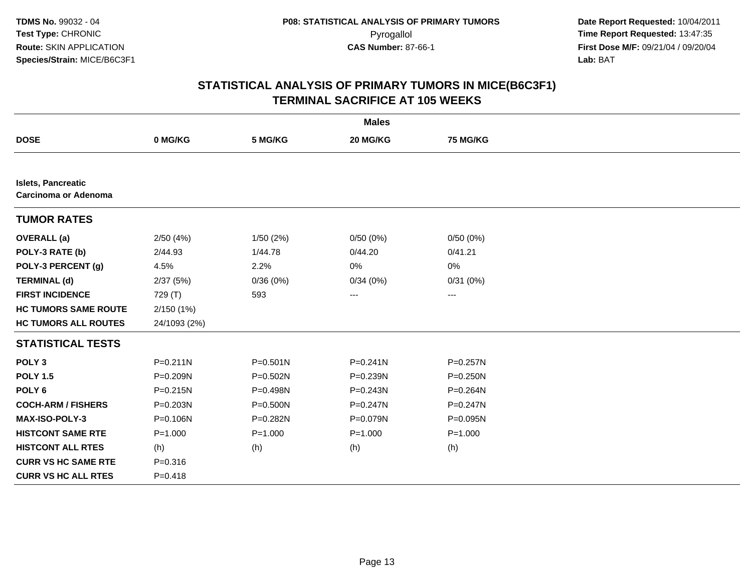|                                                   |              |              | <b>Males</b> |              |  |
|---------------------------------------------------|--------------|--------------|--------------|--------------|--|
| <b>DOSE</b>                                       | 0 MG/KG      | 5 MG/KG      | 20 MG/KG     | 75 MG/KG     |  |
|                                                   |              |              |              |              |  |
| Islets, Pancreatic<br><b>Carcinoma or Adenoma</b> |              |              |              |              |  |
| <b>TUMOR RATES</b>                                |              |              |              |              |  |
| <b>OVERALL</b> (a)                                | 2/50(4%)     | 1/50(2%)     | 0/50(0%)     | 0/50(0%)     |  |
| POLY-3 RATE (b)                                   | 2/44.93      | 1/44.78      | 0/44.20      | 0/41.21      |  |
| POLY-3 PERCENT (g)                                | 4.5%         | 2.2%         | 0%           | 0%           |  |
| <b>TERMINAL (d)</b>                               | 2/37(5%)     | 0/36(0%)     | 0/34(0%)     | 0/31(0%)     |  |
| <b>FIRST INCIDENCE</b>                            | 729 (T)      | 593          | ---          | ---          |  |
| <b>HC TUMORS SAME ROUTE</b>                       | 2/150(1%)    |              |              |              |  |
| <b>HC TUMORS ALL ROUTES</b>                       | 24/1093 (2%) |              |              |              |  |
| <b>STATISTICAL TESTS</b>                          |              |              |              |              |  |
| POLY <sub>3</sub>                                 | $P = 0.211N$ | $P = 0.501N$ | $P = 0.241N$ | $P = 0.257N$ |  |
| <b>POLY 1.5</b>                                   | P=0.209N     | P=0.502N     | P=0.239N     | P=0.250N     |  |
| POLY <sub>6</sub>                                 | $P = 0.215N$ | P=0.498N     | P=0.243N     | P=0.264N     |  |
| <b>COCH-ARM / FISHERS</b>                         | $P = 0.203N$ | $P = 0.500N$ | $P = 0.247N$ | $P = 0.247N$ |  |
| MAX-ISO-POLY-3                                    | P=0.106N     | P=0.282N     | P=0.079N     | P=0.095N     |  |
| <b>HISTCONT SAME RTE</b>                          | $P = 1.000$  | $P = 1.000$  | $P = 1.000$  | $P = 1.000$  |  |
| <b>HISTCONT ALL RTES</b>                          | (h)          | (h)          | (h)          | (h)          |  |
| <b>CURR VS HC SAME RTE</b>                        | $P = 0.316$  |              |              |              |  |
| <b>CURR VS HC ALL RTES</b>                        | $P = 0.418$  |              |              |              |  |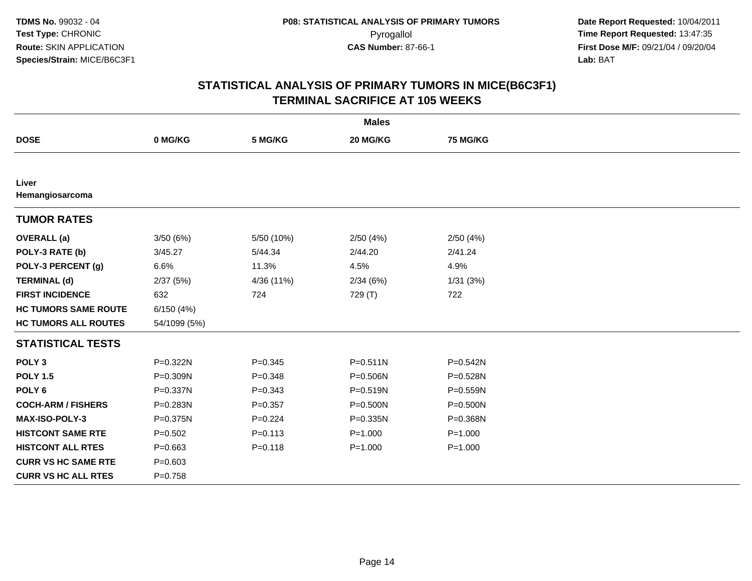| <b>Males</b>                |              |             |              |                 |  |
|-----------------------------|--------------|-------------|--------------|-----------------|--|
| <b>DOSE</b>                 | 0 MG/KG      | 5 MG/KG     | 20 MG/KG     | <b>75 MG/KG</b> |  |
|                             |              |             |              |                 |  |
| Liver<br>Hemangiosarcoma    |              |             |              |                 |  |
| <b>TUMOR RATES</b>          |              |             |              |                 |  |
| <b>OVERALL</b> (a)          | 3/50(6%)     | 5/50 (10%)  | 2/50(4%)     | 2/50(4%)        |  |
| POLY-3 RATE (b)             | 3/45.27      | 5/44.34     | 2/44.20      | 2/41.24         |  |
| POLY-3 PERCENT (g)          | 6.6%         | 11.3%       | 4.5%         | 4.9%            |  |
| <b>TERMINAL (d)</b>         | 2/37(5%)     | 4/36 (11%)  | 2/34(6%)     | 1/31(3%)        |  |
| <b>FIRST INCIDENCE</b>      | 632          | 724         | 729 (T)      | 722             |  |
| <b>HC TUMORS SAME ROUTE</b> | 6/150(4%)    |             |              |                 |  |
| <b>HC TUMORS ALL ROUTES</b> | 54/1099 (5%) |             |              |                 |  |
| <b>STATISTICAL TESTS</b>    |              |             |              |                 |  |
| POLY <sub>3</sub>           | P=0.322N     | $P=0.345$   | $P = 0.511N$ | $P = 0.542N$    |  |
| <b>POLY 1.5</b>             | P=0.309N     | $P = 0.348$ | P=0.506N     | P=0.528N        |  |
| POLY <sub>6</sub>           | P=0.337N     | $P = 0.343$ | P=0.519N     | $P = 0.559N$    |  |
| <b>COCH-ARM / FISHERS</b>   | P=0.283N     | $P = 0.357$ | $P = 0.500N$ | $P = 0.500N$    |  |
| MAX-ISO-POLY-3              | P=0.375N     | $P=0.224$   | P=0.335N     | P=0.368N        |  |
| <b>HISTCONT SAME RTE</b>    | $P=0.502$    | $P = 0.113$ | $P = 1.000$  | $P = 1.000$     |  |
| <b>HISTCONT ALL RTES</b>    | $P = 0.663$  | $P = 0.118$ | $P = 1.000$  | $P = 1.000$     |  |
| <b>CURR VS HC SAME RTE</b>  | $P = 0.603$  |             |              |                 |  |
| <b>CURR VS HC ALL RTES</b>  | $P = 0.758$  |             |              |                 |  |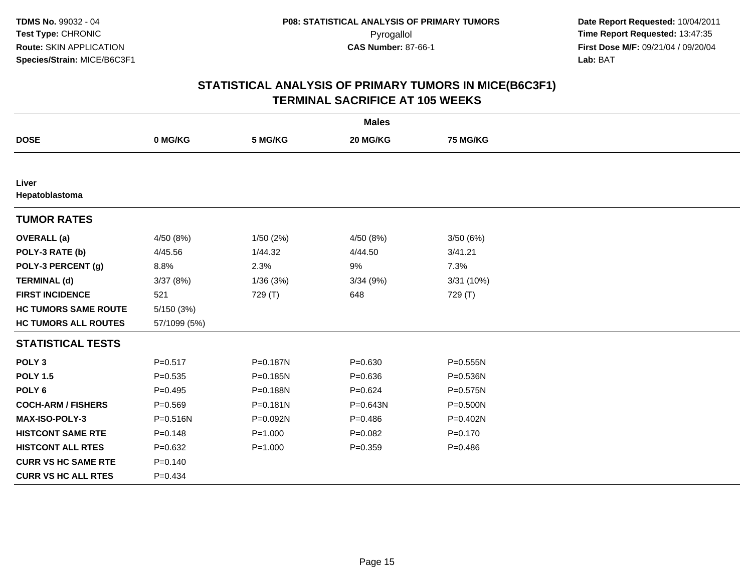|                             |              |              | <b>Males</b> |              |
|-----------------------------|--------------|--------------|--------------|--------------|
| <b>DOSE</b>                 | 0 MG/KG      | 5 MG/KG      | 20 MG/KG     | 75 MG/KG     |
|                             |              |              |              |              |
| Liver<br>Hepatoblastoma     |              |              |              |              |
| <b>TUMOR RATES</b>          |              |              |              |              |
| <b>OVERALL</b> (a)          | 4/50 (8%)    | 1/50(2%)     | 4/50 (8%)    | 3/50 (6%)    |
| POLY-3 RATE (b)             | 4/45.56      | 1/44.32      | 4/44.50      | 3/41.21      |
| POLY-3 PERCENT (g)          | 8.8%         | 2.3%         | 9%           | 7.3%         |
| <b>TERMINAL (d)</b>         | 3/37(8%)     | 1/36(3%)     | 3/34(9%)     | 3/31 (10%)   |
| <b>FIRST INCIDENCE</b>      | 521          | 729 (T)      | 648          | 729 (T)      |
| <b>HC TUMORS SAME ROUTE</b> | 5/150(3%)    |              |              |              |
| <b>HC TUMORS ALL ROUTES</b> | 57/1099 (5%) |              |              |              |
| <b>STATISTICAL TESTS</b>    |              |              |              |              |
| POLY <sub>3</sub>           | $P = 0.517$  | P=0.187N     | $P = 0.630$  | P=0.555N     |
| <b>POLY 1.5</b>             | $P = 0.535$  | P=0.185N     | $P = 0.636$  | $P = 0.536N$ |
| POLY <sub>6</sub>           | $P=0.495$    | P=0.188N     | $P = 0.624$  | P=0.575N     |
| <b>COCH-ARM / FISHERS</b>   | $P = 0.569$  | $P = 0.181N$ | P=0.643N     | $P = 0.500N$ |
| <b>MAX-ISO-POLY-3</b>       | P=0.516N     | P=0.092N     | $P = 0.486$  | P=0.402N     |
| <b>HISTCONT SAME RTE</b>    | $P=0.148$    | $P = 1.000$  | $P=0.082$    | $P = 0.170$  |
| <b>HISTCONT ALL RTES</b>    | $P = 0.632$  | $P = 1.000$  | $P = 0.359$  | $P=0.486$    |
| <b>CURR VS HC SAME RTE</b>  | $P = 0.140$  |              |              |              |
| <b>CURR VS HC ALL RTES</b>  | $P=0.434$    |              |              |              |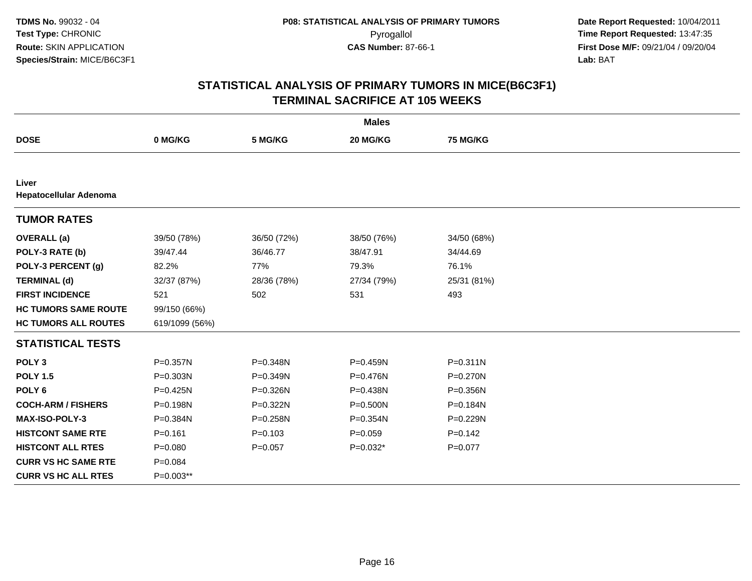|                                 |                |             | <b>Males</b> |              |
|---------------------------------|----------------|-------------|--------------|--------------|
| <b>DOSE</b>                     | 0 MG/KG        | 5 MG/KG     | 20 MG/KG     | 75 MG/KG     |
|                                 |                |             |              |              |
| Liver<br>Hepatocellular Adenoma |                |             |              |              |
| <b>TUMOR RATES</b>              |                |             |              |              |
| <b>OVERALL</b> (a)              | 39/50 (78%)    | 36/50 (72%) | 38/50 (76%)  | 34/50 (68%)  |
| POLY-3 RATE (b)                 | 39/47.44       | 36/46.77    | 38/47.91     | 34/44.69     |
| POLY-3 PERCENT (g)              | 82.2%          | 77%         | 79.3%        | 76.1%        |
| <b>TERMINAL (d)</b>             | 32/37 (87%)    | 28/36 (78%) | 27/34 (79%)  | 25/31 (81%)  |
| <b>FIRST INCIDENCE</b>          | 521            | 502         | 531          | 493          |
| <b>HC TUMORS SAME ROUTE</b>     | 99/150 (66%)   |             |              |              |
| <b>HC TUMORS ALL ROUTES</b>     | 619/1099 (56%) |             |              |              |
| <b>STATISTICAL TESTS</b>        |                |             |              |              |
| POLY <sub>3</sub>               | $P = 0.357N$   | P=0.348N    | P=0.459N     | $P = 0.311N$ |
| <b>POLY 1.5</b>                 | $P = 0.303N$   | P=0.349N    | P=0.476N     | $P = 0.270N$ |
| POLY <sub>6</sub>               | P=0.425N       | P=0.326N    | P=0.438N     | $P = 0.356N$ |
| <b>COCH-ARM / FISHERS</b>       | P=0.198N       | P=0.322N    | P=0.500N     | P=0.184N     |
| <b>MAX-ISO-POLY-3</b>           | P=0.384N       | P=0.258N    | P=0.354N     | P=0.229N     |
| <b>HISTCONT SAME RTE</b>        | $P = 0.161$    | $P = 0.103$ | $P=0.059$    | $P=0.142$    |
| <b>HISTCONT ALL RTES</b>        | $P = 0.080$    | $P=0.057$   | $P=0.032*$   | $P = 0.077$  |
| <b>CURR VS HC SAME RTE</b>      | $P = 0.084$    |             |              |              |
| <b>CURR VS HC ALL RTES</b>      | P=0.003**      |             |              |              |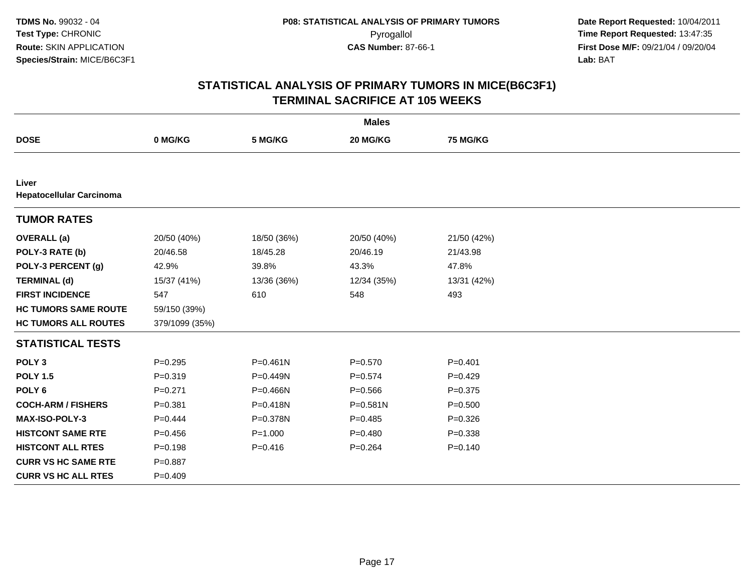|                                          |                |              | <b>Males</b> |             |
|------------------------------------------|----------------|--------------|--------------|-------------|
| <b>DOSE</b>                              | 0 MG/KG        | 5 MG/KG      | 20 MG/KG     | 75 MG/KG    |
|                                          |                |              |              |             |
| Liver<br><b>Hepatocellular Carcinoma</b> |                |              |              |             |
| <b>TUMOR RATES</b>                       |                |              |              |             |
| <b>OVERALL</b> (a)                       | 20/50 (40%)    | 18/50 (36%)  | 20/50 (40%)  | 21/50 (42%) |
| POLY-3 RATE (b)                          | 20/46.58       | 18/45.28     | 20/46.19     | 21/43.98    |
| POLY-3 PERCENT (g)                       | 42.9%          | 39.8%        | 43.3%        | 47.8%       |
| <b>TERMINAL (d)</b>                      | 15/37 (41%)    | 13/36 (36%)  | 12/34 (35%)  | 13/31 (42%) |
| <b>FIRST INCIDENCE</b>                   | 547            | 610          | 548          | 493         |
| <b>HC TUMORS SAME ROUTE</b>              | 59/150 (39%)   |              |              |             |
| <b>HC TUMORS ALL ROUTES</b>              | 379/1099 (35%) |              |              |             |
| <b>STATISTICAL TESTS</b>                 |                |              |              |             |
| POLY <sub>3</sub>                        | $P=0.295$      | $P = 0.461N$ | $P = 0.570$  | $P = 0.401$ |
| <b>POLY 1.5</b>                          | $P = 0.319$    | P=0.449N     | $P=0.574$    | $P=0.429$   |
| POLY <sub>6</sub>                        | $P = 0.271$    | $P = 0.466N$ | $P = 0.566$  | $P = 0.375$ |
| <b>COCH-ARM / FISHERS</b>                | $P = 0.381$    | $P = 0.418N$ | $P = 0.581N$ | $P = 0.500$ |
| <b>MAX-ISO-POLY-3</b>                    | $P=0.444$      | P=0.378N     | $P=0.485$    | $P = 0.326$ |
| <b>HISTCONT SAME RTE</b>                 | $P = 0.456$    | $P = 1.000$  | $P=0.480$    | $P = 0.338$ |
| <b>HISTCONT ALL RTES</b>                 | $P = 0.198$    | $P = 0.416$  | $P = 0.264$  | $P = 0.140$ |
| <b>CURR VS HC SAME RTE</b>               | $P = 0.887$    |              |              |             |
| <b>CURR VS HC ALL RTES</b>               | $P=0.409$      |              |              |             |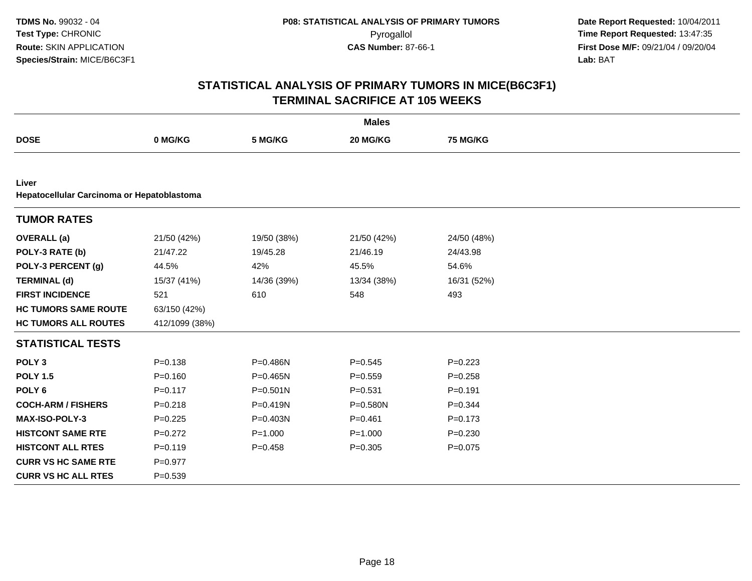|                                                     |                |              | <b>Males</b> |                 |  |
|-----------------------------------------------------|----------------|--------------|--------------|-----------------|--|
| <b>DOSE</b>                                         | 0 MG/KG        | 5 MG/KG      | 20 MG/KG     | <b>75 MG/KG</b> |  |
|                                                     |                |              |              |                 |  |
| Liver<br>Hepatocellular Carcinoma or Hepatoblastoma |                |              |              |                 |  |
| <b>TUMOR RATES</b>                                  |                |              |              |                 |  |
| <b>OVERALL</b> (a)                                  | 21/50 (42%)    | 19/50 (38%)  | 21/50 (42%)  | 24/50 (48%)     |  |
| POLY-3 RATE (b)                                     | 21/47.22       | 19/45.28     | 21/46.19     | 24/43.98        |  |
| POLY-3 PERCENT (g)                                  | 44.5%          | 42%          | 45.5%        | 54.6%           |  |
| <b>TERMINAL (d)</b>                                 | 15/37 (41%)    | 14/36 (39%)  | 13/34 (38%)  | 16/31 (52%)     |  |
| <b>FIRST INCIDENCE</b>                              | 521            | 610          | 548          | 493             |  |
| <b>HC TUMORS SAME ROUTE</b>                         | 63/150 (42%)   |              |              |                 |  |
| <b>HC TUMORS ALL ROUTES</b>                         | 412/1099 (38%) |              |              |                 |  |
| <b>STATISTICAL TESTS</b>                            |                |              |              |                 |  |
| POLY <sub>3</sub>                                   | $P = 0.138$    | P=0.486N     | $P=0.545$    | $P=0.223$       |  |
| <b>POLY 1.5</b>                                     | $P = 0.160$    | $P = 0.465N$ | $P=0.559$    | $P = 0.258$     |  |
| POLY <sub>6</sub>                                   | $P = 0.117$    | $P = 0.501N$ | $P = 0.531$  | $P = 0.191$     |  |
| <b>COCH-ARM / FISHERS</b>                           | $P = 0.218$    | P=0.419N     | $P = 0.580N$ | $P = 0.344$     |  |
| MAX-ISO-POLY-3                                      | $P = 0.225$    | $P = 0.403N$ | $P = 0.461$  | $P = 0.173$     |  |
| <b>HISTCONT SAME RTE</b>                            | $P=0.272$      | $P = 1.000$  | $P = 1.000$  | $P = 0.230$     |  |
| <b>HISTCONT ALL RTES</b>                            | $P=0.119$      | $P = 0.458$  | $P = 0.305$  | $P = 0.075$     |  |
| <b>CURR VS HC SAME RTE</b>                          | $P=0.977$      |              |              |                 |  |
| <b>CURR VS HC ALL RTES</b>                          | $P = 0.539$    |              |              |                 |  |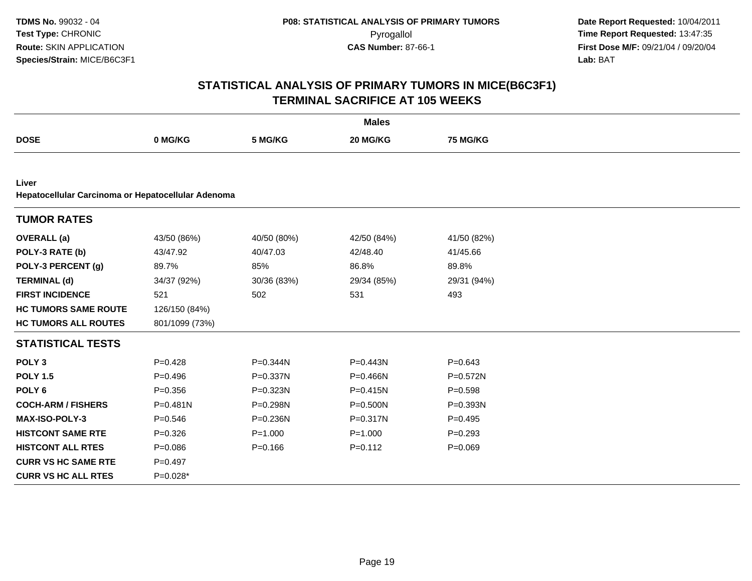|                                                             |                |             | <b>Males</b> |              |  |
|-------------------------------------------------------------|----------------|-------------|--------------|--------------|--|
| <b>DOSE</b>                                                 | 0 MG/KG        | 5 MG/KG     | 20 MG/KG     | 75 MG/KG     |  |
|                                                             |                |             |              |              |  |
| Liver<br>Hepatocellular Carcinoma or Hepatocellular Adenoma |                |             |              |              |  |
| <b>TUMOR RATES</b>                                          |                |             |              |              |  |
| <b>OVERALL</b> (a)                                          | 43/50 (86%)    | 40/50 (80%) | 42/50 (84%)  | 41/50 (82%)  |  |
| POLY-3 RATE (b)                                             | 43/47.92       | 40/47.03    | 42/48.40     | 41/45.66     |  |
| POLY-3 PERCENT (g)                                          | 89.7%          | 85%         | 86.8%        | 89.8%        |  |
| <b>TERMINAL (d)</b>                                         | 34/37 (92%)    | 30/36 (83%) | 29/34 (85%)  | 29/31 (94%)  |  |
| <b>FIRST INCIDENCE</b>                                      | 521            | 502         | 531          | 493          |  |
| <b>HC TUMORS SAME ROUTE</b>                                 | 126/150 (84%)  |             |              |              |  |
| <b>HC TUMORS ALL ROUTES</b>                                 | 801/1099 (73%) |             |              |              |  |
| <b>STATISTICAL TESTS</b>                                    |                |             |              |              |  |
| POLY <sub>3</sub>                                           | $P=0.428$      | P=0.344N    | P=0.443N     | $P = 0.643$  |  |
| <b>POLY 1.5</b>                                             | $P = 0.496$    | P=0.337N    | P=0.466N     | $P = 0.572N$ |  |
| POLY <sub>6</sub>                                           | $P = 0.356$    | P=0.323N    | $P = 0.415N$ | $P = 0.598$  |  |
| <b>COCH-ARM / FISHERS</b>                                   | $P = 0.481N$   | P=0.298N    | $P = 0.500N$ | P=0.393N     |  |
| MAX-ISO-POLY-3                                              | $P = 0.546$    | P=0.236N    | P=0.317N     | $P=0.495$    |  |
| <b>HISTCONT SAME RTE</b>                                    | $P = 0.326$    | $P = 1.000$ | $P = 1.000$  | $P = 0.293$  |  |
| <b>HISTCONT ALL RTES</b>                                    | $P = 0.086$    | $P = 0.166$ | $P=0.112$    | $P = 0.069$  |  |
| <b>CURR VS HC SAME RTE</b>                                  | $P=0.497$      |             |              |              |  |
| <b>CURR VS HC ALL RTES</b>                                  | $P=0.028*$     |             |              |              |  |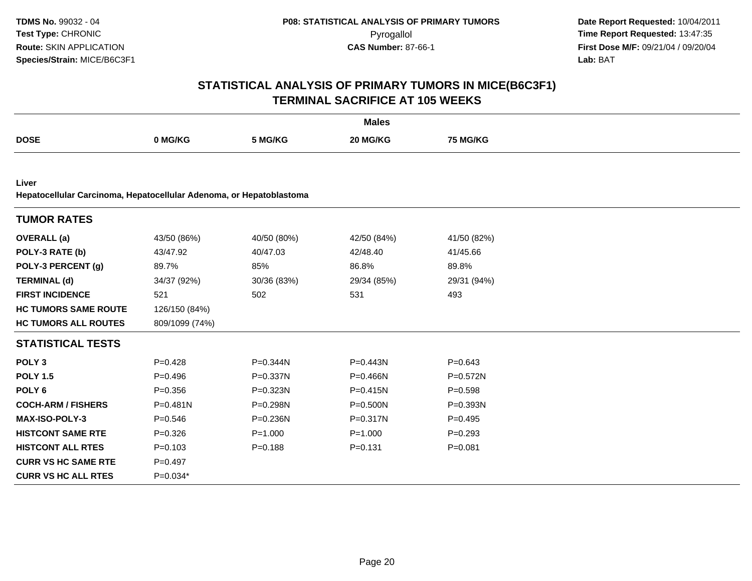|                                                                              |                |              | <b>Males</b> |                 |  |
|------------------------------------------------------------------------------|----------------|--------------|--------------|-----------------|--|
| <b>DOSE</b>                                                                  | 0 MG/KG        | 5 MG/KG      | 20 MG/KG     | <b>75 MG/KG</b> |  |
|                                                                              |                |              |              |                 |  |
| Liver<br>Hepatocellular Carcinoma, Hepatocellular Adenoma, or Hepatoblastoma |                |              |              |                 |  |
|                                                                              |                |              |              |                 |  |
| <b>TUMOR RATES</b>                                                           |                |              |              |                 |  |
| <b>OVERALL</b> (a)                                                           | 43/50 (86%)    | 40/50 (80%)  | 42/50 (84%)  | 41/50 (82%)     |  |
| POLY-3 RATE (b)                                                              | 43/47.92       | 40/47.03     | 42/48.40     | 41/45.66        |  |
| POLY-3 PERCENT (g)                                                           | 89.7%          | 85%          | 86.8%        | 89.8%           |  |
| <b>TERMINAL (d)</b>                                                          | 34/37 (92%)    | 30/36 (83%)  | 29/34 (85%)  | 29/31 (94%)     |  |
| <b>FIRST INCIDENCE</b>                                                       | 521            | 502          | 531          | 493             |  |
| <b>HC TUMORS SAME ROUTE</b>                                                  | 126/150 (84%)  |              |              |                 |  |
| <b>HC TUMORS ALL ROUTES</b>                                                  | 809/1099 (74%) |              |              |                 |  |
| <b>STATISTICAL TESTS</b>                                                     |                |              |              |                 |  |
| POLY <sub>3</sub>                                                            | $P=0.428$      | P=0.344N     | $P = 0.443N$ | $P = 0.643$     |  |
| <b>POLY 1.5</b>                                                              | $P=0.496$      | $P = 0.337N$ | $P = 0.466N$ | $P = 0.572N$    |  |
| POLY <sub>6</sub>                                                            | $P = 0.356$    | P=0.323N     | $P = 0.415N$ | $P = 0.598$     |  |
| <b>COCH-ARM / FISHERS</b>                                                    | P=0.481N       | P=0.298N     | $P = 0.500N$ | P=0.393N        |  |
| <b>MAX-ISO-POLY-3</b>                                                        | $P = 0.546$    | P=0.236N     | $P = 0.317N$ | $P=0.495$       |  |
| <b>HISTCONT SAME RTE</b>                                                     | $P = 0.326$    | $P = 1.000$  | $P = 1.000$  | $P=0.293$       |  |
| <b>HISTCONT ALL RTES</b>                                                     | $P = 0.103$    | $P = 0.188$  | $P = 0.131$  | $P = 0.081$     |  |
| <b>CURR VS HC SAME RTE</b>                                                   | $P=0.497$      |              |              |                 |  |
| <b>CURR VS HC ALL RTES</b>                                                   | P=0.034*       |              |              |                 |  |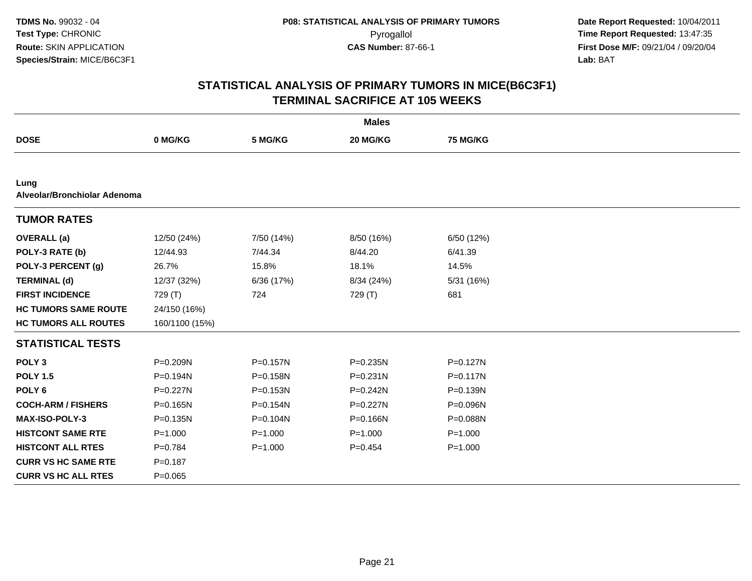|                                      |                |              | <b>Males</b> |              |  |
|--------------------------------------|----------------|--------------|--------------|--------------|--|
| <b>DOSE</b>                          | 0 MG/KG        | 5 MG/KG      | 20 MG/KG     | 75 MG/KG     |  |
|                                      |                |              |              |              |  |
| Lung<br>Alveolar/Bronchiolar Adenoma |                |              |              |              |  |
| <b>TUMOR RATES</b>                   |                |              |              |              |  |
| <b>OVERALL</b> (a)                   | 12/50 (24%)    | 7/50 (14%)   | 8/50 (16%)   | 6/50 (12%)   |  |
| POLY-3 RATE (b)                      | 12/44.93       | 7/44.34      | 8/44.20      | 6/41.39      |  |
| POLY-3 PERCENT (g)                   | 26.7%          | 15.8%        | 18.1%        | 14.5%        |  |
| <b>TERMINAL (d)</b>                  | 12/37 (32%)    | 6/36 (17%)   | 8/34 (24%)   | 5/31 (16%)   |  |
| <b>FIRST INCIDENCE</b>               | 729 (T)        | 724          | 729 (T)      | 681          |  |
| <b>HC TUMORS SAME ROUTE</b>          | 24/150 (16%)   |              |              |              |  |
| <b>HC TUMORS ALL ROUTES</b>          | 160/1100 (15%) |              |              |              |  |
| <b>STATISTICAL TESTS</b>             |                |              |              |              |  |
| POLY <sub>3</sub>                    | P=0.209N       | P=0.157N     | P=0.235N     | $P = 0.127N$ |  |
| <b>POLY 1.5</b>                      | P=0.194N       | P=0.158N     | $P = 0.231N$ | $P = 0.117N$ |  |
| POLY <sub>6</sub>                    | $P=0.227N$     | $P = 0.153N$ | $P = 0.242N$ | $P = 0.139N$ |  |
| <b>COCH-ARM / FISHERS</b>            | $P = 0.165N$   | $P = 0.154N$ | $P = 0.227N$ | P=0.096N     |  |
| <b>MAX-ISO-POLY-3</b>                | P=0.135N       | P=0.104N     | P=0.166N     | P=0.088N     |  |
| <b>HISTCONT SAME RTE</b>             | $P = 1.000$    | $P = 1.000$  | $P = 1.000$  | $P = 1.000$  |  |
| <b>HISTCONT ALL RTES</b>             | $P=0.784$      | $P = 1.000$  | $P=0.454$    | $P = 1.000$  |  |
| <b>CURR VS HC SAME RTE</b>           | $P = 0.187$    |              |              |              |  |
| <b>CURR VS HC ALL RTES</b>           | $P=0.065$      |              |              |              |  |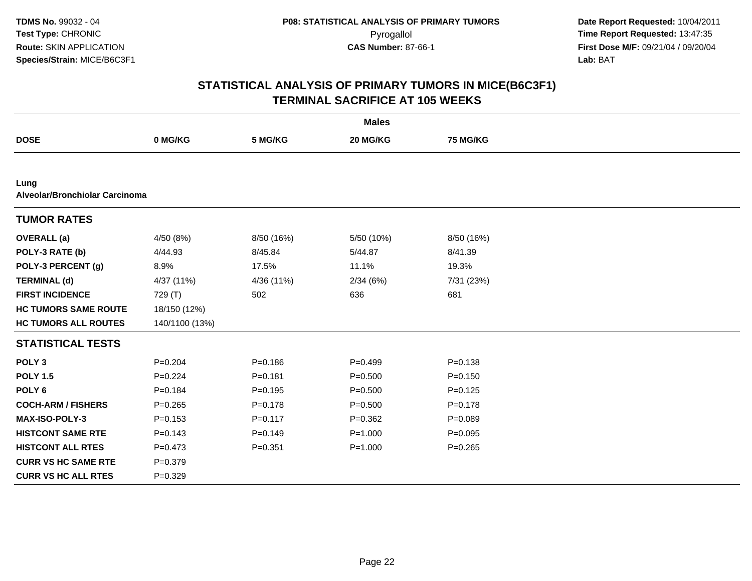|                                        |                |             | <b>Males</b> |                 |  |
|----------------------------------------|----------------|-------------|--------------|-----------------|--|
| <b>DOSE</b>                            | 0 MG/KG        | 5 MG/KG     | 20 MG/KG     | <b>75 MG/KG</b> |  |
|                                        |                |             |              |                 |  |
| Lung<br>Alveolar/Bronchiolar Carcinoma |                |             |              |                 |  |
| <b>TUMOR RATES</b>                     |                |             |              |                 |  |
| <b>OVERALL</b> (a)                     | 4/50 (8%)      | 8/50 (16%)  | 5/50 (10%)   | 8/50 (16%)      |  |
| POLY-3 RATE (b)                        | 4/44.93        | 8/45.84     | 5/44.87      | 8/41.39         |  |
| POLY-3 PERCENT (g)                     | 8.9%           | 17.5%       | 11.1%        | 19.3%           |  |
| <b>TERMINAL (d)</b>                    | 4/37 (11%)     | 4/36 (11%)  | 2/34(6%)     | 7/31 (23%)      |  |
| <b>FIRST INCIDENCE</b>                 | 729 (T)        | 502         | 636          | 681             |  |
| <b>HC TUMORS SAME ROUTE</b>            | 18/150 (12%)   |             |              |                 |  |
| <b>HC TUMORS ALL ROUTES</b>            | 140/1100 (13%) |             |              |                 |  |
| <b>STATISTICAL TESTS</b>               |                |             |              |                 |  |
| POLY <sub>3</sub>                      | $P = 0.204$    | $P = 0.186$ | $P=0.499$    | $P = 0.138$     |  |
| <b>POLY 1.5</b>                        | $P = 0.224$    | $P = 0.181$ | $P = 0.500$  | $P = 0.150$     |  |
| POLY <sub>6</sub>                      | $P = 0.184$    | $P = 0.195$ | $P = 0.500$  | $P = 0.125$     |  |
| <b>COCH-ARM / FISHERS</b>              | $P = 0.265$    | $P = 0.178$ | $P = 0.500$  | $P = 0.178$     |  |
| <b>MAX-ISO-POLY-3</b>                  | $P = 0.153$    | $P = 0.117$ | $P = 0.362$  | $P = 0.089$     |  |
| <b>HISTCONT SAME RTE</b>               | $P = 0.143$    | $P = 0.149$ | $P = 1.000$  | $P = 0.095$     |  |
| <b>HISTCONT ALL RTES</b>               | $P = 0.473$    | $P = 0.351$ | $P = 1.000$  | $P = 0.265$     |  |
| <b>CURR VS HC SAME RTE</b>             | $P = 0.379$    |             |              |                 |  |
| <b>CURR VS HC ALL RTES</b>             | $P = 0.329$    |             |              |                 |  |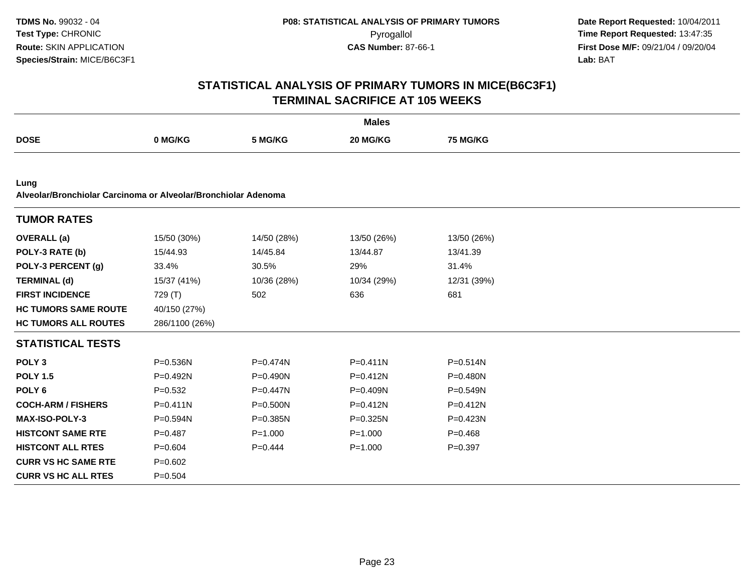|                                                                        |                |              | <b>Males</b> |                 |  |
|------------------------------------------------------------------------|----------------|--------------|--------------|-----------------|--|
| <b>DOSE</b>                                                            | 0 MG/KG        | 5 MG/KG      | 20 MG/KG     | <b>75 MG/KG</b> |  |
|                                                                        |                |              |              |                 |  |
| Lung<br>Alveolar/Bronchiolar Carcinoma or Alveolar/Bronchiolar Adenoma |                |              |              |                 |  |
| <b>TUMOR RATES</b>                                                     |                |              |              |                 |  |
| <b>OVERALL</b> (a)                                                     | 15/50 (30%)    | 14/50 (28%)  | 13/50 (26%)  | 13/50 (26%)     |  |
| POLY-3 RATE (b)                                                        | 15/44.93       | 14/45.84     | 13/44.87     | 13/41.39        |  |
| POLY-3 PERCENT (g)                                                     | 33.4%          | 30.5%        | 29%          | 31.4%           |  |
| <b>TERMINAL (d)</b>                                                    | 15/37 (41%)    | 10/36 (28%)  | 10/34 (29%)  | 12/31 (39%)     |  |
| <b>FIRST INCIDENCE</b>                                                 | 729 (T)        | 502          | 636          | 681             |  |
| <b>HC TUMORS SAME ROUTE</b>                                            | 40/150 (27%)   |              |              |                 |  |
| <b>HC TUMORS ALL ROUTES</b>                                            | 286/1100 (26%) |              |              |                 |  |
| <b>STATISTICAL TESTS</b>                                               |                |              |              |                 |  |
| POLY <sub>3</sub>                                                      | $P = 0.536N$   | P=0.474N     | $P = 0.411N$ | $P = 0.514N$    |  |
| <b>POLY 1.5</b>                                                        | P=0.492N       | P=0.490N     | $P = 0.412N$ | P=0.480N        |  |
| POLY <sub>6</sub>                                                      | $P = 0.532$    | P=0.447N     | P=0.409N     | $P = 0.549N$    |  |
| <b>COCH-ARM / FISHERS</b>                                              | $P = 0.411N$   | $P = 0.500N$ | $P = 0.412N$ | $P = 0.412N$    |  |
| MAX-ISO-POLY-3                                                         | P=0.594N       | P=0.385N     | $P = 0.325N$ | P=0.423N        |  |
| <b>HISTCONT SAME RTE</b>                                               | $P=0.487$      | $P = 1.000$  | $P = 1.000$  | $P=0.468$       |  |
| <b>HISTCONT ALL RTES</b>                                               | $P = 0.604$    | $P=0.444$    | $P = 1.000$  | $P = 0.397$     |  |
| <b>CURR VS HC SAME RTE</b>                                             | $P=0.602$      |              |              |                 |  |
| <b>CURR VS HC ALL RTES</b>                                             | $P = 0.504$    |              |              |                 |  |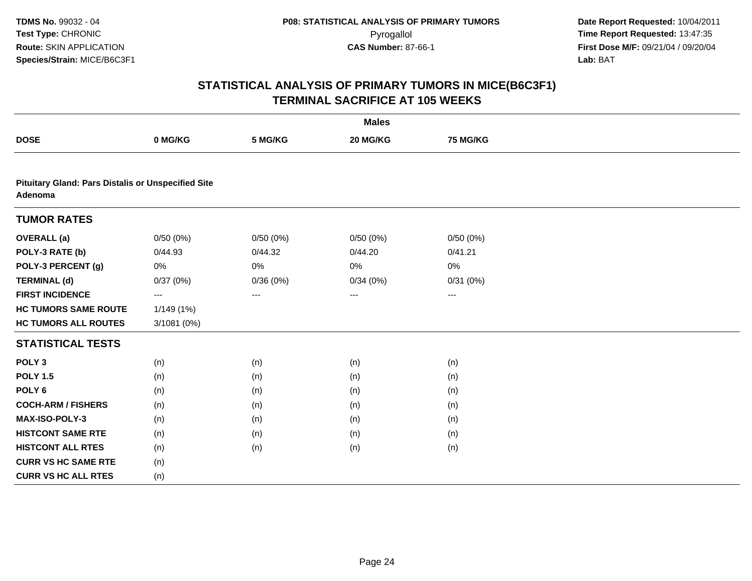|                                                                      |             |          | <b>Males</b>      |          |  |
|----------------------------------------------------------------------|-------------|----------|-------------------|----------|--|
| <b>DOSE</b>                                                          | 0 MG/KG     | 5 MG/KG  | 20 MG/KG          | 75 MG/KG |  |
|                                                                      |             |          |                   |          |  |
| <b>Pituitary Gland: Pars Distalis or Unspecified Site</b><br>Adenoma |             |          |                   |          |  |
| <b>TUMOR RATES</b>                                                   |             |          |                   |          |  |
| <b>OVERALL</b> (a)                                                   | 0/50(0%)    | 0/50(0%) | 0/50(0%)          | 0/50(0%) |  |
| POLY-3 RATE (b)                                                      | 0/44.93     | 0/44.32  | 0/44.20           | 0/41.21  |  |
| POLY-3 PERCENT (g)                                                   | 0%          | 0%       | 0%                | 0%       |  |
| <b>TERMINAL (d)</b>                                                  | 0/37(0%)    | 0/36(0%) | 0/34(0%)          | 0/31(0%) |  |
| <b>FIRST INCIDENCE</b>                                               | ---         | $\cdots$ | $\qquad \qquad -$ | $---$    |  |
| <b>HC TUMORS SAME ROUTE</b>                                          | 1/149(1%)   |          |                   |          |  |
| <b>HC TUMORS ALL ROUTES</b>                                          | 3/1081 (0%) |          |                   |          |  |
| <b>STATISTICAL TESTS</b>                                             |             |          |                   |          |  |
| POLY <sub>3</sub>                                                    | (n)         | (n)      | (n)               | (n)      |  |
| <b>POLY 1.5</b>                                                      | (n)         | (n)      | (n)               | (n)      |  |
| POLY <sub>6</sub>                                                    | (n)         | (n)      | (n)               | (n)      |  |
| <b>COCH-ARM / FISHERS</b>                                            | (n)         | (n)      | (n)               | (n)      |  |
| MAX-ISO-POLY-3                                                       | (n)         | (n)      | (n)               | (n)      |  |
| <b>HISTCONT SAME RTE</b>                                             | (n)         | (n)      | (n)               | (n)      |  |
| <b>HISTCONT ALL RTES</b>                                             | (n)         | (n)      | (n)               | (n)      |  |
| <b>CURR VS HC SAME RTE</b>                                           | (n)         |          |                   |          |  |
| <b>CURR VS HC ALL RTES</b>                                           | (n)         |          |                   |          |  |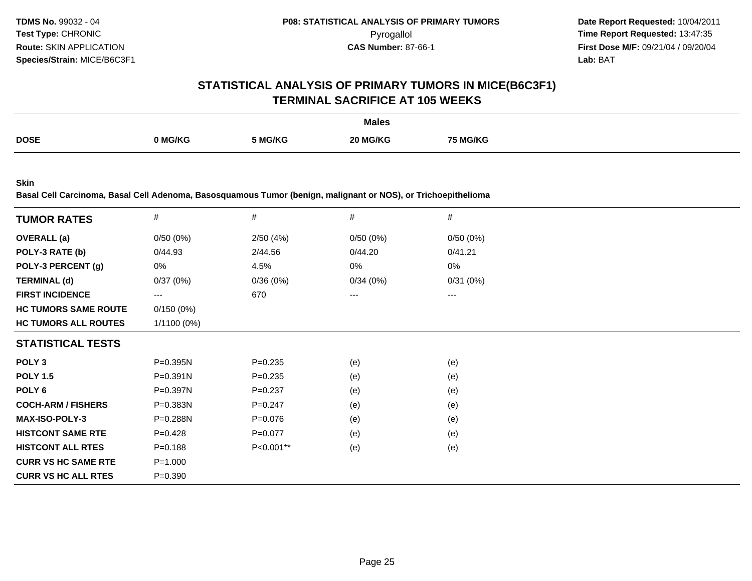# **STATISTICAL ANALYSIS OF PRIMARY TUMORS IN MICE(B6C3F1)TERMINAL SACRIFICE AT 105 WEEKS**

|             |              |         | <b>Males</b>                   |         |
|-------------|--------------|---------|--------------------------------|---------|
| <b>DOSE</b> | <b>MG/KG</b> | 5 MG/KG | <b>G/KG</b><br>20 <sup>1</sup> | 5 MG/KG |

**Skin**

**Basal Cell Carcinoma, Basal Cell Adenoma, Basosquamous Tumor (benign, malignant or NOS), or Trichoepithelioma**

| <b>TUMOR RATES</b>          | $\#$          | #           | #        | #        |
|-----------------------------|---------------|-------------|----------|----------|
| <b>OVERALL</b> (a)          | 0/50(0%)      | 2/50(4%)    | 0/50(0%) | 0/50(0%) |
| POLY-3 RATE (b)             | 0/44.93       | 2/44.56     | 0/44.20  | 0/41.21  |
| POLY-3 PERCENT (g)          | 0%            | 4.5%        | 0%       | 0%       |
| <b>TERMINAL (d)</b>         | 0/37(0%)      | 0/36(0%)    | 0/34(0%) | 0/31(0%) |
| <b>FIRST INCIDENCE</b>      | $---$         | 670         | $---$    | ---      |
| <b>HC TUMORS SAME ROUTE</b> | 0/150(0%)     |             |          |          |
| <b>HC TUMORS ALL ROUTES</b> | $1/1100(0\%)$ |             |          |          |
| <b>STATISTICAL TESTS</b>    |               |             |          |          |
| POLY <sub>3</sub>           | P=0.395N      | $P = 0.235$ | (e)      | (e)      |
| <b>POLY 1.5</b>             | $P = 0.391N$  | $P = 0.235$ | (e)      | (e)      |
| POLY <sub>6</sub>           | P=0.397N      | $P=0.237$   | (e)      | (e)      |
| <b>COCH-ARM / FISHERS</b>   | P=0.383N      | $P = 0.247$ | (e)      | (e)      |
| <b>MAX-ISO-POLY-3</b>       | P=0.288N      | $P = 0.076$ | (e)      | (e)      |
| <b>HISTCONT SAME RTE</b>    | $P=0.428$     | P=0.077     | (e)      | (e)      |
| <b>HISTCONT ALL RTES</b>    | $P = 0.188$   | P<0.001**   | (e)      | (e)      |
| <b>CURR VS HC SAME RTE</b>  | $P = 1.000$   |             |          |          |
| <b>CURR VS HC ALL RTES</b>  | $P = 0.390$   |             |          |          |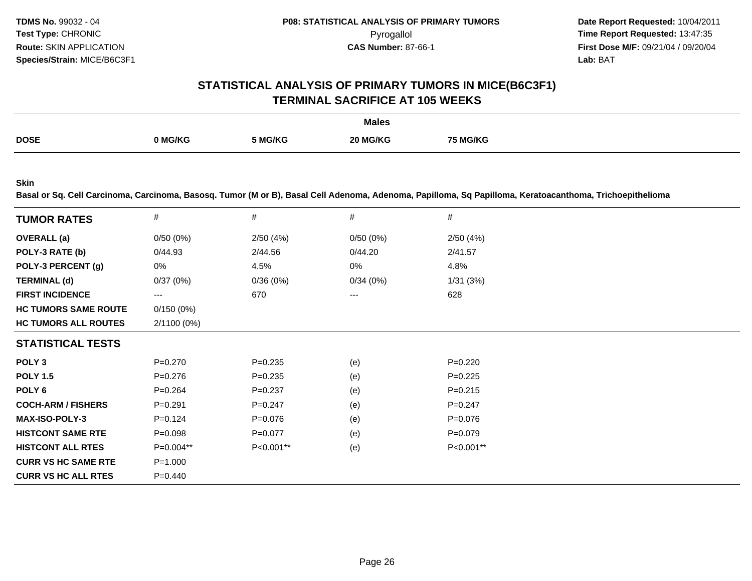# **STATISTICAL ANALYSIS OF PRIMARY TUMORS IN MICE(B6C3F1)TERMINAL SACRIFICE AT 105 WEEKS**

|             |                |         | <b>Males</b> |                 |
|-------------|----------------|---------|--------------|-----------------|
| <b>DOSE</b> |                |         |              |                 |
|             | <b>0 MG/KG</b> | 5 MG/KG | 20 MG/KG     | <b>75 MG/KG</b> |
|             |                |         |              |                 |

**Skin**

**Basal or Sq. Cell Carcinoma, Carcinoma, Basosq. Tumor (M or B), Basal Cell Adenoma, Adenoma, Papilloma, Sq Papilloma, Keratoacanthoma, Trichoepithelioma**

| <b>TUMOR RATES</b>          | #           | #           | #           | #           |
|-----------------------------|-------------|-------------|-------------|-------------|
| <b>OVERALL</b> (a)          | 0/50(0%)    | 2/50(4%)    | $0/50(0\%)$ | 2/50(4%)    |
| POLY-3 RATE (b)             | 0/44.93     | 2/44.56     | 0/44.20     | 2/41.57     |
| POLY-3 PERCENT (g)          | 0%          | 4.5%        | 0%          | 4.8%        |
| <b>TERMINAL (d)</b>         | 0/37(0%)    | 0/36(0%)    | 0/34(0%)    | 1/31(3%)    |
| <b>FIRST INCIDENCE</b>      | ---         | 670         | $---$       | 628         |
| <b>HC TUMORS SAME ROUTE</b> | 0/150(0%)   |             |             |             |
| <b>HC TUMORS ALL ROUTES</b> | 2/1100 (0%) |             |             |             |
| <b>STATISTICAL TESTS</b>    |             |             |             |             |
| POLY <sub>3</sub>           | P=0.270     | $P = 0.235$ | (e)         | $P=0.220$   |
| <b>POLY 1.5</b>             | $P = 0.276$ | $P=0.235$   | (e)         | $P=0.225$   |
| POLY 6                      | $P = 0.264$ | $P=0.237$   | (e)         | $P = 0.215$ |
| <b>COCH-ARM / FISHERS</b>   | $P = 0.291$ | $P=0.247$   | (e)         | $P=0.247$   |
| <b>MAX-ISO-POLY-3</b>       | $P=0.124$   | $P=0.076$   | (e)         | $P=0.076$   |
| <b>HISTCONT SAME RTE</b>    | $P = 0.098$ | $P=0.077$   | (e)         | $P = 0.079$ |
| <b>HISTCONT ALL RTES</b>    | P=0.004**   | P<0.001**   | (e)         | P<0.001**   |
| <b>CURR VS HC SAME RTE</b>  | $P = 1.000$ |             |             |             |
| <b>CURR VS HC ALL RTES</b>  | $P = 0.440$ |             |             |             |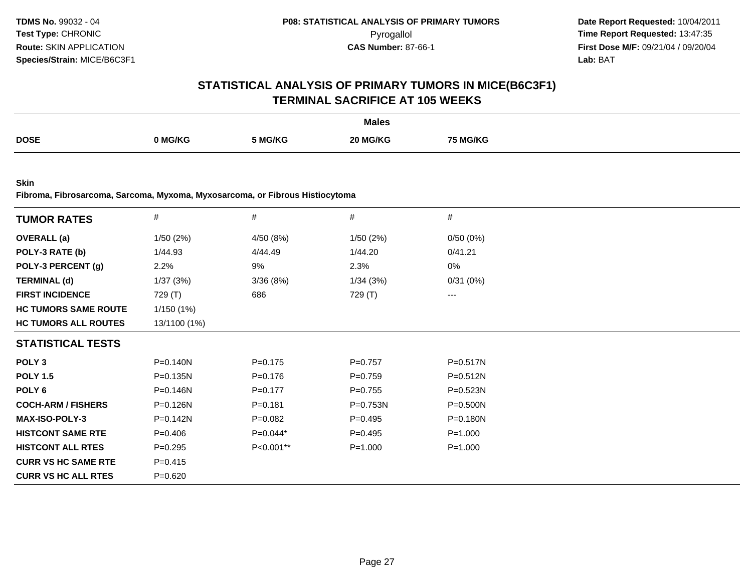# **STATISTICAL ANALYSIS OF PRIMARY TUMORS IN MICE(B6C3F1)TERMINAL SACRIFICE AT 105 WEEKS**

|             |         |         | <b>Males</b> |          |
|-------------|---------|---------|--------------|----------|
| <b>DOSE</b> | ) MG/KG | 5 MG/KG | 20 MG/KG     | 75 MG/KG |

**Skin**

**Fibroma, Fibrosarcoma, Sarcoma, Myxoma, Myxosarcoma, or Fibrous Histiocytoma**

| <b>TUMOR RATES</b>          | $\#$         | $\#$        | #            | #            |
|-----------------------------|--------------|-------------|--------------|--------------|
| <b>OVERALL</b> (a)          | 1/50 (2%)    | 4/50 (8%)   | 1/50(2%)     | 0/50(0%)     |
| POLY-3 RATE (b)             | 1/44.93      | 4/44.49     | 1/44.20      | 0/41.21      |
| POLY-3 PERCENT (g)          | 2.2%         | 9%          | 2.3%         | 0%           |
| <b>TERMINAL (d)</b>         | 1/37 (3%)    | 3/36(8%)    | 1/34(3%)     | 0/31(0%)     |
| <b>FIRST INCIDENCE</b>      | 729 (T)      | 686         | 729 (T)      | $\cdots$     |
| <b>HC TUMORS SAME ROUTE</b> | 1/150(1%)    |             |              |              |
| <b>HC TUMORS ALL ROUTES</b> | 13/1100 (1%) |             |              |              |
| <b>STATISTICAL TESTS</b>    |              |             |              |              |
| POLY <sub>3</sub>           | P=0.140N     | $P = 0.175$ | $P=0.757$    | P=0.517N     |
| <b>POLY 1.5</b>             | P=0.135N     | $P = 0.176$ | $P = 0.759$  | P=0.512N     |
| POLY <sub>6</sub>           | P=0.146N     | $P = 0.177$ | $P = 0.755$  | P=0.523N     |
| <b>COCH-ARM / FISHERS</b>   | $P = 0.126N$ | $P = 0.181$ | $P = 0.753N$ | $P = 0.500N$ |
| <b>MAX-ISO-POLY-3</b>       | $P = 0.142N$ | $P = 0.082$ | P=0.495      | $P = 0.180N$ |
| <b>HISTCONT SAME RTE</b>    | $P = 0.406$  | $P=0.044*$  | $P = 0.495$  | $P = 1.000$  |
| <b>HISTCONT ALL RTES</b>    | $P=0.295$    | P<0.001**   | $P = 1.000$  | $P = 1.000$  |
| <b>CURR VS HC SAME RTE</b>  | $P = 0.415$  |             |              |              |
| <b>CURR VS HC ALL RTES</b>  | $P = 0.620$  |             |              |              |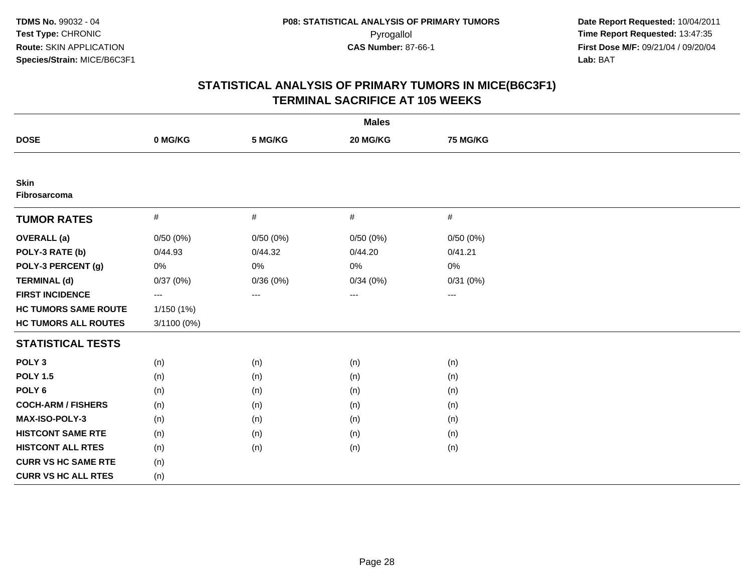|                             | <b>Males</b> |          |          |                        |  |  |
|-----------------------------|--------------|----------|----------|------------------------|--|--|
| <b>DOSE</b>                 | 0 MG/KG      | 5 MG/KG  | 20 MG/KG | 75 MG/KG               |  |  |
|                             |              |          |          |                        |  |  |
| <b>Skin</b><br>Fibrosarcoma |              |          |          |                        |  |  |
| <b>TUMOR RATES</b>          | #            | $\#$     | #        | $\#$                   |  |  |
| <b>OVERALL</b> (a)          | 0/50(0%)     | 0/50(0%) | 0/50(0%) | 0/50(0%)               |  |  |
| POLY-3 RATE (b)             | 0/44.93      | 0/44.32  | 0/44.20  | 0/41.21                |  |  |
| POLY-3 PERCENT (g)          | 0%           | 0%       | 0%       | 0%                     |  |  |
| <b>TERMINAL (d)</b>         | 0/37(0%)     | 0/36(0%) | 0/34(0%) | 0/31(0%)               |  |  |
| <b>FIRST INCIDENCE</b>      | $\cdots$     | ---      | ---      | $\qquad \qquad \cdots$ |  |  |
| <b>HC TUMORS SAME ROUTE</b> | 1/150 (1%)   |          |          |                        |  |  |
| <b>HC TUMORS ALL ROUTES</b> | 3/1100 (0%)  |          |          |                        |  |  |
| <b>STATISTICAL TESTS</b>    |              |          |          |                        |  |  |
| POLY <sub>3</sub>           | (n)          | (n)      | (n)      | (n)                    |  |  |
| <b>POLY 1.5</b>             | (n)          | (n)      | (n)      | (n)                    |  |  |
| POLY <sub>6</sub>           | (n)          | (n)      | (n)      | (n)                    |  |  |
| <b>COCH-ARM / FISHERS</b>   | (n)          | (n)      | (n)      | (n)                    |  |  |
| <b>MAX-ISO-POLY-3</b>       | (n)          | (n)      | (n)      | (n)                    |  |  |
| <b>HISTCONT SAME RTE</b>    | (n)          | (n)      | (n)      | (n)                    |  |  |
| <b>HISTCONT ALL RTES</b>    | (n)          | (n)      | (n)      | (n)                    |  |  |
| <b>CURR VS HC SAME RTE</b>  | (n)          |          |          |                        |  |  |
| <b>CURR VS HC ALL RTES</b>  | (n)          |          |          |                        |  |  |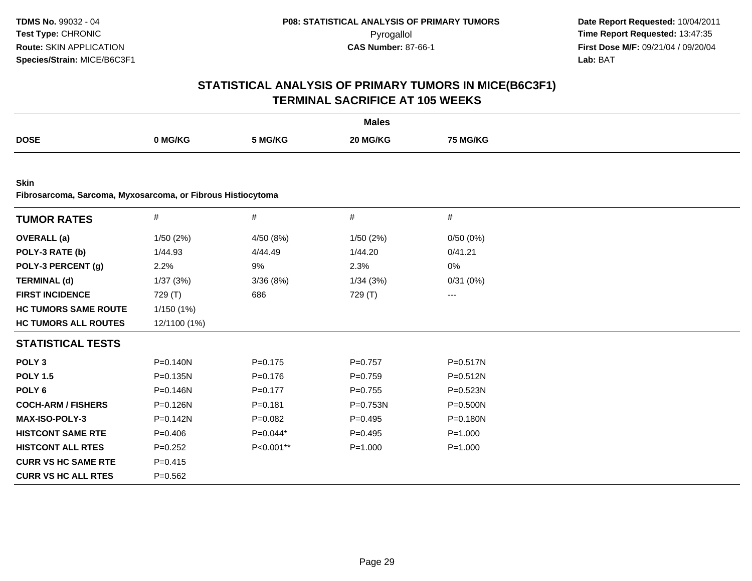|                                                                            |              |             | <b>Males</b> |                 |  |
|----------------------------------------------------------------------------|--------------|-------------|--------------|-----------------|--|
| <b>DOSE</b>                                                                | 0 MG/KG      | 5 MG/KG     | 20 MG/KG     | <b>75 MG/KG</b> |  |
|                                                                            |              |             |              |                 |  |
| <b>Skin</b><br>Fibrosarcoma, Sarcoma, Myxosarcoma, or Fibrous Histiocytoma |              |             |              |                 |  |
| <b>TUMOR RATES</b>                                                         | #            | $\#$        | $\#$         | $\#$            |  |
| <b>OVERALL</b> (a)                                                         | 1/50(2%)     | 4/50 (8%)   | 1/50(2%)     | 0/50(0%)        |  |
| POLY-3 RATE (b)                                                            | 1/44.93      | 4/44.49     | 1/44.20      | 0/41.21         |  |
| POLY-3 PERCENT (g)                                                         | 2.2%         | 9%          | 2.3%         | 0%              |  |
| <b>TERMINAL (d)</b>                                                        | 1/37(3%)     | 3/36(8%)    | 1/34(3%)     | 0/31(0%)        |  |
| <b>FIRST INCIDENCE</b>                                                     | 729 (T)      | 686         | 729 (T)      | ---             |  |
| <b>HC TUMORS SAME ROUTE</b>                                                | 1/150 (1%)   |             |              |                 |  |
| <b>HC TUMORS ALL ROUTES</b>                                                | 12/1100 (1%) |             |              |                 |  |
| <b>STATISTICAL TESTS</b>                                                   |              |             |              |                 |  |
| POLY <sub>3</sub>                                                          | $P = 0.140N$ | $P=0.175$   | $P = 0.757$  | $P = 0.517N$    |  |
| <b>POLY 1.5</b>                                                            | $P = 0.135N$ | $P = 0.176$ | $P=0.759$    | P=0.512N        |  |
| POLY <sub>6</sub>                                                          | $P = 0.146N$ | $P = 0.177$ | $P = 0.755$  | $P = 0.523N$    |  |
| <b>COCH-ARM / FISHERS</b>                                                  | P=0.126N     | $P = 0.181$ | P=0.753N     | P=0.500N        |  |
| MAX-ISO-POLY-3                                                             | P=0.142N     | $P=0.082$   | $P=0.495$    | P=0.180N        |  |
| <b>HISTCONT SAME RTE</b>                                                   | $P=0.406$    | $P=0.044*$  | $P = 0.495$  | $P = 1.000$     |  |
| <b>HISTCONT ALL RTES</b>                                                   | $P=0.252$    | P<0.001**   | $P = 1.000$  | $P = 1.000$     |  |
| <b>CURR VS HC SAME RTE</b>                                                 | $P = 0.415$  |             |              |                 |  |
| <b>CURR VS HC ALL RTES</b>                                                 | $P = 0.562$  |             |              |                 |  |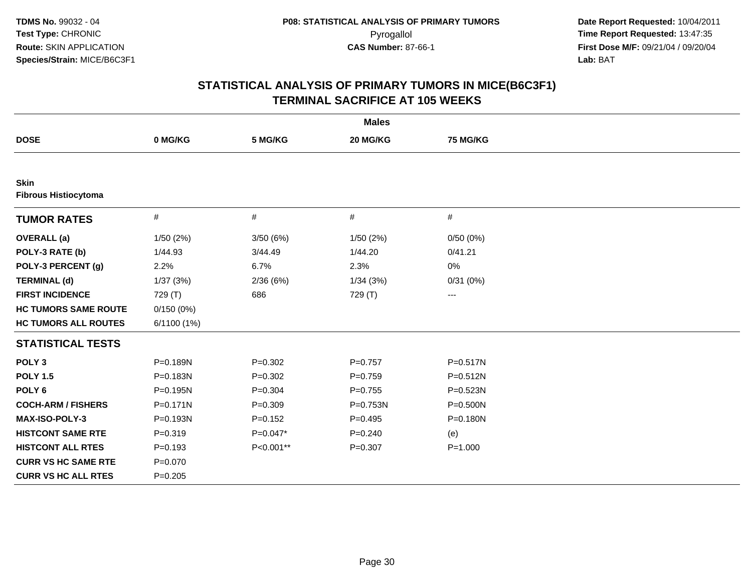|                                            |              |             | <b>Males</b> |                   |  |
|--------------------------------------------|--------------|-------------|--------------|-------------------|--|
| <b>DOSE</b>                                | 0 MG/KG      | 5 MG/KG     | 20 MG/KG     | <b>75 MG/KG</b>   |  |
|                                            |              |             |              |                   |  |
| <b>Skin</b><br><b>Fibrous Histiocytoma</b> |              |             |              |                   |  |
| <b>TUMOR RATES</b>                         | $\#$         | $\#$        | $\#$         | #                 |  |
| <b>OVERALL</b> (a)                         | 1/50(2%)     | 3/50 (6%)   | 1/50(2%)     | 0/50(0%)          |  |
| POLY-3 RATE (b)                            | 1/44.93      | 3/44.49     | 1/44.20      | 0/41.21           |  |
| POLY-3 PERCENT (g)                         | 2.2%         | 6.7%        | 2.3%         | 0%                |  |
| <b>TERMINAL (d)</b>                        | 1/37(3%)     | 2/36(6%)    | 1/34(3%)     | 0/31(0%)          |  |
| <b>FIRST INCIDENCE</b>                     | 729 (T)      | 686         | 729 (T)      | $\qquad \qquad -$ |  |
| <b>HC TUMORS SAME ROUTE</b>                | 0/150(0%)    |             |              |                   |  |
| <b>HC TUMORS ALL ROUTES</b>                | 6/1100 (1%)  |             |              |                   |  |
| <b>STATISTICAL TESTS</b>                   |              |             |              |                   |  |
| POLY <sub>3</sub>                          | P=0.189N     | $P = 0.302$ | $P = 0.757$  | $P = 0.517N$      |  |
| <b>POLY 1.5</b>                            | P=0.183N     | $P = 0.302$ | $P=0.759$    | $P = 0.512N$      |  |
| POLY <sub>6</sub>                          | P=0.195N     | $P = 0.304$ | $P = 0.755$  | P=0.523N          |  |
| <b>COCH-ARM / FISHERS</b>                  | $P = 0.171N$ | $P = 0.309$ | P=0.753N     | $P = 0.500N$      |  |
| <b>MAX-ISO-POLY-3</b>                      | P=0.193N     | $P = 0.152$ | $P=0.495$    | P=0.180N          |  |
| <b>HISTCONT SAME RTE</b>                   | $P = 0.319$  | $P=0.047*$  | $P = 0.240$  | (e)               |  |
| <b>HISTCONT ALL RTES</b>                   | $P=0.193$    | P<0.001**   | $P = 0.307$  | $P = 1.000$       |  |
| <b>CURR VS HC SAME RTE</b>                 | $P = 0.070$  |             |              |                   |  |
| <b>CURR VS HC ALL RTES</b>                 | $P=0.205$    |             |              |                   |  |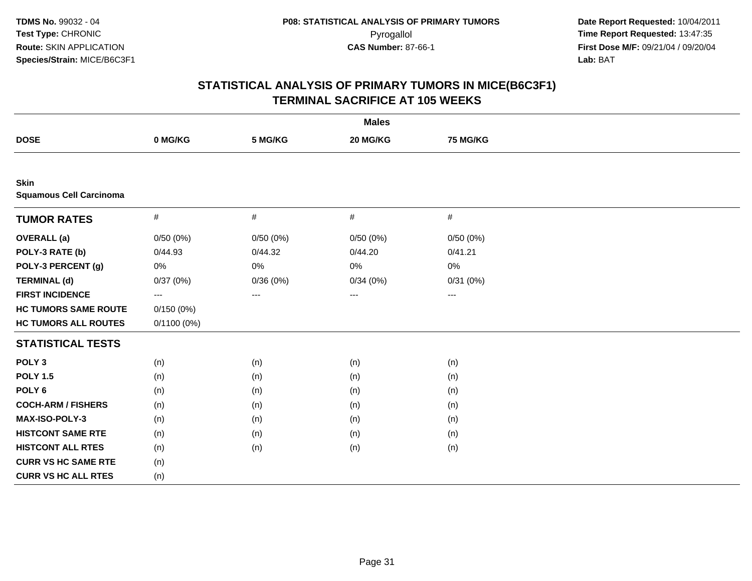|                                               |               |          | <b>Males</b> |          |  |
|-----------------------------------------------|---------------|----------|--------------|----------|--|
| <b>DOSE</b>                                   | 0 MG/KG       | 5 MG/KG  | 20 MG/KG     | 75 MG/KG |  |
|                                               |               |          |              |          |  |
| <b>Skin</b><br><b>Squamous Cell Carcinoma</b> |               |          |              |          |  |
| <b>TUMOR RATES</b>                            | $\#$          | $\#$     | $\#$         | $\#$     |  |
| <b>OVERALL</b> (a)                            | 0/50(0%)      | 0/50(0%) | 0/50(0%)     | 0/50(0%) |  |
| POLY-3 RATE (b)                               | 0/44.93       | 0/44.32  | 0/44.20      | 0/41.21  |  |
| POLY-3 PERCENT (g)                            | 0%            | 0%       | 0%           | 0%       |  |
| <b>TERMINAL (d)</b>                           | 0/37(0%)      | 0/36(0%) | 0/34(0%)     | 0/31(0%) |  |
| <b>FIRST INCIDENCE</b>                        | ---           | ---      | ---          | $---$    |  |
| <b>HC TUMORS SAME ROUTE</b>                   | 0/150(0%)     |          |              |          |  |
| <b>HC TUMORS ALL ROUTES</b>                   | $0/1100(0\%)$ |          |              |          |  |
| <b>STATISTICAL TESTS</b>                      |               |          |              |          |  |
| POLY <sub>3</sub>                             | (n)           | (n)      | (n)          | (n)      |  |
| <b>POLY 1.5</b>                               | (n)           | (n)      | (n)          | (n)      |  |
| POLY <sub>6</sub>                             | (n)           | (n)      | (n)          | (n)      |  |
| <b>COCH-ARM / FISHERS</b>                     | (n)           | (n)      | (n)          | (n)      |  |
| MAX-ISO-POLY-3                                | (n)           | (n)      | (n)          | (n)      |  |
| <b>HISTCONT SAME RTE</b>                      | (n)           | (n)      | (n)          | (n)      |  |
| <b>HISTCONT ALL RTES</b>                      | (n)           | (n)      | (n)          | (n)      |  |
| <b>CURR VS HC SAME RTE</b>                    | (n)           |          |              |          |  |
| <b>CURR VS HC ALL RTES</b>                    | (n)           |          |              |          |  |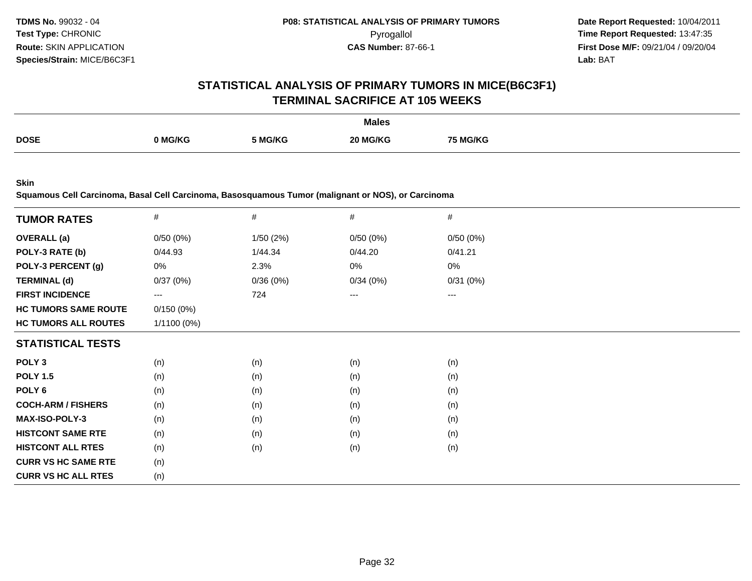# **STATISTICAL ANALYSIS OF PRIMARY TUMORS IN MICE(B6C3F1)TERMINAL SACRIFICE AT 105 WEEKS**

|             |         |         | <b>Males</b> |                 |
|-------------|---------|---------|--------------|-----------------|
| <b>DOSE</b> | າ MG/KG | 5 MG/KG | 20 MG/KG     | <b>75 MG/KG</b> |

**Skin**

**Squamous Cell Carcinoma, Basal Cell Carcinoma, Basosquamous Tumor (malignant or NOS), or Carcinoma**

|                             | $\#$              | #        | #        | #        |
|-----------------------------|-------------------|----------|----------|----------|
| <b>TUMOR RATES</b>          |                   |          |          |          |
| <b>OVERALL</b> (a)          | 0/50(0%)          | 1/50(2%) | 0/50(0%) | 0/50(0%) |
| POLY-3 RATE (b)             | 0/44.93           | 1/44.34  | 0/44.20  | 0/41.21  |
| POLY-3 PERCENT (g)          | 0%                | 2.3%     | 0%       | 0%       |
| <b>TERMINAL (d)</b>         | 0/37(0%)          | 0/36(0%) | 0/34(0%) | 0/31(0%) |
| <b>FIRST INCIDENCE</b>      | $\qquad \qquad -$ | 724      | ---      | $---$    |
| <b>HC TUMORS SAME ROUTE</b> | 0/150(0%)         |          |          |          |
| <b>HC TUMORS ALL ROUTES</b> | $1/1100(0\%)$     |          |          |          |
| <b>STATISTICAL TESTS</b>    |                   |          |          |          |
| POLY <sub>3</sub>           | (n)               | (n)      | (n)      | (n)      |
| <b>POLY 1.5</b>             | (n)               | (n)      | (n)      | (n)      |
| POLY <sub>6</sub>           | (n)               | (n)      | (n)      | (n)      |
| <b>COCH-ARM / FISHERS</b>   | (n)               | (n)      | (n)      | (n)      |
| <b>MAX-ISO-POLY-3</b>       | (n)               | (n)      | (n)      | (n)      |
| <b>HISTCONT SAME RTE</b>    | (n)               | (n)      | (n)      | (n)      |
| <b>HISTCONT ALL RTES</b>    | (n)               | (n)      | (n)      | (n)      |
| <b>CURR VS HC SAME RTE</b>  | (n)               |          |          |          |
| <b>CURR VS HC ALL RTES</b>  | (n)               |          |          |          |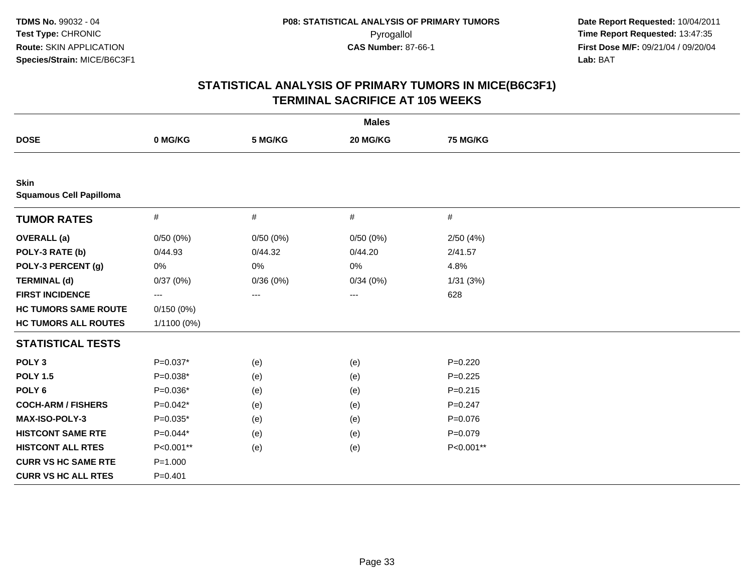| <b>Males</b>                                  |             |          |          |             |  |
|-----------------------------------------------|-------------|----------|----------|-------------|--|
| <b>DOSE</b>                                   | 0 MG/KG     | 5 MG/KG  | 20 MG/KG | 75 MG/KG    |  |
|                                               |             |          |          |             |  |
| <b>Skin</b><br><b>Squamous Cell Papilloma</b> |             |          |          |             |  |
| <b>TUMOR RATES</b>                            | $\#$        | $\#$     | $\#$     | #           |  |
| <b>OVERALL</b> (a)                            | 0/50(0%)    | 0/50(0%) | 0/50(0%) | 2/50(4%)    |  |
| POLY-3 RATE (b)                               | 0/44.93     | 0/44.32  | 0/44.20  | 2/41.57     |  |
| POLY-3 PERCENT (g)                            | 0%          | $0\%$    | 0%       | 4.8%        |  |
| <b>TERMINAL (d)</b>                           | 0/37(0%)    | 0/36(0%) | 0/34(0%) | 1/31(3%)    |  |
| <b>FIRST INCIDENCE</b>                        | ---         | ---      | $---$    | 628         |  |
| <b>HC TUMORS SAME ROUTE</b>                   | 0/150(0%)   |          |          |             |  |
| <b>HC TUMORS ALL ROUTES</b>                   | 1/1100 (0%) |          |          |             |  |
| <b>STATISTICAL TESTS</b>                      |             |          |          |             |  |
| POLY <sub>3</sub>                             | $P=0.037*$  | (e)      | (e)      | $P=0.220$   |  |
| <b>POLY 1.5</b>                               | P=0.038*    | (e)      | (e)      | $P=0.225$   |  |
| POLY <sub>6</sub>                             | $P=0.036*$  | (e)      | (e)      | $P = 0.215$ |  |
| <b>COCH-ARM / FISHERS</b>                     | P=0.042*    | (e)      | (e)      | $P = 0.247$ |  |
| MAX-ISO-POLY-3                                | $P=0.035*$  | (e)      | (e)      | $P = 0.076$ |  |
| <b>HISTCONT SAME RTE</b>                      | $P=0.044*$  | (e)      | (e)      | $P = 0.079$ |  |
| <b>HISTCONT ALL RTES</b>                      | P<0.001**   | (e)      | (e)      | P<0.001**   |  |
| <b>CURR VS HC SAME RTE</b>                    | $P = 1.000$ |          |          |             |  |
| <b>CURR VS HC ALL RTES</b>                    | $P = 0.401$ |          |          |             |  |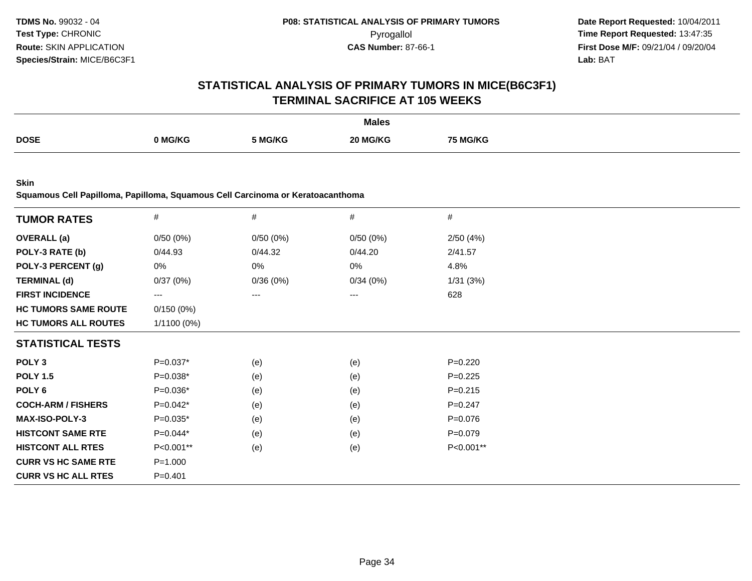# **STATISTICAL ANALYSIS OF PRIMARY TUMORS IN MICE(B6C3F1)TERMINAL SACRIFICE AT 105 WEEKS**

|             |         |       | <b>Males</b> |         |
|-------------|---------|-------|--------------|---------|
| <b>DOSE</b> |         |       | ንበ ኢ         |         |
|             | ) MG/KG | MG/KG | IG/KC        | i MG/KG |
|             | .       |       |              |         |

**Skin**

**Squamous Cell Papilloma, Papilloma, Squamous Cell Carcinoma or Keratoacanthoma**

| <b>TUMOR RATES</b>          | $\#$          | $\#$     | $\#$     | #           |  |
|-----------------------------|---------------|----------|----------|-------------|--|
| <b>OVERALL</b> (a)          | 0/50(0%)      | 0/50(0%) | 0/50(0%) | 2/50(4%)    |  |
| POLY-3 RATE (b)             | 0/44.93       | 0/44.32  | 0/44.20  | 2/41.57     |  |
| POLY-3 PERCENT (g)          | 0%            | 0%       | 0%       | 4.8%        |  |
| <b>TERMINAL (d)</b>         | 0/37(0%)      | 0/36(0%) | 0/34(0%) | 1/31(3%)    |  |
| <b>FIRST INCIDENCE</b>      | ---           | $---$    | ---      | 628         |  |
| <b>HC TUMORS SAME ROUTE</b> | 0/150(0%)     |          |          |             |  |
| <b>HC TUMORS ALL ROUTES</b> | $1/1100(0\%)$ |          |          |             |  |
| <b>STATISTICAL TESTS</b>    |               |          |          |             |  |
| POLY <sub>3</sub>           | P=0.037*      | (e)      | (e)      | $P = 0.220$ |  |
| <b>POLY 1.5</b>             | $P=0.038*$    | (e)      | (e)      | $P=0.225$   |  |
| POLY 6                      | $P=0.036*$    | (e)      | (e)      | $P = 0.215$ |  |
| <b>COCH-ARM / FISHERS</b>   | $P=0.042*$    | (e)      | (e)      | $P = 0.247$ |  |
| <b>MAX-ISO-POLY-3</b>       | $P=0.035*$    | (e)      | (e)      | $P = 0.076$ |  |
| <b>HISTCONT SAME RTE</b>    | $P=0.044*$    | (e)      | (e)      | $P = 0.079$ |  |
| <b>HISTCONT ALL RTES</b>    | P<0.001**     | (e)      | (e)      | P<0.001**   |  |
| <b>CURR VS HC SAME RTE</b>  | $P = 1.000$   |          |          |             |  |
| <b>CURR VS HC ALL RTES</b>  | $P = 0.401$   |          |          |             |  |
|                             |               |          |          |             |  |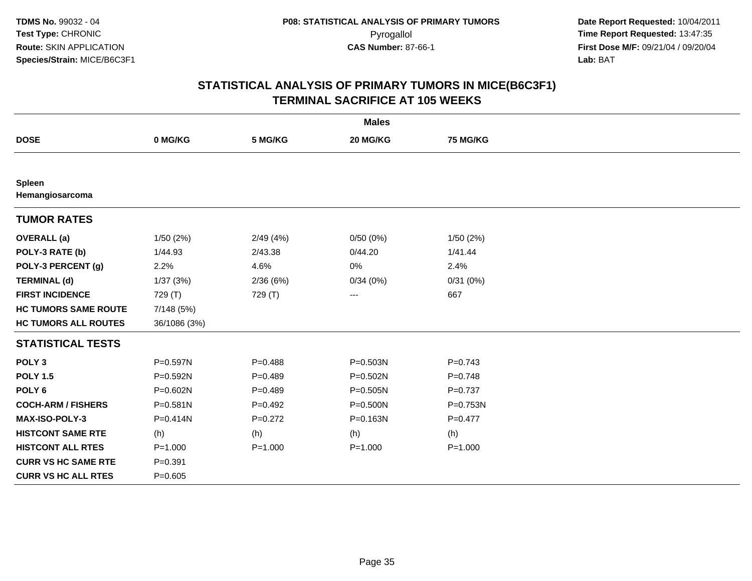| <b>Males</b>                     |              |             |              |             |  |  |  |  |
|----------------------------------|--------------|-------------|--------------|-------------|--|--|--|--|
| <b>DOSE</b>                      | 0 MG/KG      | 5 MG/KG     | 20 MG/KG     | 75 MG/KG    |  |  |  |  |
|                                  |              |             |              |             |  |  |  |  |
| <b>Spleen</b><br>Hemangiosarcoma |              |             |              |             |  |  |  |  |
| <b>TUMOR RATES</b>               |              |             |              |             |  |  |  |  |
| <b>OVERALL</b> (a)               | 1/50(2%)     | 2/49(4%)    | 0/50(0%)     | 1/50(2%)    |  |  |  |  |
| POLY-3 RATE (b)                  | 1/44.93      | 2/43.38     | 0/44.20      | 1/41.44     |  |  |  |  |
| POLY-3 PERCENT (g)               | 2.2%         | 4.6%        | 0%           | 2.4%        |  |  |  |  |
| <b>TERMINAL (d)</b>              | 1/37(3%)     | 2/36(6%)    | 0/34(0%)     | 0/31(0%)    |  |  |  |  |
| <b>FIRST INCIDENCE</b>           | 729 (T)      | 729 (T)     | $--$         | 667         |  |  |  |  |
| <b>HC TUMORS SAME ROUTE</b>      | 7/148 (5%)   |             |              |             |  |  |  |  |
| <b>HC TUMORS ALL ROUTES</b>      | 36/1086 (3%) |             |              |             |  |  |  |  |
| <b>STATISTICAL TESTS</b>         |              |             |              |             |  |  |  |  |
| POLY <sub>3</sub>                | P=0.597N     | $P = 0.488$ | $P = 0.503N$ | $P = 0.743$ |  |  |  |  |
| <b>POLY 1.5</b>                  | P=0.592N     | $P=0.489$   | $P = 0.502N$ | $P=0.748$   |  |  |  |  |
| POLY <sub>6</sub>                | P=0.602N     | $P=0.489$   | $P = 0.505N$ | $P = 0.737$ |  |  |  |  |
| <b>COCH-ARM / FISHERS</b>        | P=0.581N     | $P=0.492$   | $P = 0.500N$ | P=0.753N    |  |  |  |  |
| MAX-ISO-POLY-3                   | P=0.414N     | $P=0.272$   | $P = 0.163N$ | $P = 0.477$ |  |  |  |  |
| <b>HISTCONT SAME RTE</b>         | (h)          | (h)         | (h)          | (h)         |  |  |  |  |
| <b>HISTCONT ALL RTES</b>         | $P = 1.000$  | $P = 1.000$ | $P = 1.000$  | $P = 1.000$ |  |  |  |  |
| <b>CURR VS HC SAME RTE</b>       | $P = 0.391$  |             |              |             |  |  |  |  |
| <b>CURR VS HC ALL RTES</b>       | $P=0.605$    |             |              |             |  |  |  |  |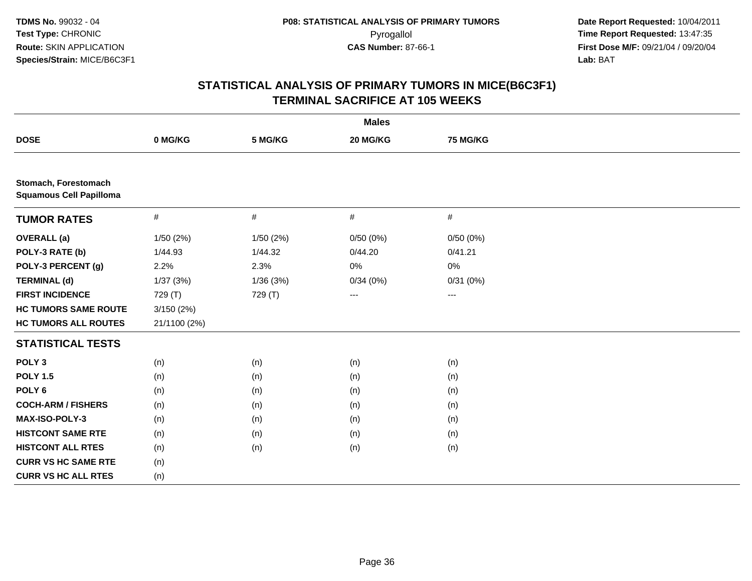| <b>Males</b>                                           |              |           |                   |                 |  |  |  |
|--------------------------------------------------------|--------------|-----------|-------------------|-----------------|--|--|--|
| <b>DOSE</b>                                            | 0 MG/KG      | 5 MG/KG   | 20 MG/KG          | <b>75 MG/KG</b> |  |  |  |
|                                                        |              |           |                   |                 |  |  |  |
| Stomach, Forestomach<br><b>Squamous Cell Papilloma</b> |              |           |                   |                 |  |  |  |
| <b>TUMOR RATES</b>                                     | $\#$         | $\#$      | $\#$              | #               |  |  |  |
| <b>OVERALL</b> (a)                                     | 1/50 (2%)    | 1/50 (2%) | 0/50(0%)          | 0/50(0%)        |  |  |  |
| POLY-3 RATE (b)                                        | 1/44.93      | 1/44.32   | 0/44.20           | 0/41.21         |  |  |  |
| POLY-3 PERCENT (g)                                     | 2.2%         | 2.3%      | 0%                | 0%              |  |  |  |
| <b>TERMINAL (d)</b>                                    | 1/37(3%)     | 1/36(3%)  | 0/34(0%)          | 0/31(0%)        |  |  |  |
| <b>FIRST INCIDENCE</b>                                 | 729 (T)      | 729 (T)   | $\qquad \qquad -$ | $---$           |  |  |  |
| <b>HC TUMORS SAME ROUTE</b>                            | 3/150(2%)    |           |                   |                 |  |  |  |
| <b>HC TUMORS ALL ROUTES</b>                            | 21/1100 (2%) |           |                   |                 |  |  |  |
| <b>STATISTICAL TESTS</b>                               |              |           |                   |                 |  |  |  |
| POLY <sub>3</sub>                                      | (n)          | (n)       | (n)               | (n)             |  |  |  |
| <b>POLY 1.5</b>                                        | (n)          | (n)       | (n)               | (n)             |  |  |  |
| POLY <sub>6</sub>                                      | (n)          | (n)       | (n)               | (n)             |  |  |  |
| <b>COCH-ARM / FISHERS</b>                              | (n)          | (n)       | (n)               | (n)             |  |  |  |
| MAX-ISO-POLY-3                                         | (n)          | (n)       | (n)               | (n)             |  |  |  |
| <b>HISTCONT SAME RTE</b>                               | (n)          | (n)       | (n)               | (n)             |  |  |  |
| <b>HISTCONT ALL RTES</b>                               | (n)          | (n)       | (n)               | (n)             |  |  |  |
| <b>CURR VS HC SAME RTE</b>                             | (n)          |           |                   |                 |  |  |  |
| <b>CURR VS HC ALL RTES</b>                             | (n)          |           |                   |                 |  |  |  |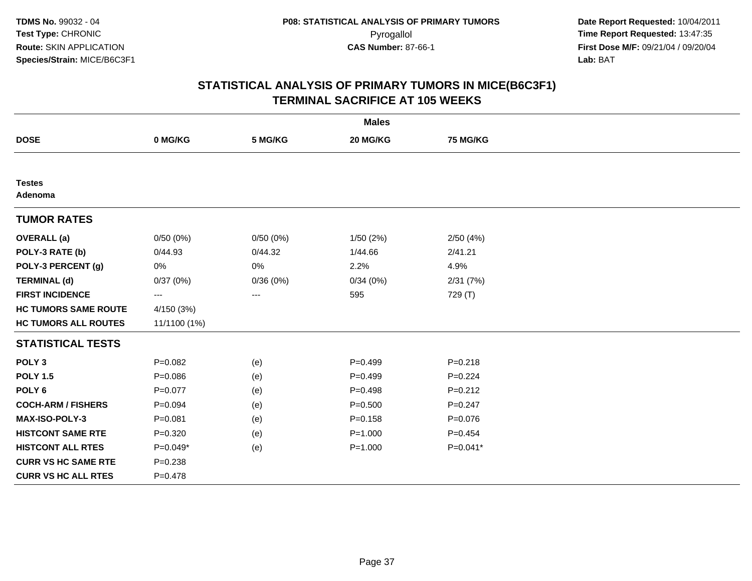|                             |              |          | <b>Males</b> |                 |  |
|-----------------------------|--------------|----------|--------------|-----------------|--|
| <b>DOSE</b>                 | 0 MG/KG      | 5 MG/KG  | 20 MG/KG     | <b>75 MG/KG</b> |  |
|                             |              |          |              |                 |  |
| <b>Testes</b><br>Adenoma    |              |          |              |                 |  |
| <b>TUMOR RATES</b>          |              |          |              |                 |  |
| <b>OVERALL</b> (a)          | 0/50(0%)     | 0/50(0%) | 1/50(2%)     | 2/50(4%)        |  |
| POLY-3 RATE (b)             | 0/44.93      | 0/44.32  | 1/44.66      | 2/41.21         |  |
| POLY-3 PERCENT (g)          | 0%           | 0%       | 2.2%         | 4.9%            |  |
| <b>TERMINAL (d)</b>         | 0/37(0%)     | 0/36(0%) | 0/34(0%)     | 2/31(7%)        |  |
| <b>FIRST INCIDENCE</b>      | ---          | ---      | 595          | 729 (T)         |  |
| <b>HC TUMORS SAME ROUTE</b> | 4/150(3%)    |          |              |                 |  |
| <b>HC TUMORS ALL ROUTES</b> | 11/1100 (1%) |          |              |                 |  |
| <b>STATISTICAL TESTS</b>    |              |          |              |                 |  |
| POLY <sub>3</sub>           | $P=0.082$    | (e)      | $P=0.499$    | $P = 0.218$     |  |
| <b>POLY 1.5</b>             | $P = 0.086$  | (e)      | $P=0.499$    | $P=0.224$       |  |
| POLY <sub>6</sub>           | $P = 0.077$  | (e)      | $P=0.498$    | $P = 0.212$     |  |
| <b>COCH-ARM / FISHERS</b>   | $P = 0.094$  | (e)      | $P = 0.500$  | $P = 0.247$     |  |
| <b>MAX-ISO-POLY-3</b>       | $P = 0.081$  | (e)      | $P = 0.158$  | $P = 0.076$     |  |
| <b>HISTCONT SAME RTE</b>    | $P = 0.320$  | (e)      | $P = 1.000$  | $P=0.454$       |  |
| <b>HISTCONT ALL RTES</b>    | $P=0.049*$   | (e)      | $P = 1.000$  | $P=0.041*$      |  |
| <b>CURR VS HC SAME RTE</b>  | $P = 0.238$  |          |              |                 |  |
| <b>CURR VS HC ALL RTES</b>  | $P = 0.478$  |          |              |                 |  |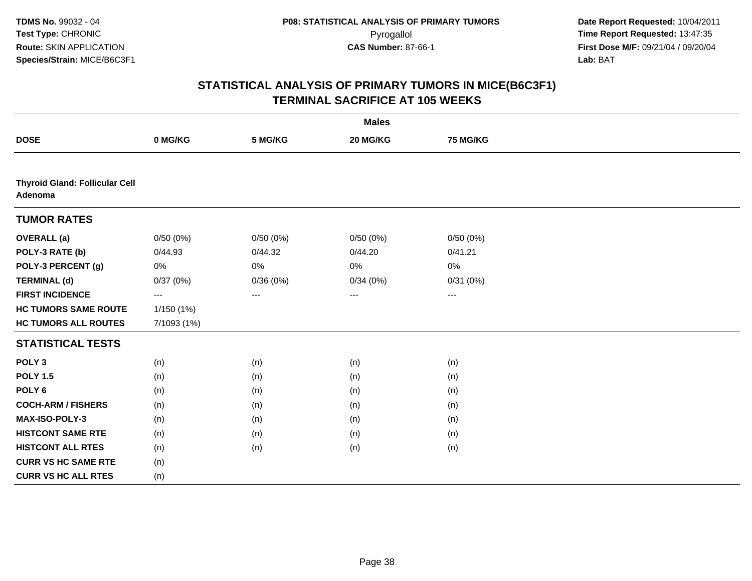|                                                  |             |          | <b>Males</b>      |                 |  |
|--------------------------------------------------|-------------|----------|-------------------|-----------------|--|
| <b>DOSE</b>                                      | 0 MG/KG     | 5 MG/KG  | 20 MG/KG          | <b>75 MG/KG</b> |  |
|                                                  |             |          |                   |                 |  |
| <b>Thyroid Gland: Follicular Cell</b><br>Adenoma |             |          |                   |                 |  |
| <b>TUMOR RATES</b>                               |             |          |                   |                 |  |
| <b>OVERALL</b> (a)                               | 0/50(0%)    | 0/50(0%) | 0/50(0%)          | 0/50(0%)        |  |
| POLY-3 RATE (b)                                  | 0/44.93     | 0/44.32  | 0/44.20           | 0/41.21         |  |
| POLY-3 PERCENT (g)                               | 0%          | $0\%$    | 0%                | 0%              |  |
| <b>TERMINAL (d)</b>                              | 0/37(0%)    | 0/36(0%) | 0/34(0%)          | 0/31(0%)        |  |
| <b>FIRST INCIDENCE</b>                           | ---         | $---$    | $\qquad \qquad -$ | $--$            |  |
| <b>HC TUMORS SAME ROUTE</b>                      | 1/150 (1%)  |          |                   |                 |  |
| <b>HC TUMORS ALL ROUTES</b>                      | 7/1093 (1%) |          |                   |                 |  |
| <b>STATISTICAL TESTS</b>                         |             |          |                   |                 |  |
| POLY <sub>3</sub>                                | (n)         | (n)      | (n)               | (n)             |  |
| <b>POLY 1.5</b>                                  | (n)         | (n)      | (n)               | (n)             |  |
| POLY <sub>6</sub>                                | (n)         | (n)      | (n)               | (n)             |  |
| <b>COCH-ARM / FISHERS</b>                        | (n)         | (n)      | (n)               | (n)             |  |
| MAX-ISO-POLY-3                                   | (n)         | (n)      | (n)               | (n)             |  |
| <b>HISTCONT SAME RTE</b>                         | (n)         | (n)      | (n)               | (n)             |  |
| <b>HISTCONT ALL RTES</b>                         | (n)         | (n)      | (n)               | (n)             |  |
| <b>CURR VS HC SAME RTE</b>                       | (n)         |          |                   |                 |  |
| <b>CURR VS HC ALL RTES</b>                       | (n)         |          |                   |                 |  |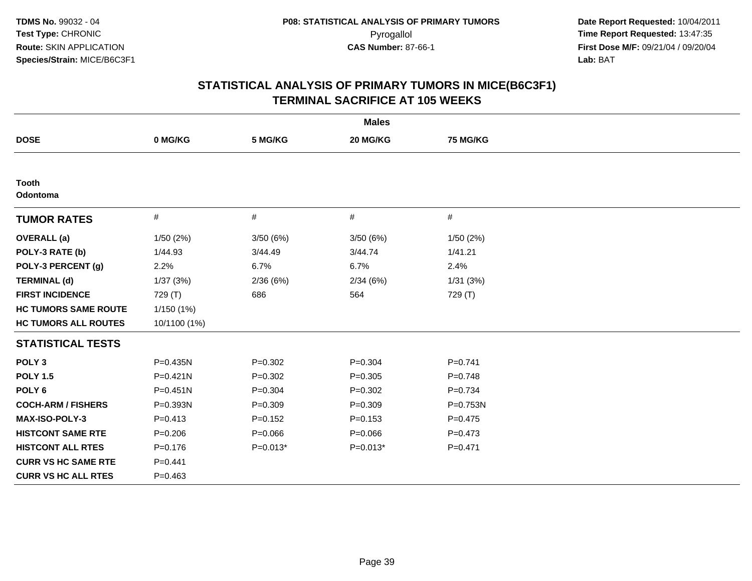| <b>Males</b>                |              |             |             |                 |  |  |
|-----------------------------|--------------|-------------|-------------|-----------------|--|--|
| <b>DOSE</b>                 | 0 MG/KG      | 5 MG/KG     | 20 MG/KG    | <b>75 MG/KG</b> |  |  |
|                             |              |             |             |                 |  |  |
| <b>Tooth</b><br>Odontoma    |              |             |             |                 |  |  |
| <b>TUMOR RATES</b>          | $\#$         | $\#$        | #           | #               |  |  |
| <b>OVERALL</b> (a)          | 1/50(2%)     | 3/50 (6%)   | 3/50(6%)    | 1/50(2%)        |  |  |
| POLY-3 RATE (b)             | 1/44.93      | 3/44.49     | 3/44.74     | 1/41.21         |  |  |
| POLY-3 PERCENT (g)          | 2.2%         | 6.7%        | 6.7%        | 2.4%            |  |  |
| <b>TERMINAL (d)</b>         | 1/37(3%)     | 2/36(6%)    | 2/34(6%)    | 1/31(3%)        |  |  |
| <b>FIRST INCIDENCE</b>      | 729 (T)      | 686         | 564         | 729 (T)         |  |  |
| <b>HC TUMORS SAME ROUTE</b> | 1/150(1%)    |             |             |                 |  |  |
| <b>HC TUMORS ALL ROUTES</b> | 10/1100 (1%) |             |             |                 |  |  |
| <b>STATISTICAL TESTS</b>    |              |             |             |                 |  |  |
| POLY <sub>3</sub>           | P=0.435N     | $P = 0.302$ | $P = 0.304$ | $P=0.741$       |  |  |
| <b>POLY 1.5</b>             | $P = 0.421N$ | $P=0.302$   | $P=0.305$   | $P = 0.748$     |  |  |
| POLY <sub>6</sub>           | $P = 0.451N$ | $P = 0.304$ | $P = 0.302$ | $P = 0.734$     |  |  |
| <b>COCH-ARM / FISHERS</b>   | P=0.393N     | $P = 0.309$ | $P = 0.309$ | P=0.753N        |  |  |
| <b>MAX-ISO-POLY-3</b>       | $P = 0.413$  | $P=0.152$   | $P = 0.153$ | $P=0.475$       |  |  |
| <b>HISTCONT SAME RTE</b>    | $P = 0.206$  | $P = 0.066$ | $P = 0.066$ | $P = 0.473$     |  |  |
| <b>HISTCONT ALL RTES</b>    | $P = 0.176$  | $P=0.013*$  | $P=0.013*$  | $P = 0.471$     |  |  |
| <b>CURR VS HC SAME RTE</b>  | $P=0.441$    |             |             |                 |  |  |
| <b>CURR VS HC ALL RTES</b>  | $P=0.463$    |             |             |                 |  |  |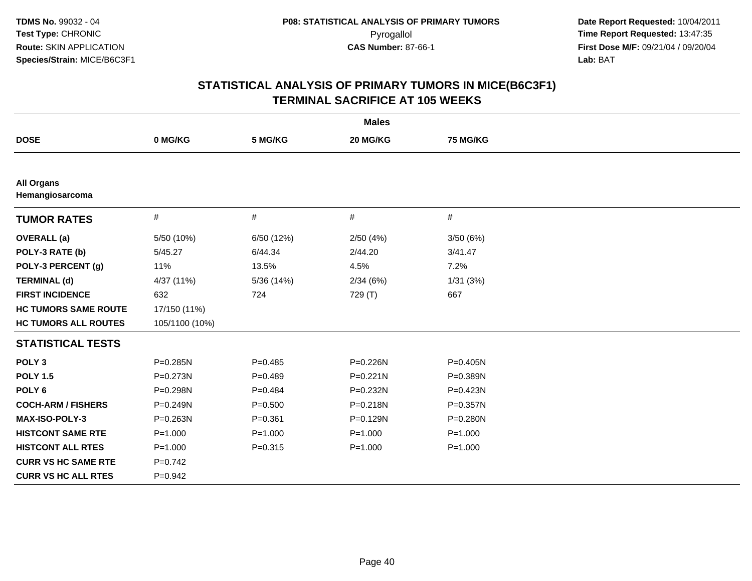| <b>Males</b>                         |                |             |              |              |  |  |
|--------------------------------------|----------------|-------------|--------------|--------------|--|--|
| <b>DOSE</b>                          | 0 MG/KG        | 5 MG/KG     | 20 MG/KG     | 75 MG/KG     |  |  |
|                                      |                |             |              |              |  |  |
| <b>All Organs</b><br>Hemangiosarcoma |                |             |              |              |  |  |
| <b>TUMOR RATES</b>                   | $\#$           | #           | #            | #            |  |  |
| <b>OVERALL</b> (a)                   | 5/50 (10%)     | 6/50 (12%)  | 2/50(4%)     | 3/50(6%)     |  |  |
| POLY-3 RATE (b)                      | 5/45.27        | 6/44.34     | 2/44.20      | 3/41.47      |  |  |
| POLY-3 PERCENT (g)                   | 11%            | 13.5%       | 4.5%         | 7.2%         |  |  |
| <b>TERMINAL (d)</b>                  | 4/37 (11%)     | 5/36 (14%)  | 2/34(6%)     | 1/31(3%)     |  |  |
| <b>FIRST INCIDENCE</b>               | 632            | 724         | 729 (T)      | 667          |  |  |
| <b>HC TUMORS SAME ROUTE</b>          | 17/150 (11%)   |             |              |              |  |  |
| <b>HC TUMORS ALL ROUTES</b>          | 105/1100 (10%) |             |              |              |  |  |
| <b>STATISTICAL TESTS</b>             |                |             |              |              |  |  |
| POLY <sub>3</sub>                    | P=0.285N       | $P=0.485$   | P=0.226N     | P=0.405N     |  |  |
| <b>POLY 1.5</b>                      | P=0.273N       | $P=0.489$   | $P = 0.221N$ | P=0.389N     |  |  |
| POLY <sub>6</sub>                    | P=0.298N       | $P = 0.484$ | P=0.232N     | P=0.423N     |  |  |
| <b>COCH-ARM / FISHERS</b>            | P=0.249N       | $P = 0.500$ | P=0.218N     | $P = 0.357N$ |  |  |
| <b>MAX-ISO-POLY-3</b>                | P=0.263N       | $P = 0.361$ | P=0.129N     | $P = 0.280N$ |  |  |
| <b>HISTCONT SAME RTE</b>             | $P = 1.000$    | $P = 1.000$ | $P = 1.000$  | $P = 1.000$  |  |  |
| <b>HISTCONT ALL RTES</b>             | $P = 1.000$    | $P = 0.315$ | $P = 1.000$  | $P = 1.000$  |  |  |
| <b>CURR VS HC SAME RTE</b>           | $P=0.742$      |             |              |              |  |  |
| <b>CURR VS HC ALL RTES</b>           | $P=0.942$      |             |              |              |  |  |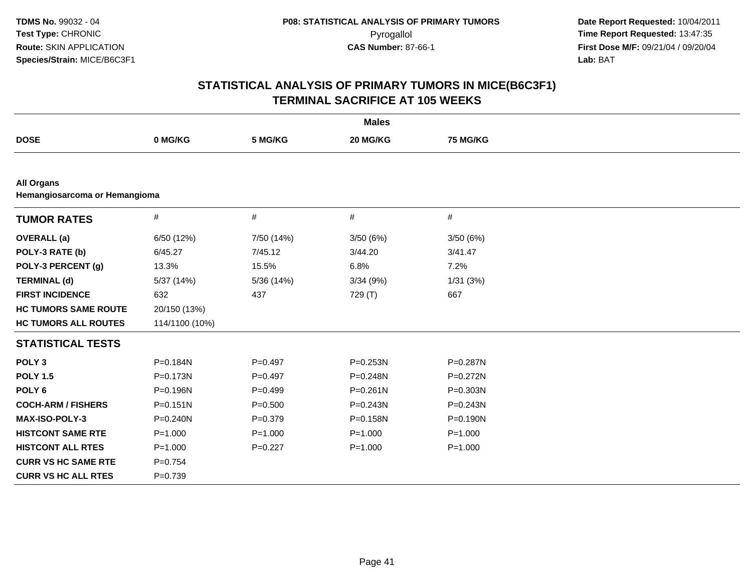| <b>Males</b>                                       |                |             |              |              |  |  |
|----------------------------------------------------|----------------|-------------|--------------|--------------|--|--|
| <b>DOSE</b>                                        | 0 MG/KG        | 5 MG/KG     | 20 MG/KG     | 75 MG/KG     |  |  |
|                                                    |                |             |              |              |  |  |
| <b>All Organs</b><br>Hemangiosarcoma or Hemangioma |                |             |              |              |  |  |
| <b>TUMOR RATES</b>                                 | $\#$           | $\#$        | #            | #            |  |  |
| <b>OVERALL</b> (a)                                 | 6/50 (12%)     | 7/50 (14%)  | 3/50(6%)     | 3/50(6%)     |  |  |
| POLY-3 RATE (b)                                    | 6/45.27        | 7/45.12     | 3/44.20      | 3/41.47      |  |  |
| POLY-3 PERCENT (g)                                 | 13.3%          | 15.5%       | 6.8%         | 7.2%         |  |  |
| <b>TERMINAL (d)</b>                                | 5/37 (14%)     | 5/36 (14%)  | 3/34(9%)     | 1/31(3%)     |  |  |
| <b>FIRST INCIDENCE</b>                             | 632            | 437         | 729 (T)      | 667          |  |  |
| <b>HC TUMORS SAME ROUTE</b>                        | 20/150 (13%)   |             |              |              |  |  |
| <b>HC TUMORS ALL ROUTES</b>                        | 114/1100 (10%) |             |              |              |  |  |
| <b>STATISTICAL TESTS</b>                           |                |             |              |              |  |  |
| POLY <sub>3</sub>                                  | P=0.184N       | $P=0.497$   | P=0.253N     | P=0.287N     |  |  |
| <b>POLY 1.5</b>                                    | P=0.173N       | $P=0.497$   | P=0.248N     | $P = 0.272N$ |  |  |
| POLY <sub>6</sub>                                  | P=0.196N       | $P=0.499$   | $P = 0.261N$ | P=0.303N     |  |  |
| <b>COCH-ARM / FISHERS</b>                          | $P = 0.151N$   | $P = 0.500$ | $P = 0.243N$ | $P = 0.243N$ |  |  |
| MAX-ISO-POLY-3                                     | $P = 0.240N$   | $P = 0.379$ | P=0.158N     | $P = 0.190N$ |  |  |
| <b>HISTCONT SAME RTE</b>                           | $P = 1.000$    | $P = 1.000$ | $P = 1.000$  | $P = 1.000$  |  |  |
| <b>HISTCONT ALL RTES</b>                           | $P = 1.000$    | $P=0.227$   | $P = 1.000$  | $P = 1.000$  |  |  |
| <b>CURR VS HC SAME RTE</b>                         | $P = 0.754$    |             |              |              |  |  |
| <b>CURR VS HC ALL RTES</b>                         | $P = 0.739$    |             |              |              |  |  |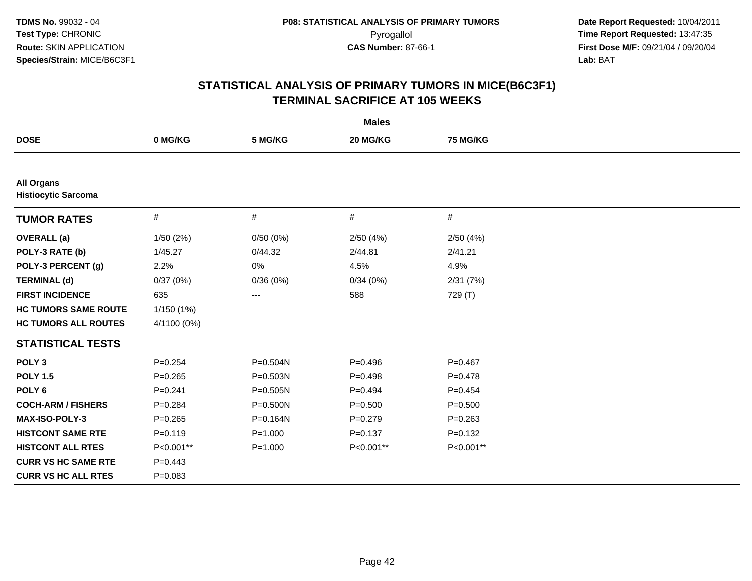| <b>Males</b>                                    |             |                   |             |             |  |  |
|-------------------------------------------------|-------------|-------------------|-------------|-------------|--|--|
| <b>DOSE</b>                                     | 0 MG/KG     | 5 MG/KG           | 20 MG/KG    | 75 MG/KG    |  |  |
|                                                 |             |                   |             |             |  |  |
| <b>All Organs</b><br><b>Histiocytic Sarcoma</b> |             |                   |             |             |  |  |
| <b>TUMOR RATES</b>                              | #           | #                 | $\#$        | $\#$        |  |  |
| <b>OVERALL</b> (a)                              | 1/50(2%)    | 0/50(0%)          | 2/50(4%)    | 2/50(4%)    |  |  |
| POLY-3 RATE (b)                                 | 1/45.27     | 0/44.32           | 2/44.81     | 2/41.21     |  |  |
| POLY-3 PERCENT (g)                              | 2.2%        | 0%                | 4.5%        | 4.9%        |  |  |
| <b>TERMINAL (d)</b>                             | 0/37(0%)    | 0/36(0%)          | 0/34(0%)    | 2/31(7%)    |  |  |
| <b>FIRST INCIDENCE</b>                          | 635         | $\qquad \qquad -$ | 588         | 729 (T)     |  |  |
| <b>HC TUMORS SAME ROUTE</b>                     | 1/150 (1%)  |                   |             |             |  |  |
| <b>HC TUMORS ALL ROUTES</b>                     | 4/1100 (0%) |                   |             |             |  |  |
| <b>STATISTICAL TESTS</b>                        |             |                   |             |             |  |  |
| POLY <sub>3</sub>                               | $P = 0.254$ | $P = 0.504N$      | $P=0.496$   | $P = 0.467$ |  |  |
| <b>POLY 1.5</b>                                 | $P=0.265$   | $P = 0.503N$      | $P=0.498$   | $P = 0.478$ |  |  |
| POLY <sub>6</sub>                               | $P = 0.241$ | $P = 0.505N$      | $P = 0.494$ | $P=0.454$   |  |  |
| <b>COCH-ARM / FISHERS</b>                       | $P = 0.284$ | $P = 0.500N$      | $P = 0.500$ | $P = 0.500$ |  |  |
| <b>MAX-ISO-POLY-3</b>                           | $P=0.265$   | P=0.164N          | $P=0.279$   | $P = 0.263$ |  |  |
| <b>HISTCONT SAME RTE</b>                        | $P=0.119$   | $P = 1.000$       | $P = 0.137$ | $P = 0.132$ |  |  |
| <b>HISTCONT ALL RTES</b>                        | P<0.001**   | $P = 1.000$       | P<0.001**   | P<0.001**   |  |  |
| <b>CURR VS HC SAME RTE</b>                      | $P=0.443$   |                   |             |             |  |  |
| <b>CURR VS HC ALL RTES</b>                      | $P = 0.083$ |                   |             |             |  |  |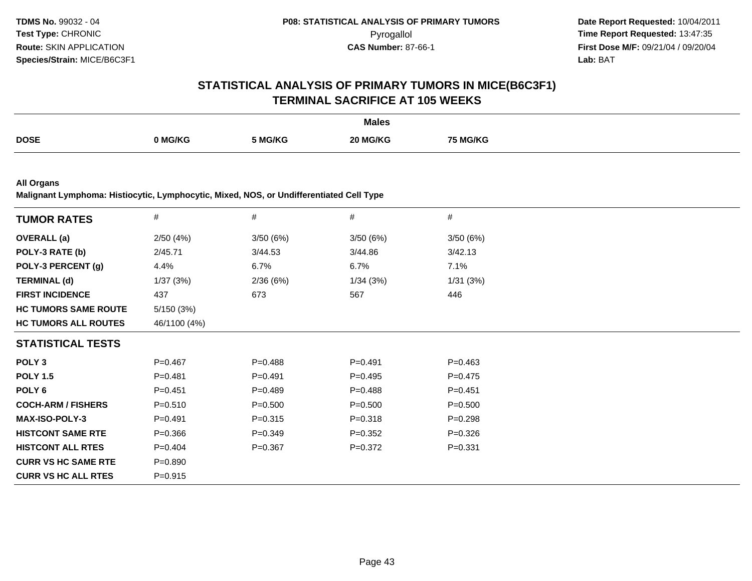# **STATISTICAL ANALYSIS OF PRIMARY TUMORS IN MICE(B6C3F1)TERMINAL SACRIFICE AT 105 WEEKS**

|             |       |         | <b>Males</b> |         |
|-------------|-------|---------|--------------|---------|
| <b>DOSE</b> | MG/KG | 5 MG/KG |              | MG/KG ' |

**All Organs**

**Malignant Lymphoma: Histiocytic, Lymphocytic, Mixed, NOS, or Undifferentiated Cell Type**

| <b>TUMOR RATES</b>          | $\#$         | $\#$        | #           | $\#$        |  |
|-----------------------------|--------------|-------------|-------------|-------------|--|
| <b>OVERALL</b> (a)          | 2/50(4%)     | 3/50(6%)    | 3/50(6%)    | 3/50(6%)    |  |
| POLY-3 RATE (b)             | 2/45.71      | 3/44.53     | 3/44.86     | 3/42.13     |  |
| POLY-3 PERCENT (g)          | 4.4%         | 6.7%        | 6.7%        | 7.1%        |  |
| <b>TERMINAL (d)</b>         | 1/37(3%)     | 2/36(6%)    | 1/34(3%)    | 1/31(3%)    |  |
| <b>FIRST INCIDENCE</b>      | 437          | 673         | 567         | 446         |  |
| <b>HC TUMORS SAME ROUTE</b> | 5/150(3%)    |             |             |             |  |
| <b>HC TUMORS ALL ROUTES</b> | 46/1100 (4%) |             |             |             |  |
| <b>STATISTICAL TESTS</b>    |              |             |             |             |  |
| POLY <sub>3</sub>           | $P = 0.467$  | $P = 0.488$ | $P = 0.491$ | $P = 0.463$ |  |
| <b>POLY 1.5</b>             | $P = 0.481$  | $P = 0.491$ | $P = 0.495$ | $P=0.475$   |  |
| POLY 6                      | $P = 0.451$  | $P=0.489$   | $P = 0.488$ | $P = 0.451$ |  |
| <b>COCH-ARM / FISHERS</b>   | $P = 0.510$  | $P = 0.500$ | $P = 0.500$ | $P = 0.500$ |  |
| <b>MAX-ISO-POLY-3</b>       | $P=0.491$    | $P = 0.315$ | $P = 0.318$ | $P = 0.298$ |  |
| <b>HISTCONT SAME RTE</b>    | $P = 0.366$  | $P = 0.349$ | $P = 0.352$ | $P = 0.326$ |  |
| <b>HISTCONT ALL RTES</b>    | $P = 0.404$  | $P = 0.367$ | $P = 0.372$ | $P = 0.331$ |  |
| <b>CURR VS HC SAME RTE</b>  | $P = 0.890$  |             |             |             |  |
| <b>CURR VS HC ALL RTES</b>  | $P = 0.915$  |             |             |             |  |
|                             |              |             |             |             |  |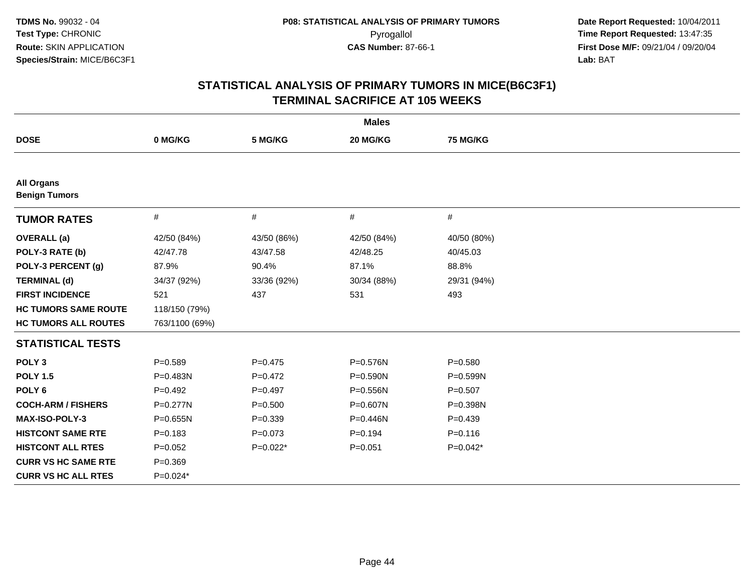| <b>Males</b>                              |                |             |             |                 |  |  |
|-------------------------------------------|----------------|-------------|-------------|-----------------|--|--|
| <b>DOSE</b>                               | 0 MG/KG        | 5 MG/KG     | 20 MG/KG    | <b>75 MG/KG</b> |  |  |
|                                           |                |             |             |                 |  |  |
| <b>All Organs</b><br><b>Benign Tumors</b> |                |             |             |                 |  |  |
| <b>TUMOR RATES</b>                        | $\#$           | $\#$        | #           | #               |  |  |
| <b>OVERALL</b> (a)                        | 42/50 (84%)    | 43/50 (86%) | 42/50 (84%) | 40/50 (80%)     |  |  |
| POLY-3 RATE (b)                           | 42/47.78       | 43/47.58    | 42/48.25    | 40/45.03        |  |  |
| POLY-3 PERCENT (g)                        | 87.9%          | 90.4%       | 87.1%       | 88.8%           |  |  |
| <b>TERMINAL (d)</b>                       | 34/37 (92%)    | 33/36 (92%) | 30/34 (88%) | 29/31 (94%)     |  |  |
| <b>FIRST INCIDENCE</b>                    | 521            | 437         | 531         | 493             |  |  |
| <b>HC TUMORS SAME ROUTE</b>               | 118/150 (79%)  |             |             |                 |  |  |
| <b>HC TUMORS ALL ROUTES</b>               | 763/1100 (69%) |             |             |                 |  |  |
| <b>STATISTICAL TESTS</b>                  |                |             |             |                 |  |  |
| POLY <sub>3</sub>                         | $P = 0.589$    | $P = 0.475$ | P=0.576N    | $P = 0.580$     |  |  |
| <b>POLY 1.5</b>                           | P=0.483N       | $P=0.472$   | P=0.590N    | P=0.599N        |  |  |
| POLY <sub>6</sub>                         | $P=0.492$      | $P = 0.497$ | P=0.556N    | $P = 0.507$     |  |  |
| <b>COCH-ARM / FISHERS</b>                 | $P = 0.277N$   | $P = 0.500$ | P=0.607N    | $P = 0.398N$    |  |  |
| <b>MAX-ISO-POLY-3</b>                     | $P = 0.655N$   | $P = 0.339$ | P=0.446N    | $P=0.439$       |  |  |
| <b>HISTCONT SAME RTE</b>                  | $P = 0.183$    | $P = 0.073$ | $P = 0.194$ | $P = 0.116$     |  |  |
| <b>HISTCONT ALL RTES</b>                  | $P=0.052$      | $P=0.022*$  | $P = 0.051$ | $P=0.042*$      |  |  |
| <b>CURR VS HC SAME RTE</b>                | $P = 0.369$    |             |             |                 |  |  |
| <b>CURR VS HC ALL RTES</b>                | $P=0.024*$     |             |             |                 |  |  |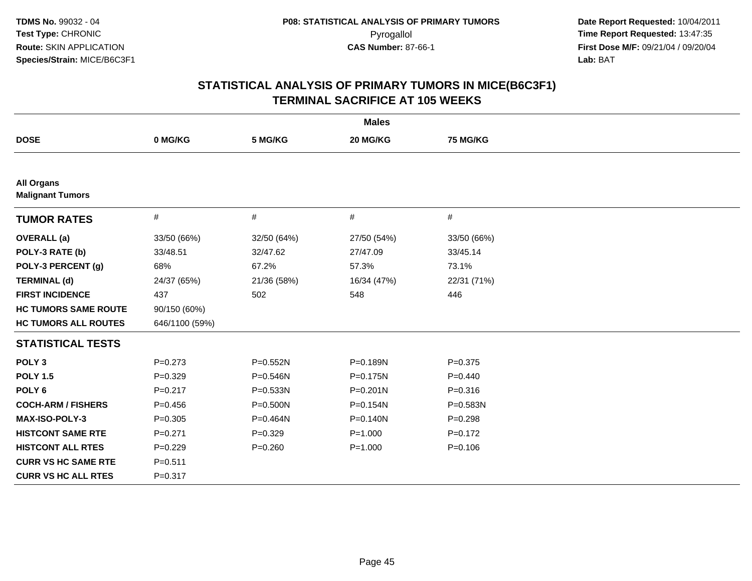| <b>Males</b>                                 |                |             |              |             |  |  |
|----------------------------------------------|----------------|-------------|--------------|-------------|--|--|
| <b>DOSE</b>                                  | 0 MG/KG        | 5 MG/KG     | 20 MG/KG     | 75 MG/KG    |  |  |
|                                              |                |             |              |             |  |  |
| <b>All Organs</b><br><b>Malignant Tumors</b> |                |             |              |             |  |  |
| <b>TUMOR RATES</b>                           | $\#$           | #           | #            | #           |  |  |
| <b>OVERALL</b> (a)                           | 33/50 (66%)    | 32/50 (64%) | 27/50 (54%)  | 33/50 (66%) |  |  |
| POLY-3 RATE (b)                              | 33/48.51       | 32/47.62    | 27/47.09     | 33/45.14    |  |  |
| POLY-3 PERCENT (g)                           | 68%            | 67.2%       | 57.3%        | 73.1%       |  |  |
| <b>TERMINAL (d)</b>                          | 24/37 (65%)    | 21/36 (58%) | 16/34 (47%)  | 22/31 (71%) |  |  |
| <b>FIRST INCIDENCE</b>                       | 437            | 502         | 548          | 446         |  |  |
| <b>HC TUMORS SAME ROUTE</b>                  | 90/150 (60%)   |             |              |             |  |  |
| <b>HC TUMORS ALL ROUTES</b>                  | 646/1100 (59%) |             |              |             |  |  |
| <b>STATISTICAL TESTS</b>                     |                |             |              |             |  |  |
| POLY <sub>3</sub>                            | $P = 0.273$    | P=0.552N    | P=0.189N     | $P = 0.375$ |  |  |
| <b>POLY 1.5</b>                              | $P = 0.329$    | P=0.546N    | $P = 0.175N$ | $P=0.440$   |  |  |
| POLY <sub>6</sub>                            | $P = 0.217$    | P=0.533N    | $P = 0.201N$ | $P = 0.316$ |  |  |
| <b>COCH-ARM / FISHERS</b>                    | $P=0.456$      | P=0.500N    | $P = 0.154N$ | P=0.583N    |  |  |
| <b>MAX-ISO-POLY-3</b>                        | $P = 0.305$    | P=0.464N    | $P = 0.140N$ | $P=0.298$   |  |  |
| <b>HISTCONT SAME RTE</b>                     | $P = 0.271$    | $P=0.329$   | $P = 1.000$  | $P = 0.172$ |  |  |
| <b>HISTCONT ALL RTES</b>                     | $P = 0.229$    | $P = 0.260$ | $P = 1.000$  | $P = 0.106$ |  |  |
| <b>CURR VS HC SAME RTE</b>                   | $P = 0.511$    |             |              |             |  |  |
| <b>CURR VS HC ALL RTES</b>                   | $P = 0.317$    |             |              |             |  |  |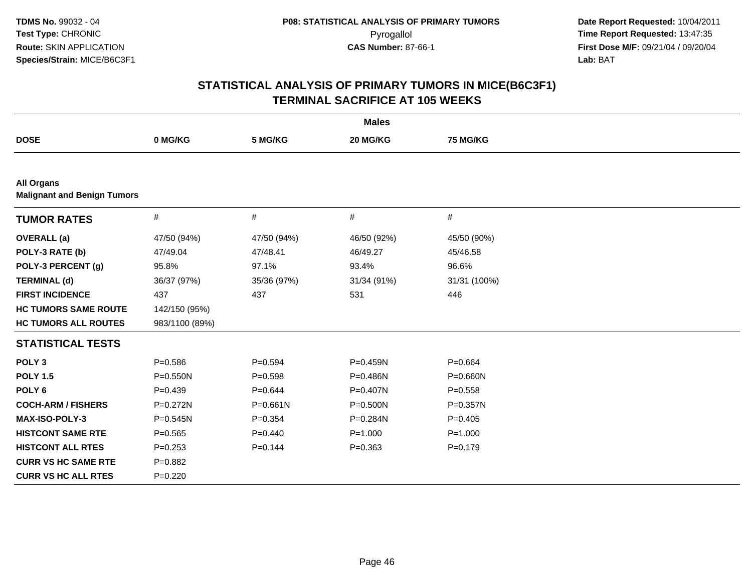| <b>Males</b>                                            |                |              |              |              |  |  |
|---------------------------------------------------------|----------------|--------------|--------------|--------------|--|--|
| <b>DOSE</b>                                             | 0 MG/KG        | 5 MG/KG      | 20 MG/KG     | 75 MG/KG     |  |  |
|                                                         |                |              |              |              |  |  |
| <b>All Organs</b><br><b>Malignant and Benign Tumors</b> |                |              |              |              |  |  |
| <b>TUMOR RATES</b>                                      | $\#$           | #            | #            | #            |  |  |
| <b>OVERALL</b> (a)                                      | 47/50 (94%)    | 47/50 (94%)  | 46/50 (92%)  | 45/50 (90%)  |  |  |
| POLY-3 RATE (b)                                         | 47/49.04       | 47/48.41     | 46/49.27     | 45/46.58     |  |  |
| POLY-3 PERCENT (g)                                      | 95.8%          | 97.1%        | 93.4%        | 96.6%        |  |  |
| <b>TERMINAL (d)</b>                                     | 36/37 (97%)    | 35/36 (97%)  | 31/34 (91%)  | 31/31 (100%) |  |  |
| <b>FIRST INCIDENCE</b>                                  | 437            | 437          | 531          | 446          |  |  |
| <b>HC TUMORS SAME ROUTE</b>                             | 142/150 (95%)  |              |              |              |  |  |
| <b>HC TUMORS ALL ROUTES</b>                             | 983/1100 (89%) |              |              |              |  |  |
| <b>STATISTICAL TESTS</b>                                |                |              |              |              |  |  |
| POLY <sub>3</sub>                                       | $P = 0.586$    | $P = 0.594$  | P=0.459N     | $P = 0.664$  |  |  |
| <b>POLY 1.5</b>                                         | P=0.550N       | $P = 0.598$  | P=0.486N     | $P = 0.660N$ |  |  |
| POLY <sub>6</sub>                                       | $P=0.439$      | $P = 0.644$  | P=0.407N     | $P = 0.558$  |  |  |
| <b>COCH-ARM / FISHERS</b>                               | P=0.272N       | $P = 0.661N$ | $P = 0.500N$ | $P = 0.357N$ |  |  |
| MAX-ISO-POLY-3                                          | P=0.545N       | $P = 0.354$  | P=0.284N     | $P=0.405$    |  |  |
| <b>HISTCONT SAME RTE</b>                                | $P=0.565$      | $P=0.440$    | $P = 1.000$  | $P = 1.000$  |  |  |
| <b>HISTCONT ALL RTES</b>                                | $P=0.253$      | $P = 0.144$  | $P = 0.363$  | $P=0.179$    |  |  |
| <b>CURR VS HC SAME RTE</b>                              | $P=0.882$      |              |              |              |  |  |
| <b>CURR VS HC ALL RTES</b>                              | $P = 0.220$    |              |              |              |  |  |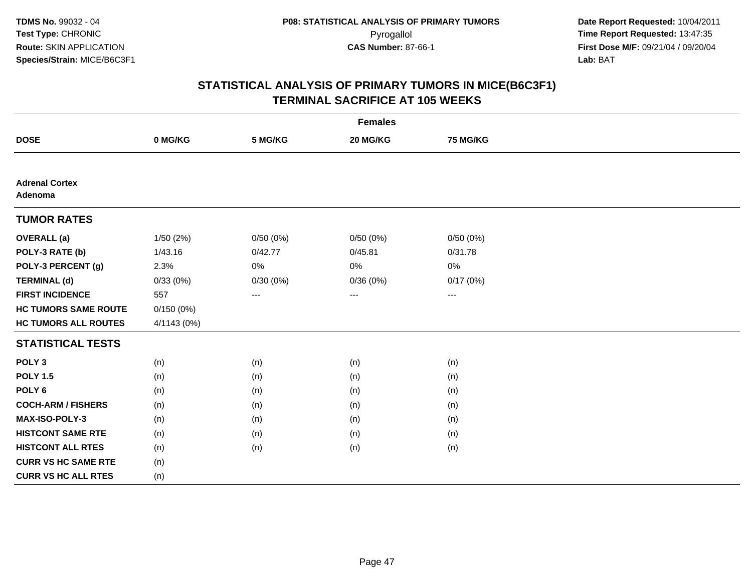| <b>Females</b>                   |             |          |          |                        |  |  |
|----------------------------------|-------------|----------|----------|------------------------|--|--|
| <b>DOSE</b>                      | 0 MG/KG     | 5 MG/KG  | 20 MG/KG | <b>75 MG/KG</b>        |  |  |
|                                  |             |          |          |                        |  |  |
| <b>Adrenal Cortex</b><br>Adenoma |             |          |          |                        |  |  |
| <b>TUMOR RATES</b>               |             |          |          |                        |  |  |
| <b>OVERALL</b> (a)               | 1/50 (2%)   | 0/50(0%) | 0/50(0%) | 0/50(0%)               |  |  |
| POLY-3 RATE (b)                  | 1/43.16     | 0/42.77  | 0/45.81  | 0/31.78                |  |  |
| POLY-3 PERCENT (g)               | 2.3%        | 0%       | 0%       | 0%                     |  |  |
| <b>TERMINAL (d)</b>              | 0/33(0%)    | 0/30(0%) | 0/36(0%) | 0/17(0%)               |  |  |
| <b>FIRST INCIDENCE</b>           | 557         | ---      | ---      | $\qquad \qquad \cdots$ |  |  |
| <b>HC TUMORS SAME ROUTE</b>      | 0/150(0%)   |          |          |                        |  |  |
| <b>HC TUMORS ALL ROUTES</b>      | 4/1143 (0%) |          |          |                        |  |  |
| <b>STATISTICAL TESTS</b>         |             |          |          |                        |  |  |
| POLY <sub>3</sub>                | (n)         | (n)      | (n)      | (n)                    |  |  |
| <b>POLY 1.5</b>                  | (n)         | (n)      | (n)      | (n)                    |  |  |
| POLY <sub>6</sub>                | (n)         | (n)      | (n)      | (n)                    |  |  |
| <b>COCH-ARM / FISHERS</b>        | (n)         | (n)      | (n)      | (n)                    |  |  |
| MAX-ISO-POLY-3                   | (n)         | (n)      | (n)      | (n)                    |  |  |
| <b>HISTCONT SAME RTE</b>         | (n)         | (n)      | (n)      | (n)                    |  |  |
| <b>HISTCONT ALL RTES</b>         | (n)         | (n)      | (n)      | (n)                    |  |  |
| <b>CURR VS HC SAME RTE</b>       | (n)         |          |          |                        |  |  |
| <b>CURR VS HC ALL RTES</b>       | (n)         |          |          |                        |  |  |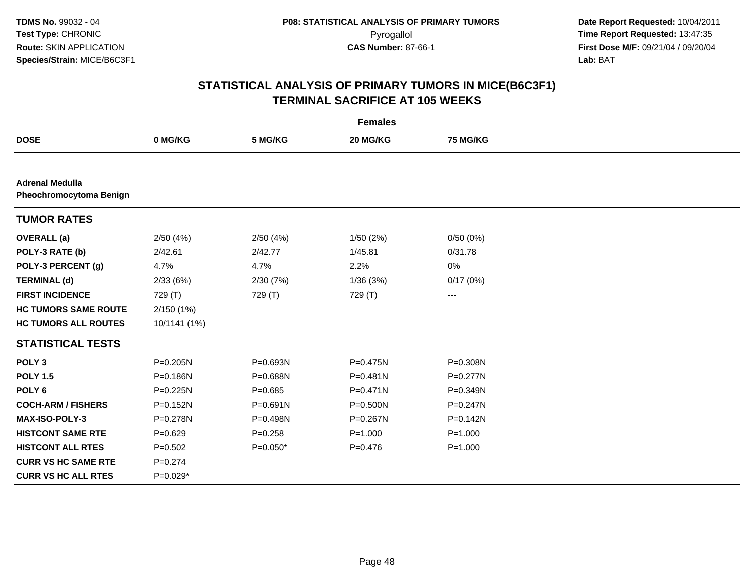| <b>Females</b>                                           |              |              |              |                 |  |
|----------------------------------------------------------|--------------|--------------|--------------|-----------------|--|
| <b>DOSE</b>                                              | 0 MG/KG      | 5 MG/KG      | 20 MG/KG     | <b>75 MG/KG</b> |  |
|                                                          |              |              |              |                 |  |
| <b>Adrenal Medulla</b><br><b>Pheochromocytoma Benign</b> |              |              |              |                 |  |
| <b>TUMOR RATES</b>                                       |              |              |              |                 |  |
| <b>OVERALL</b> (a)                                       | 2/50(4%)     | 2/50(4%)     | 1/50(2%)     | 0/50(0%)        |  |
| POLY-3 RATE (b)                                          | 2/42.61      | 2/42.77      | 1/45.81      | 0/31.78         |  |
| POLY-3 PERCENT (g)                                       | 4.7%         | 4.7%         | 2.2%         | 0%              |  |
| <b>TERMINAL (d)</b>                                      | 2/33(6%)     | 2/30(7%)     | 1/36(3%)     | 0/17(0%)        |  |
| <b>FIRST INCIDENCE</b>                                   | 729 (T)      | 729 (T)      | 729 (T)      | ---             |  |
| <b>HC TUMORS SAME ROUTE</b>                              | 2/150(1%)    |              |              |                 |  |
| <b>HC TUMORS ALL ROUTES</b>                              | 10/1141 (1%) |              |              |                 |  |
| <b>STATISTICAL TESTS</b>                                 |              |              |              |                 |  |
| POLY <sub>3</sub>                                        | $P = 0.205N$ | P=0.693N     | P=0.475N     | P=0.308N        |  |
| <b>POLY 1.5</b>                                          | P=0.186N     | P=0.688N     | $P = 0.481N$ | $P = 0.277N$    |  |
| POLY <sub>6</sub>                                        | P=0.225N     | $P = 0.685$  | P=0.471N     | P=0.349N        |  |
| <b>COCH-ARM / FISHERS</b>                                | $P = 0.152N$ | $P = 0.691N$ | $P = 0.500N$ | $P = 0.247N$    |  |
| <b>MAX-ISO-POLY-3</b>                                    | P=0.278N     | P=0.498N     | P=0.267N     | P=0.142N        |  |
| <b>HISTCONT SAME RTE</b>                                 | $P=0.629$    | $P = 0.258$  | $P = 1.000$  | $P = 1.000$     |  |
| <b>HISTCONT ALL RTES</b>                                 | $P=0.502$    | $P=0.050*$   | $P = 0.476$  | $P = 1.000$     |  |
| <b>CURR VS HC SAME RTE</b>                               | $P = 0.274$  |              |              |                 |  |
| <b>CURR VS HC ALL RTES</b>                               | $P=0.029*$   |              |              |                 |  |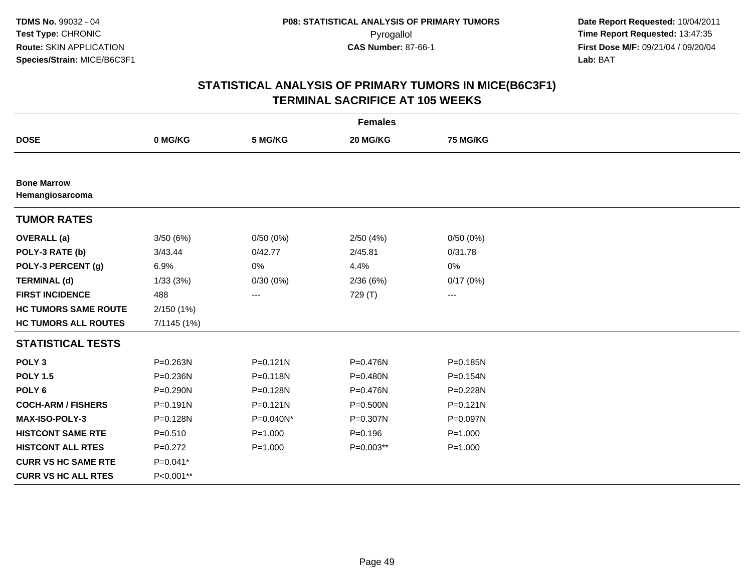| <b>Females</b>                        |              |              |              |              |  |
|---------------------------------------|--------------|--------------|--------------|--------------|--|
| <b>DOSE</b>                           | 0 MG/KG      | 5 MG/KG      | 20 MG/KG     | 75 MG/KG     |  |
|                                       |              |              |              |              |  |
| <b>Bone Marrow</b><br>Hemangiosarcoma |              |              |              |              |  |
| <b>TUMOR RATES</b>                    |              |              |              |              |  |
| <b>OVERALL</b> (a)                    | 3/50(6%)     | 0/50(0%)     | 2/50(4%)     | 0/50(0%)     |  |
| POLY-3 RATE (b)                       | 3/43.44      | 0/42.77      | 2/45.81      | 0/31.78      |  |
| POLY-3 PERCENT (g)                    | 6.9%         | 0%           | 4.4%         | 0%           |  |
| <b>TERMINAL (d)</b>                   | 1/33(3%)     | 0/30(0%)     | 2/36(6%)     | 0/17(0%)     |  |
| <b>FIRST INCIDENCE</b>                | 488          | ---          | 729 (T)      | ---          |  |
| <b>HC TUMORS SAME ROUTE</b>           | 2/150 (1%)   |              |              |              |  |
| <b>HC TUMORS ALL ROUTES</b>           | 7/1145 (1%)  |              |              |              |  |
| <b>STATISTICAL TESTS</b>              |              |              |              |              |  |
| POLY <sub>3</sub>                     | P=0.263N     | $P = 0.121N$ | P=0.476N     | P=0.185N     |  |
| <b>POLY 1.5</b>                       | $P = 0.236N$ | $P = 0.118N$ | $P = 0.480N$ | P=0.154N     |  |
| POLY <sub>6</sub>                     | P=0.290N     | P=0.128N     | P=0.476N     | P=0.228N     |  |
| <b>COCH-ARM / FISHERS</b>             | $P = 0.191N$ | $P = 0.121N$ | $P = 0.500N$ | $P = 0.121N$ |  |
| MAX-ISO-POLY-3                        | P=0.128N     | P=0.040N*    | P=0.307N     | P=0.097N     |  |
| <b>HISTCONT SAME RTE</b>              | $P = 0.510$  | $P = 1.000$  | $P = 0.196$  | $P = 1.000$  |  |
| <b>HISTCONT ALL RTES</b>              | $P=0.272$    | $P = 1.000$  | $P=0.003**$  | $P = 1.000$  |  |
| <b>CURR VS HC SAME RTE</b>            | P=0.041*     |              |              |              |  |
| <b>CURR VS HC ALL RTES</b>            | P<0.001**    |              |              |              |  |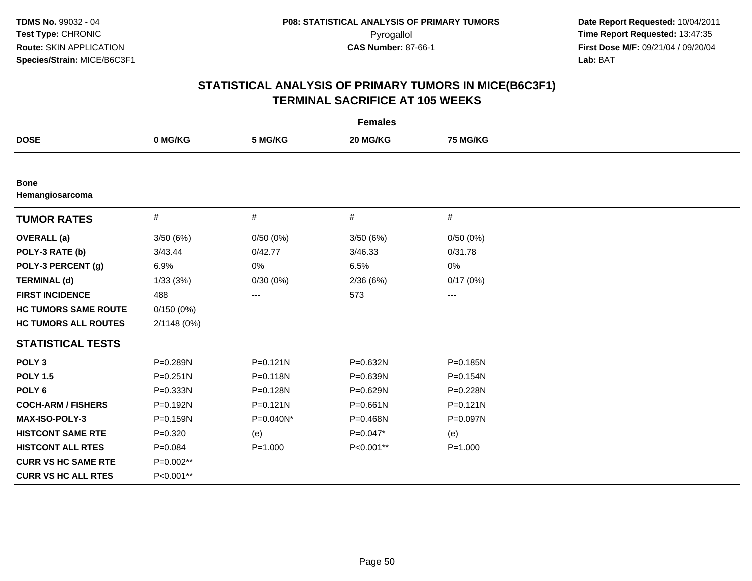| <b>Females</b>                 |              |              |              |                        |  |
|--------------------------------|--------------|--------------|--------------|------------------------|--|
| <b>DOSE</b>                    | 0 MG/KG      | 5 MG/KG      | 20 MG/KG     | 75 MG/KG               |  |
|                                |              |              |              |                        |  |
| <b>Bone</b><br>Hemangiosarcoma |              |              |              |                        |  |
| <b>TUMOR RATES</b>             | #            | $\#$         | $\#$         | $\#$                   |  |
| <b>OVERALL</b> (a)             | 3/50(6%)     | 0/50(0%)     | 3/50(6%)     | 0/50(0%)               |  |
| POLY-3 RATE (b)                | 3/43.44      | 0/42.77      | 3/46.33      | 0/31.78                |  |
| POLY-3 PERCENT (g)             | 6.9%         | 0%           | 6.5%         | 0%                     |  |
| <b>TERMINAL (d)</b>            | 1/33(3%)     | 0/30(0%)     | 2/36(6%)     | 0/17(0%)               |  |
| <b>FIRST INCIDENCE</b>         | 488          | ---          | 573          | $\qquad \qquad \cdots$ |  |
| <b>HC TUMORS SAME ROUTE</b>    | 0/150(0%)    |              |              |                        |  |
| <b>HC TUMORS ALL ROUTES</b>    | 2/1148 (0%)  |              |              |                        |  |
| <b>STATISTICAL TESTS</b>       |              |              |              |                        |  |
| POLY <sub>3</sub>              | P=0.289N     | $P = 0.121N$ | P=0.632N     | P=0.185N               |  |
| <b>POLY 1.5</b>                | $P = 0.251N$ | $P = 0.118N$ | P=0.639N     | P=0.154N               |  |
| POLY <sub>6</sub>              | P=0.333N     | P=0.128N     | P=0.629N     | P=0.228N               |  |
| <b>COCH-ARM / FISHERS</b>      | P=0.192N     | $P = 0.121N$ | $P = 0.661N$ | $P = 0.121N$           |  |
| <b>MAX-ISO-POLY-3</b>          | P=0.159N     | P=0.040N*    | P=0.468N     | P=0.097N               |  |
| <b>HISTCONT SAME RTE</b>       | $P=0.320$    | (e)          | $P=0.047*$   | (e)                    |  |
| <b>HISTCONT ALL RTES</b>       | $P = 0.084$  | $P = 1.000$  | P<0.001**    | $P = 1.000$            |  |
| <b>CURR VS HC SAME RTE</b>     | P=0.002**    |              |              |                        |  |
| <b>CURR VS HC ALL RTES</b>     | P<0.001**    |              |              |                        |  |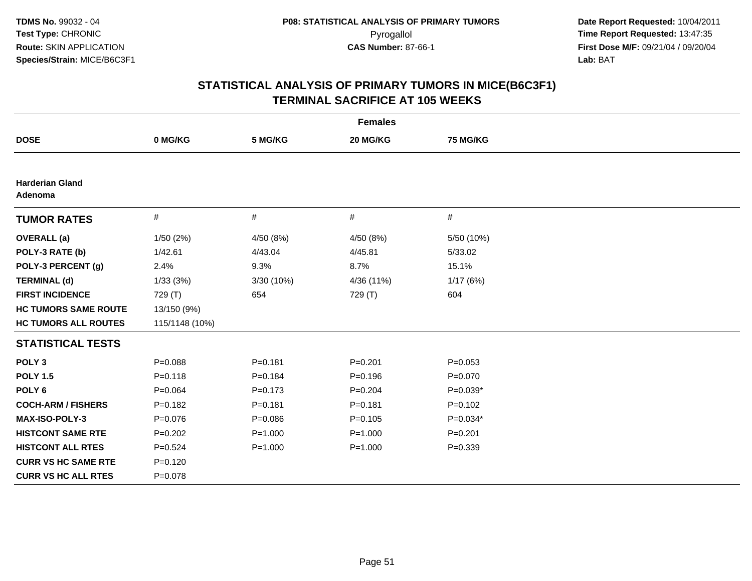| <b>Females</b>                    |                |             |             |                 |  |
|-----------------------------------|----------------|-------------|-------------|-----------------|--|
| <b>DOSE</b>                       | 0 MG/KG        | 5 MG/KG     | 20 MG/KG    | <b>75 MG/KG</b> |  |
|                                   |                |             |             |                 |  |
| <b>Harderian Gland</b><br>Adenoma |                |             |             |                 |  |
| <b>TUMOR RATES</b>                | $\#$           | $\#$        | #           | #               |  |
| <b>OVERALL</b> (a)                | 1/50(2%)       | 4/50 (8%)   | 4/50 (8%)   | 5/50 (10%)      |  |
| POLY-3 RATE (b)                   | 1/42.61        | 4/43.04     | 4/45.81     | 5/33.02         |  |
| POLY-3 PERCENT (g)                | 2.4%           | 9.3%        | 8.7%        | 15.1%           |  |
| <b>TERMINAL (d)</b>               | 1/33(3%)       | 3/30 (10%)  | 4/36 (11%)  | 1/17(6%)        |  |
| <b>FIRST INCIDENCE</b>            | 729 (T)        | 654         | 729 (T)     | 604             |  |
| <b>HC TUMORS SAME ROUTE</b>       | 13/150 (9%)    |             |             |                 |  |
| <b>HC TUMORS ALL ROUTES</b>       | 115/1148 (10%) |             |             |                 |  |
| <b>STATISTICAL TESTS</b>          |                |             |             |                 |  |
| POLY <sub>3</sub>                 | $P = 0.088$    | $P = 0.181$ | $P = 0.201$ | $P = 0.053$     |  |
| <b>POLY 1.5</b>                   | $P = 0.118$    | $P = 0.184$ | $P = 0.196$ | $P = 0.070$     |  |
| POLY <sub>6</sub>                 | $P = 0.064$    | $P = 0.173$ | $P = 0.204$ | $P=0.039*$      |  |
| <b>COCH-ARM / FISHERS</b>         | $P=0.182$      | $P = 0.181$ | $P = 0.181$ | $P=0.102$       |  |
| MAX-ISO-POLY-3                    | $P = 0.076$    | $P = 0.086$ | $P = 0.105$ | P=0.034*        |  |
| <b>HISTCONT SAME RTE</b>          | $P=0.202$      | $P = 1.000$ | $P = 1.000$ | $P = 0.201$     |  |
| <b>HISTCONT ALL RTES</b>          | $P = 0.524$    | $P = 1.000$ | $P = 1.000$ | $P = 0.339$     |  |
| <b>CURR VS HC SAME RTE</b>        | $P = 0.120$    |             |             |                 |  |
| <b>CURR VS HC ALL RTES</b>        | $P = 0.078$    |             |             |                 |  |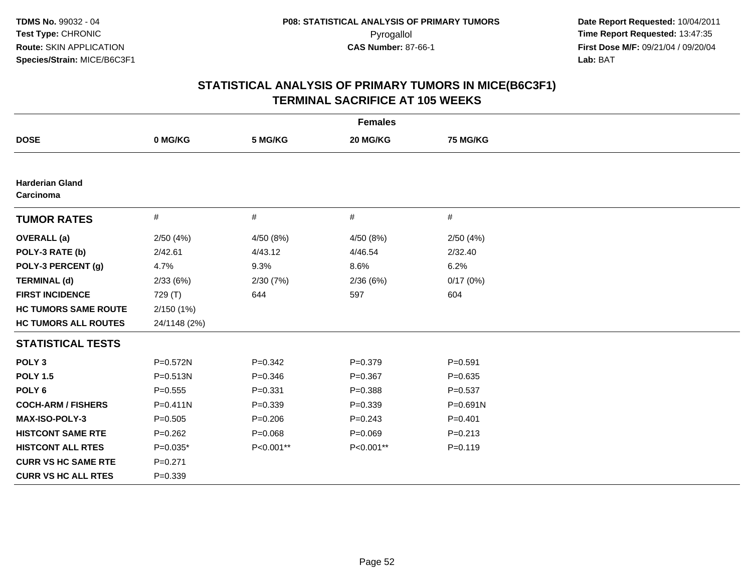| <b>Females</b>                      |              |             |             |                 |  |
|-------------------------------------|--------------|-------------|-------------|-----------------|--|
| <b>DOSE</b>                         | 0 MG/KG      | 5 MG/KG     | 20 MG/KG    | <b>75 MG/KG</b> |  |
|                                     |              |             |             |                 |  |
| <b>Harderian Gland</b><br>Carcinoma |              |             |             |                 |  |
| <b>TUMOR RATES</b>                  | $\#$         | #           | $\#$        | $\#$            |  |
| <b>OVERALL</b> (a)                  | 2/50(4%)     | 4/50 (8%)   | 4/50 (8%)   | 2/50(4%)        |  |
| POLY-3 RATE (b)                     | 2/42.61      | 4/43.12     | 4/46.54     | 2/32.40         |  |
| POLY-3 PERCENT (g)                  | 4.7%         | 9.3%        | 8.6%        | 6.2%            |  |
| <b>TERMINAL (d)</b>                 | 2/33(6%)     | 2/30(7%)    | 2/36(6%)    | 0/17(0%)        |  |
| <b>FIRST INCIDENCE</b>              | 729 (T)      | 644         | 597         | 604             |  |
| <b>HC TUMORS SAME ROUTE</b>         | 2/150(1%)    |             |             |                 |  |
| <b>HC TUMORS ALL ROUTES</b>         | 24/1148 (2%) |             |             |                 |  |
| <b>STATISTICAL TESTS</b>            |              |             |             |                 |  |
| POLY <sub>3</sub>                   | P=0.572N     | $P = 0.342$ | $P = 0.379$ | $P = 0.591$     |  |
| <b>POLY 1.5</b>                     | $P = 0.513N$ | $P = 0.346$ | $P = 0.367$ | $P = 0.635$     |  |
| POLY <sub>6</sub>                   | $P = 0.555$  | $P = 0.331$ | $P = 0.388$ | $P = 0.537$     |  |
| <b>COCH-ARM / FISHERS</b>           | $P = 0.411N$ | $P = 0.339$ | $P = 0.339$ | P=0.691N        |  |
| <b>MAX-ISO-POLY-3</b>               | $P = 0.505$  | $P = 0.206$ | $P = 0.243$ | $P = 0.401$     |  |
| <b>HISTCONT SAME RTE</b>            | $P=0.262$    | $P = 0.068$ | $P = 0.069$ | $P = 0.213$     |  |
| <b>HISTCONT ALL RTES</b>            | $P=0.035*$   | P<0.001**   | P<0.001**   | $P = 0.119$     |  |
| <b>CURR VS HC SAME RTE</b>          | $P=0.271$    |             |             |                 |  |
| <b>CURR VS HC ALL RTES</b>          | $P = 0.339$  |             |             |                 |  |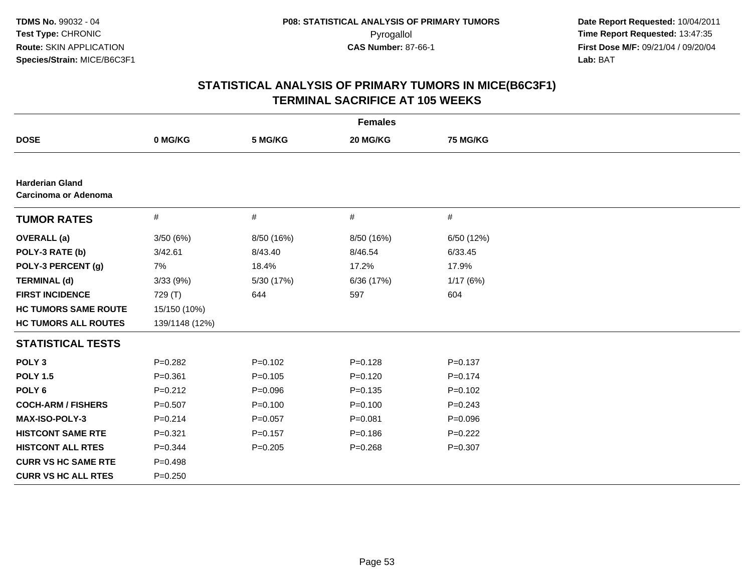| <b>Females</b>                                 |                |             |             |                 |  |  |
|------------------------------------------------|----------------|-------------|-------------|-----------------|--|--|
| <b>DOSE</b>                                    | 0 MG/KG        | 5 MG/KG     | 20 MG/KG    | <b>75 MG/KG</b> |  |  |
|                                                |                |             |             |                 |  |  |
| <b>Harderian Gland</b><br>Carcinoma or Adenoma |                |             |             |                 |  |  |
| <b>TUMOR RATES</b>                             | $\#$           | $\#$        | $\#$        | $\#$            |  |  |
| <b>OVERALL</b> (a)                             | 3/50(6%)       | 8/50 (16%)  | 8/50 (16%)  | 6/50 (12%)      |  |  |
| POLY-3 RATE (b)                                | 3/42.61        | 8/43.40     | 8/46.54     | 6/33.45         |  |  |
| POLY-3 PERCENT (g)                             | 7%             | 18.4%       | 17.2%       | 17.9%           |  |  |
| <b>TERMINAL (d)</b>                            | 3/33 (9%)      | 5/30 (17%)  | 6/36 (17%)  | 1/17(6%)        |  |  |
| <b>FIRST INCIDENCE</b>                         | 729 (T)        | 644         | 597         | 604             |  |  |
| <b>HC TUMORS SAME ROUTE</b>                    | 15/150 (10%)   |             |             |                 |  |  |
| <b>HC TUMORS ALL ROUTES</b>                    | 139/1148 (12%) |             |             |                 |  |  |
| <b>STATISTICAL TESTS</b>                       |                |             |             |                 |  |  |
| POLY <sub>3</sub>                              | $P=0.282$      | $P=0.102$   | $P = 0.128$ | $P = 0.137$     |  |  |
| <b>POLY 1.5</b>                                | $P = 0.361$    | $P=0.105$   | $P=0.120$   | $P = 0.174$     |  |  |
| POLY <sub>6</sub>                              | $P = 0.212$    | $P = 0.096$ | $P = 0.135$ | $P = 0.102$     |  |  |
| <b>COCH-ARM / FISHERS</b>                      | $P=0.507$      | $P = 0.100$ | $P=0.100$   | $P = 0.243$     |  |  |
| <b>MAX-ISO-POLY-3</b>                          | $P = 0.214$    | $P=0.057$   | $P = 0.081$ | $P = 0.096$     |  |  |
| <b>HISTCONT SAME RTE</b>                       | $P = 0.321$    | $P=0.157$   | $P = 0.186$ | $P=0.222$       |  |  |
| <b>HISTCONT ALL RTES</b>                       | $P=0.344$      | $P=0.205$   | $P = 0.268$ | $P = 0.307$     |  |  |
| <b>CURR VS HC SAME RTE</b>                     | $P = 0.498$    |             |             |                 |  |  |
| <b>CURR VS HC ALL RTES</b>                     | $P = 0.250$    |             |             |                 |  |  |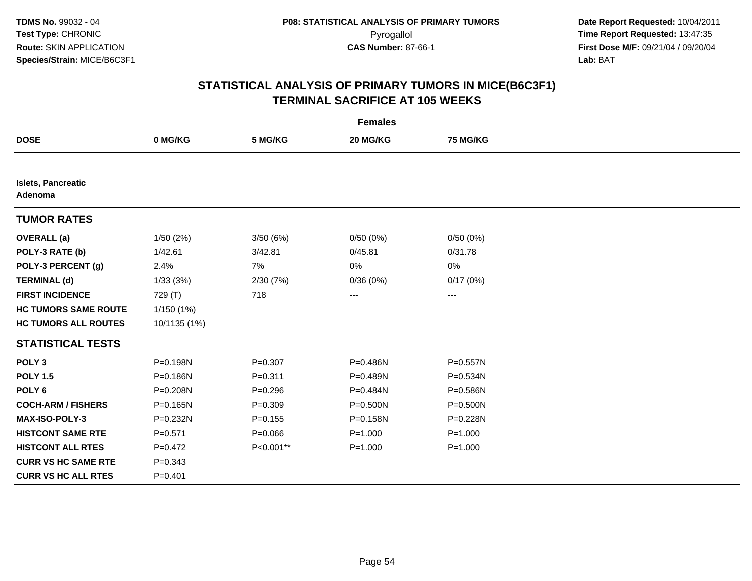| <b>Females</b>                |              |             |             |                 |  |
|-------------------------------|--------------|-------------|-------------|-----------------|--|
| <b>DOSE</b>                   | 0 MG/KG      | 5 MG/KG     | 20 MG/KG    | <b>75 MG/KG</b> |  |
|                               |              |             |             |                 |  |
| Islets, Pancreatic<br>Adenoma |              |             |             |                 |  |
| <b>TUMOR RATES</b>            |              |             |             |                 |  |
| <b>OVERALL</b> (a)            | 1/50(2%)     | 3/50(6%)    | 0/50(0%)    | 0/50(0%)        |  |
| POLY-3 RATE (b)               | 1/42.61      | 3/42.81     | 0/45.81     | 0/31.78         |  |
| POLY-3 PERCENT (g)            | 2.4%         | 7%          | 0%          | $0\%$           |  |
| <b>TERMINAL (d)</b>           | 1/33(3%)     | 2/30 (7%)   | 0/36(0%)    | 0/17(0%)        |  |
| <b>FIRST INCIDENCE</b>        | 729 (T)      | 718         | ---         | ---             |  |
| <b>HC TUMORS SAME ROUTE</b>   | 1/150 (1%)   |             |             |                 |  |
| <b>HC TUMORS ALL ROUTES</b>   | 10/1135 (1%) |             |             |                 |  |
| <b>STATISTICAL TESTS</b>      |              |             |             |                 |  |
| POLY <sub>3</sub>             | P=0.198N     | $P = 0.307$ | P=0.486N    | P=0.557N        |  |
| <b>POLY 1.5</b>               | P=0.186N     | $P = 0.311$ | P=0.489N    | $P = 0.534N$    |  |
| POLY <sub>6</sub>             | P=0.208N     | $P = 0.296$ | P=0.484N    | P=0.586N        |  |
| <b>COCH-ARM / FISHERS</b>     | P=0.165N     | $P = 0.309$ | P=0.500N    | $P = 0.500N$    |  |
| <b>MAX-ISO-POLY-3</b>         | P=0.232N     | $P = 0.155$ | P=0.158N    | P=0.228N        |  |
| <b>HISTCONT SAME RTE</b>      | $P = 0.571$  | $P = 0.066$ | $P = 1.000$ | $P = 1.000$     |  |
| <b>HISTCONT ALL RTES</b>      | $P=0.472$    | P<0.001**   | $P = 1.000$ | $P = 1.000$     |  |
| <b>CURR VS HC SAME RTE</b>    | $P = 0.343$  |             |             |                 |  |
| <b>CURR VS HC ALL RTES</b>    | $P = 0.401$  |             |             |                 |  |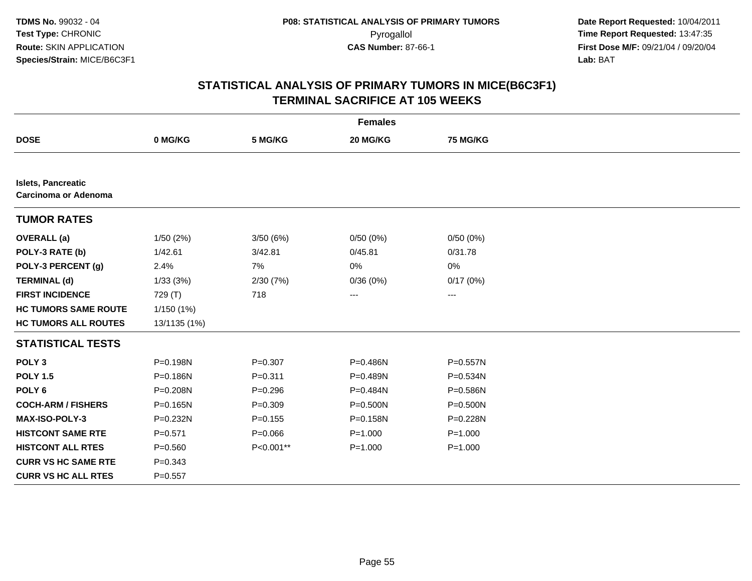| <b>Females</b>                                    |              |             |              |             |  |
|---------------------------------------------------|--------------|-------------|--------------|-------------|--|
| <b>DOSE</b>                                       | 0 MG/KG      | 5 MG/KG     | 20 MG/KG     | 75 MG/KG    |  |
|                                                   |              |             |              |             |  |
| <b>Islets, Pancreatic</b><br>Carcinoma or Adenoma |              |             |              |             |  |
| <b>TUMOR RATES</b>                                |              |             |              |             |  |
| <b>OVERALL</b> (a)                                | 1/50(2%)     | 3/50(6%)    | 0/50(0%)     | 0/50(0%)    |  |
| POLY-3 RATE (b)                                   | 1/42.61      | 3/42.81     | 0/45.81      | 0/31.78     |  |
| POLY-3 PERCENT (g)                                | 2.4%         | 7%          | 0%           | 0%          |  |
| <b>TERMINAL (d)</b>                               | 1/33(3%)     | 2/30(7%)    | 0/36(0%)     | 0/17(0%)    |  |
| <b>FIRST INCIDENCE</b>                            | 729 (T)      | 718         | ---          | ---         |  |
| <b>HC TUMORS SAME ROUTE</b>                       | 1/150 (1%)   |             |              |             |  |
| <b>HC TUMORS ALL ROUTES</b>                       | 13/1135 (1%) |             |              |             |  |
| <b>STATISTICAL TESTS</b>                          |              |             |              |             |  |
| POLY <sub>3</sub>                                 | P=0.198N     | $P = 0.307$ | P=0.486N     | P=0.557N    |  |
| <b>POLY 1.5</b>                                   | P=0.186N     | $P = 0.311$ | P=0.489N     | P=0.534N    |  |
| POLY <sub>6</sub>                                 | P=0.208N     | $P = 0.296$ | P=0.484N     | P=0.586N    |  |
| <b>COCH-ARM / FISHERS</b>                         | $P = 0.165N$ | $P=0.309$   | $P = 0.500N$ | P=0.500N    |  |
| <b>MAX-ISO-POLY-3</b>                             | P=0.232N     | $P=0.155$   | $P = 0.158N$ | P=0.228N    |  |
| <b>HISTCONT SAME RTE</b>                          | $P = 0.571$  | $P = 0.066$ | $P = 1.000$  | $P = 1.000$ |  |
| <b>HISTCONT ALL RTES</b>                          | $P = 0.560$  | P<0.001**   | $P = 1.000$  | $P = 1.000$ |  |
| <b>CURR VS HC SAME RTE</b>                        | $P = 0.343$  |             |              |             |  |
| <b>CURR VS HC ALL RTES</b>                        | $P = 0.557$  |             |              |             |  |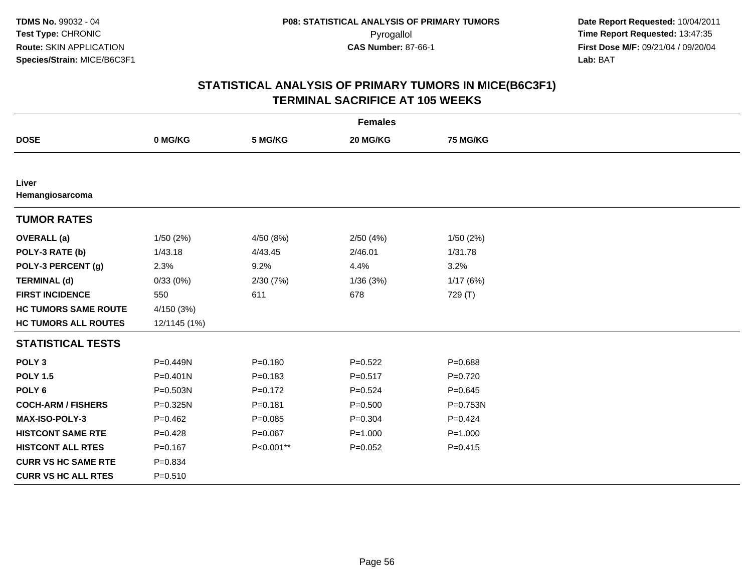| <b>Females</b>              |              |             |             |              |  |
|-----------------------------|--------------|-------------|-------------|--------------|--|
| <b>DOSE</b>                 | 0 MG/KG      | 5 MG/KG     | 20 MG/KG    | 75 MG/KG     |  |
|                             |              |             |             |              |  |
| Liver<br>Hemangiosarcoma    |              |             |             |              |  |
| <b>TUMOR RATES</b>          |              |             |             |              |  |
| <b>OVERALL</b> (a)          | 1/50(2%)     | 4/50 (8%)   | 2/50(4%)    | 1/50 (2%)    |  |
| POLY-3 RATE (b)             | 1/43.18      | 4/43.45     | 2/46.01     | 1/31.78      |  |
| POLY-3 PERCENT (g)          | 2.3%         | 9.2%        | 4.4%        | 3.2%         |  |
| <b>TERMINAL (d)</b>         | 0/33(0%)     | 2/30(7%)    | 1/36(3%)    | 1/17(6%)     |  |
| <b>FIRST INCIDENCE</b>      | 550          | 611         | 678         | 729 (T)      |  |
| <b>HC TUMORS SAME ROUTE</b> | 4/150 (3%)   |             |             |              |  |
| <b>HC TUMORS ALL ROUTES</b> | 12/1145 (1%) |             |             |              |  |
| <b>STATISTICAL TESTS</b>    |              |             |             |              |  |
| POLY <sub>3</sub>           | P=0.449N     | $P = 0.180$ | $P = 0.522$ | $P = 0.688$  |  |
| <b>POLY 1.5</b>             | $P = 0.401N$ | $P = 0.183$ | $P = 0.517$ | $P = 0.720$  |  |
| POLY <sub>6</sub>           | P=0.503N     | $P=0.172$   | $P = 0.524$ | $P = 0.645$  |  |
| <b>COCH-ARM / FISHERS</b>   | P=0.325N     | $P = 0.181$ | $P = 0.500$ | $P = 0.753N$ |  |
| MAX-ISO-POLY-3              | $P = 0.462$  | $P = 0.085$ | $P = 0.304$ | $P = 0.424$  |  |
| <b>HISTCONT SAME RTE</b>    | $P=0.428$    | $P=0.067$   | $P = 1.000$ | $P = 1.000$  |  |
| <b>HISTCONT ALL RTES</b>    | $P = 0.167$  | P<0.001**   | $P = 0.052$ | $P = 0.415$  |  |
| <b>CURR VS HC SAME RTE</b>  | $P = 0.834$  |             |             |              |  |
| <b>CURR VS HC ALL RTES</b>  | $P = 0.510$  |             |             |              |  |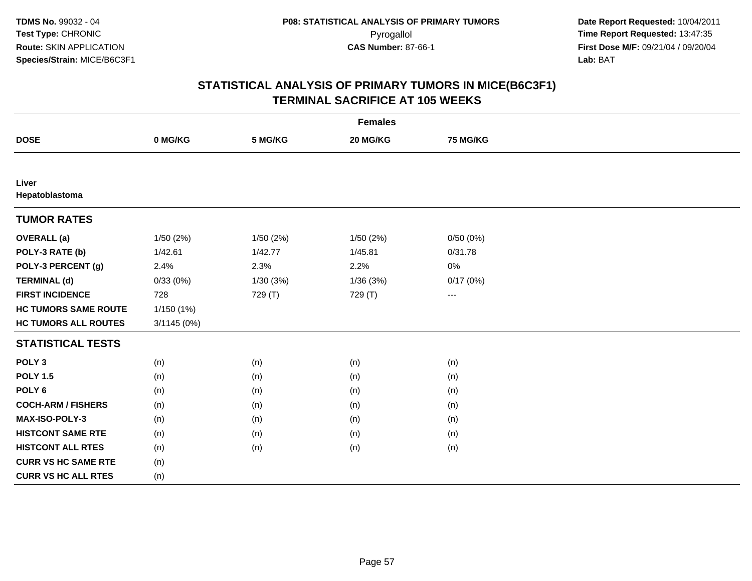| <b>Females</b>              |             |          |          |                          |  |
|-----------------------------|-------------|----------|----------|--------------------------|--|
| <b>DOSE</b>                 | 0 MG/KG     | 5 MG/KG  | 20 MG/KG | <b>75 MG/KG</b>          |  |
|                             |             |          |          |                          |  |
| Liver<br>Hepatoblastoma     |             |          |          |                          |  |
| <b>TUMOR RATES</b>          |             |          |          |                          |  |
| <b>OVERALL</b> (a)          | 1/50(2%)    | 1/50(2%) | 1/50(2%) | 0/50(0%)                 |  |
| POLY-3 RATE (b)             | 1/42.61     | 1/42.77  | 1/45.81  | 0/31.78                  |  |
| POLY-3 PERCENT (g)          | 2.4%        | 2.3%     | 2.2%     | 0%                       |  |
| <b>TERMINAL (d)</b>         | 0/33(0%)    | 1/30(3%) | 1/36(3%) | 0/17(0%)                 |  |
| <b>FIRST INCIDENCE</b>      | 728         | 729 (T)  | 729 (T)  | $\hspace{0.05cm} \ldots$ |  |
| <b>HC TUMORS SAME ROUTE</b> | 1/150(1%)   |          |          |                          |  |
| <b>HC TUMORS ALL ROUTES</b> | 3/1145 (0%) |          |          |                          |  |
| <b>STATISTICAL TESTS</b>    |             |          |          |                          |  |
| POLY <sub>3</sub>           | (n)         | (n)      | (n)      | (n)                      |  |
| <b>POLY 1.5</b>             | (n)         | (n)      | (n)      | (n)                      |  |
| POLY <sub>6</sub>           | (n)         | (n)      | (n)      | (n)                      |  |
| <b>COCH-ARM / FISHERS</b>   | (n)         | (n)      | (n)      | (n)                      |  |
| MAX-ISO-POLY-3              | (n)         | (n)      | (n)      | (n)                      |  |
| <b>HISTCONT SAME RTE</b>    | (n)         | (n)      | (n)      | (n)                      |  |
| <b>HISTCONT ALL RTES</b>    | (n)         | (n)      | (n)      | (n)                      |  |
| <b>CURR VS HC SAME RTE</b>  | (n)         |          |          |                          |  |
| <b>CURR VS HC ALL RTES</b>  | (n)         |          |          |                          |  |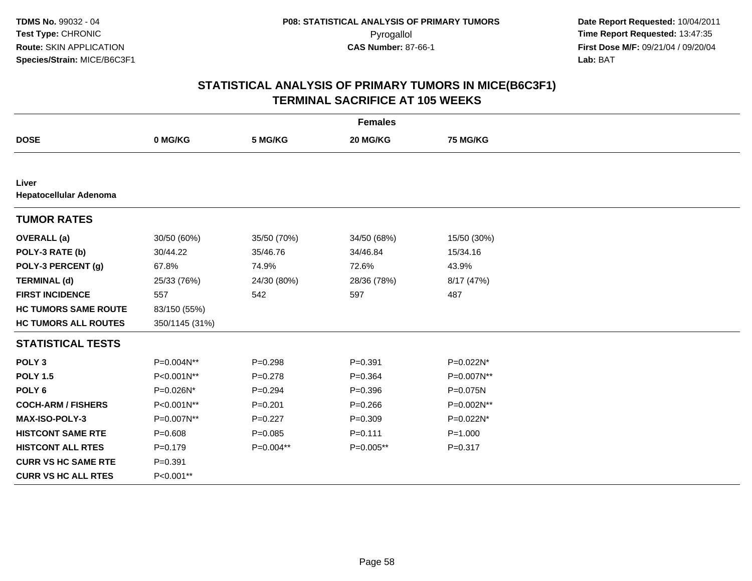| <b>Females</b>                         |                |             |             |             |  |
|----------------------------------------|----------------|-------------|-------------|-------------|--|
| <b>DOSE</b>                            | 0 MG/KG        | 5 MG/KG     | 20 MG/KG    | 75 MG/KG    |  |
|                                        |                |             |             |             |  |
| Liver<br><b>Hepatocellular Adenoma</b> |                |             |             |             |  |
| <b>TUMOR RATES</b>                     |                |             |             |             |  |
| <b>OVERALL</b> (a)                     | 30/50 (60%)    | 35/50 (70%) | 34/50 (68%) | 15/50 (30%) |  |
| POLY-3 RATE (b)                        | 30/44.22       | 35/46.76    | 34/46.84    | 15/34.16    |  |
| POLY-3 PERCENT (g)                     | 67.8%          | 74.9%       | 72.6%       | 43.9%       |  |
| <b>TERMINAL (d)</b>                    | 25/33 (76%)    | 24/30 (80%) | 28/36 (78%) | 8/17 (47%)  |  |
| <b>FIRST INCIDENCE</b>                 | 557            | 542         | 597         | 487         |  |
| <b>HC TUMORS SAME ROUTE</b>            | 83/150 (55%)   |             |             |             |  |
| <b>HC TUMORS ALL ROUTES</b>            | 350/1145 (31%) |             |             |             |  |
| <b>STATISTICAL TESTS</b>               |                |             |             |             |  |
| POLY <sub>3</sub>                      | P=0.004N**     | $P = 0.298$ | $P = 0.391$ | P=0.022N*   |  |
| <b>POLY 1.5</b>                        | P<0.001N**     | $P=0.278$   | $P=0.364$   | P=0.007N**  |  |
| POLY <sub>6</sub>                      | P=0.026N*      | $P=0.294$   | $P = 0.396$ | P=0.075N    |  |
| <b>COCH-ARM / FISHERS</b>              | P<0.001N**     | $P = 0.201$ | $P = 0.266$ | P=0.002N**  |  |
| <b>MAX-ISO-POLY-3</b>                  | P=0.007N**     | $P=0.227$   | $P=0.309$   | P=0.022N*   |  |
| <b>HISTCONT SAME RTE</b>               | $P = 0.608$    | $P=0.085$   | $P = 0.111$ | $P = 1.000$ |  |
| <b>HISTCONT ALL RTES</b>               | $P=0.179$      | P=0.004**   | P=0.005**   | $P = 0.317$ |  |
| <b>CURR VS HC SAME RTE</b>             | $P = 0.391$    |             |             |             |  |
| <b>CURR VS HC ALL RTES</b>             | P<0.001**      |             |             |             |  |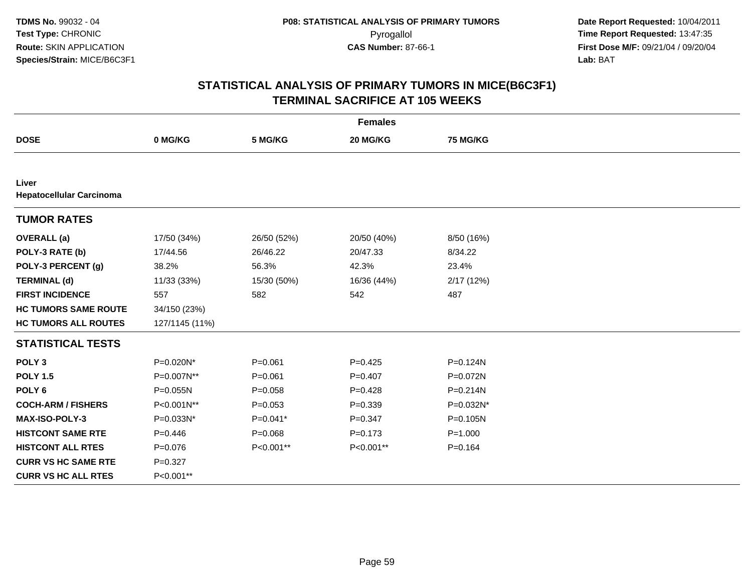| <b>Females</b>                           |                |             |             |             |  |
|------------------------------------------|----------------|-------------|-------------|-------------|--|
| <b>DOSE</b>                              | 0 MG/KG        | 5 MG/KG     | 20 MG/KG    | 75 MG/KG    |  |
|                                          |                |             |             |             |  |
| Liver<br><b>Hepatocellular Carcinoma</b> |                |             |             |             |  |
| <b>TUMOR RATES</b>                       |                |             |             |             |  |
| <b>OVERALL</b> (a)                       | 17/50 (34%)    | 26/50 (52%) | 20/50 (40%) | 8/50 (16%)  |  |
| POLY-3 RATE (b)                          | 17/44.56       | 26/46.22    | 20/47.33    | 8/34.22     |  |
| POLY-3 PERCENT (g)                       | 38.2%          | 56.3%       | 42.3%       | 23.4%       |  |
| <b>TERMINAL (d)</b>                      | 11/33 (33%)    | 15/30 (50%) | 16/36 (44%) | 2/17(12%)   |  |
| <b>FIRST INCIDENCE</b>                   | 557            | 582         | 542         | 487         |  |
| <b>HC TUMORS SAME ROUTE</b>              | 34/150 (23%)   |             |             |             |  |
| <b>HC TUMORS ALL ROUTES</b>              | 127/1145 (11%) |             |             |             |  |
| <b>STATISTICAL TESTS</b>                 |                |             |             |             |  |
| POLY <sub>3</sub>                        | P=0.020N*      | $P = 0.061$ | $P=0.425$   | P=0.124N    |  |
| <b>POLY 1.5</b>                          | P=0.007N**     | $P = 0.061$ | $P=0.407$   | P=0.072N    |  |
| POLY <sub>6</sub>                        | P=0.055N       | $P = 0.058$ | $P=0.428$   | P=0.214N    |  |
| <b>COCH-ARM / FISHERS</b>                | P<0.001N**     | $P=0.053$   | $P = 0.339$ | P=0.032N*   |  |
| <b>MAX-ISO-POLY-3</b>                    | P=0.033N*      | $P=0.041*$  | $P = 0.347$ | P=0.105N    |  |
| <b>HISTCONT SAME RTE</b>                 | $P=0.446$      | $P = 0.068$ | $P = 0.173$ | $P = 1.000$ |  |
| <b>HISTCONT ALL RTES</b>                 | $P=0.076$      | P<0.001**   | P<0.001**   | $P=0.164$   |  |
| <b>CURR VS HC SAME RTE</b>               | $P = 0.327$    |             |             |             |  |
| <b>CURR VS HC ALL RTES</b>               | P<0.001**      |             |             |             |  |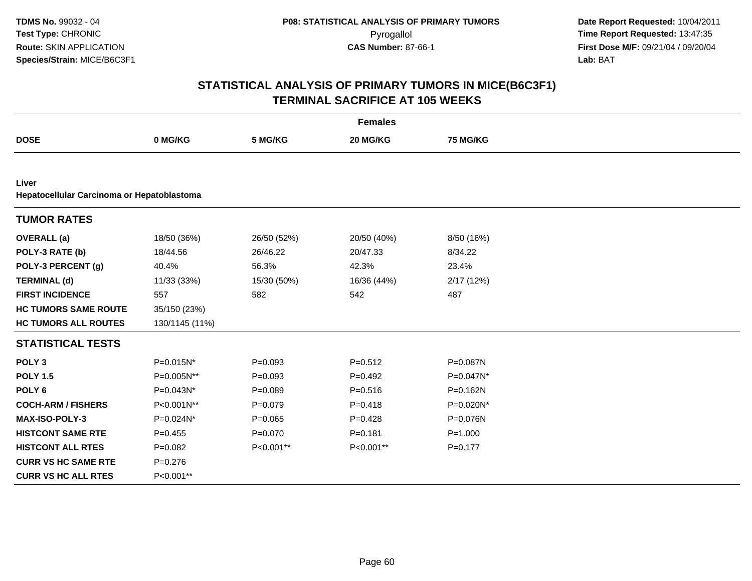|                                                     |                |             | <b>Females</b> |                 |  |
|-----------------------------------------------------|----------------|-------------|----------------|-----------------|--|
| <b>DOSE</b>                                         | 0 MG/KG        | 5 MG/KG     | 20 MG/KG       | <b>75 MG/KG</b> |  |
|                                                     |                |             |                |                 |  |
| Liver<br>Hepatocellular Carcinoma or Hepatoblastoma |                |             |                |                 |  |
| <b>TUMOR RATES</b>                                  |                |             |                |                 |  |
| <b>OVERALL</b> (a)                                  | 18/50 (36%)    | 26/50 (52%) | 20/50 (40%)    | 8/50 (16%)      |  |
| POLY-3 RATE (b)                                     | 18/44.56       | 26/46.22    | 20/47.33       | 8/34.22         |  |
| POLY-3 PERCENT (g)                                  | 40.4%          | 56.3%       | 42.3%          | 23.4%           |  |
| <b>TERMINAL (d)</b>                                 | 11/33 (33%)    | 15/30 (50%) | 16/36 (44%)    | 2/17(12%)       |  |
| <b>FIRST INCIDENCE</b>                              | 557            | 582         | 542            | 487             |  |
| <b>HC TUMORS SAME ROUTE</b>                         | 35/150 (23%)   |             |                |                 |  |
| <b>HC TUMORS ALL ROUTES</b>                         | 130/1145 (11%) |             |                |                 |  |
| <b>STATISTICAL TESTS</b>                            |                |             |                |                 |  |
| POLY <sub>3</sub>                                   | P=0.015N*      | $P=0.093$   | $P = 0.512$    | P=0.087N        |  |
| <b>POLY 1.5</b>                                     | P=0.005N**     | $P = 0.093$ | $P=0.492$      | P=0.047N*       |  |
| POLY <sub>6</sub>                                   | P=0.043N*      | $P = 0.089$ | $P = 0.516$    | P=0.162N        |  |
| <b>COCH-ARM / FISHERS</b>                           | P<0.001N**     | $P=0.079$   | $P = 0.418$    | P=0.020N*       |  |
| MAX-ISO-POLY-3                                      | P=0.024N*      | $P = 0.065$ | $P=0.428$      | P=0.076N        |  |
| <b>HISTCONT SAME RTE</b>                            | $P=0.455$      | $P = 0.070$ | $P = 0.181$    | $P = 1.000$     |  |
| <b>HISTCONT ALL RTES</b>                            | $P=0.082$      | P<0.001**   | P<0.001**      | $P = 0.177$     |  |
| <b>CURR VS HC SAME RTE</b>                          | $P = 0.276$    |             |                |                 |  |
| <b>CURR VS HC ALL RTES</b>                          | P<0.001**      |             |                |                 |  |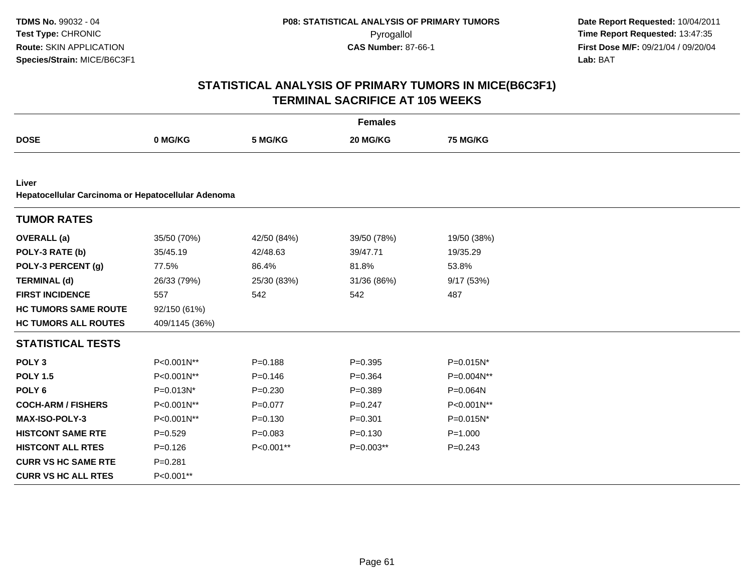|                                                             |                |             | <b>Females</b> |                 |  |
|-------------------------------------------------------------|----------------|-------------|----------------|-----------------|--|
| <b>DOSE</b>                                                 | 0 MG/KG        | 5 MG/KG     | 20 MG/KG       | <b>75 MG/KG</b> |  |
|                                                             |                |             |                |                 |  |
| Liver<br>Hepatocellular Carcinoma or Hepatocellular Adenoma |                |             |                |                 |  |
| <b>TUMOR RATES</b>                                          |                |             |                |                 |  |
| <b>OVERALL</b> (a)                                          | 35/50 (70%)    | 42/50 (84%) | 39/50 (78%)    | 19/50 (38%)     |  |
| POLY-3 RATE (b)                                             | 35/45.19       | 42/48.63    | 39/47.71       | 19/35.29        |  |
| POLY-3 PERCENT (g)                                          | 77.5%          | 86.4%       | 81.8%          | 53.8%           |  |
| <b>TERMINAL (d)</b>                                         | 26/33 (79%)    | 25/30 (83%) | 31/36 (86%)    | 9/17 (53%)      |  |
| <b>FIRST INCIDENCE</b>                                      | 557            | 542         | 542            | 487             |  |
| <b>HC TUMORS SAME ROUTE</b>                                 | 92/150 (61%)   |             |                |                 |  |
| <b>HC TUMORS ALL ROUTES</b>                                 | 409/1145 (36%) |             |                |                 |  |
| <b>STATISTICAL TESTS</b>                                    |                |             |                |                 |  |
| POLY <sub>3</sub>                                           | P<0.001N**     | $P = 0.188$ | $P = 0.395$    | P=0.015N*       |  |
| <b>POLY 1.5</b>                                             | P<0.001N**     | $P = 0.146$ | $P = 0.364$    | P=0.004N**      |  |
| POLY <sub>6</sub>                                           | P=0.013N*      | $P = 0.230$ | $P = 0.389$    | P=0.064N        |  |
| <b>COCH-ARM / FISHERS</b>                                   | P<0.001N**     | $P=0.077$   | $P=0.247$      | P<0.001N**      |  |
| <b>MAX-ISO-POLY-3</b>                                       | P<0.001N**     | $P = 0.130$ | $P = 0.301$    | P=0.015N*       |  |
| <b>HISTCONT SAME RTE</b>                                    | $P = 0.529$    | $P = 0.083$ | $P = 0.130$    | $P = 1.000$     |  |
| <b>HISTCONT ALL RTES</b>                                    | $P = 0.126$    | P<0.001**   | $P=0.003**$    | $P=0.243$       |  |
| <b>CURR VS HC SAME RTE</b>                                  | $P = 0.281$    |             |                |                 |  |
| <b>CURR VS HC ALL RTES</b>                                  | P<0.001**      |             |                |                 |  |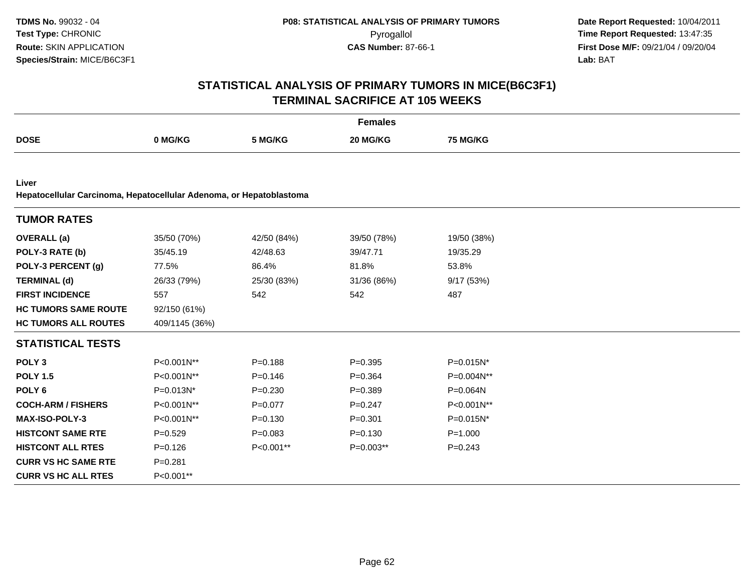|                                                                     |                |             | <b>Females</b> |                 |
|---------------------------------------------------------------------|----------------|-------------|----------------|-----------------|
| <b>DOSE</b>                                                         | 0 MG/KG        | 5 MG/KG     | 20 MG/KG       | <b>75 MG/KG</b> |
|                                                                     |                |             |                |                 |
| Liver                                                               |                |             |                |                 |
| Hepatocellular Carcinoma, Hepatocellular Adenoma, or Hepatoblastoma |                |             |                |                 |
| <b>TUMOR RATES</b>                                                  |                |             |                |                 |
| <b>OVERALL</b> (a)                                                  | 35/50 (70%)    | 42/50 (84%) | 39/50 (78%)    | 19/50 (38%)     |
| POLY-3 RATE (b)                                                     | 35/45.19       | 42/48.63    | 39/47.71       | 19/35.29        |
| POLY-3 PERCENT (g)                                                  | 77.5%          | 86.4%       | 81.8%          | 53.8%           |
| <b>TERMINAL (d)</b>                                                 | 26/33 (79%)    | 25/30 (83%) | 31/36 (86%)    | 9/17(53%)       |
| <b>FIRST INCIDENCE</b>                                              | 557            | 542         | 542            | 487             |
| <b>HC TUMORS SAME ROUTE</b>                                         | 92/150 (61%)   |             |                |                 |
| <b>HC TUMORS ALL ROUTES</b>                                         | 409/1145 (36%) |             |                |                 |
| <b>STATISTICAL TESTS</b>                                            |                |             |                |                 |
| POLY <sub>3</sub>                                                   | P<0.001N**     | $P = 0.188$ | $P = 0.395$    | P=0.015N*       |
| <b>POLY 1.5</b>                                                     | P<0.001N**     | $P = 0.146$ | $P = 0.364$    | P=0.004N**      |
| POLY <sub>6</sub>                                                   | P=0.013N*      | $P = 0.230$ | $P = 0.389$    | P=0.064N        |
| <b>COCH-ARM / FISHERS</b>                                           | P<0.001N**     | $P = 0.077$ | $P = 0.247$    | P<0.001N**      |
| MAX-ISO-POLY-3                                                      | P<0.001N**     | $P = 0.130$ | $P = 0.301$    | P=0.015N*       |
| <b>HISTCONT SAME RTE</b>                                            | $P=0.529$      | $P = 0.083$ | $P = 0.130$    | $P = 1.000$     |
| <b>HISTCONT ALL RTES</b>                                            | $P = 0.126$    | P<0.001**   | P=0.003**      | $P = 0.243$     |
| <b>CURR VS HC SAME RTE</b>                                          | $P = 0.281$    |             |                |                 |
| <b>CURR VS HC ALL RTES</b>                                          | P<0.001**      |             |                |                 |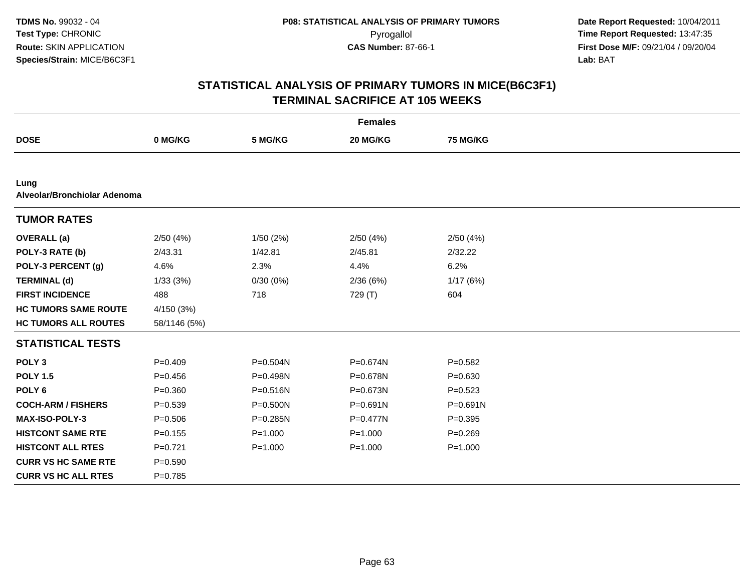|                                      |              |              | <b>Females</b> |                 |  |
|--------------------------------------|--------------|--------------|----------------|-----------------|--|
| <b>DOSE</b>                          | 0 MG/KG      | 5 MG/KG      | 20 MG/KG       | <b>75 MG/KG</b> |  |
|                                      |              |              |                |                 |  |
| Lung<br>Alveolar/Bronchiolar Adenoma |              |              |                |                 |  |
| <b>TUMOR RATES</b>                   |              |              |                |                 |  |
| <b>OVERALL</b> (a)                   | 2/50(4%)     | 1/50(2%)     | 2/50(4%)       | 2/50(4%)        |  |
| POLY-3 RATE (b)                      | 2/43.31      | 1/42.81      | 2/45.81        | 2/32.22         |  |
| POLY-3 PERCENT (g)                   | 4.6%         | 2.3%         | 4.4%           | 6.2%            |  |
| <b>TERMINAL (d)</b>                  | 1/33(3%)     | 0/30(0%)     | 2/36(6%)       | 1/17(6%)        |  |
| <b>FIRST INCIDENCE</b>               | 488          | 718          | 729 (T)        | 604             |  |
| <b>HC TUMORS SAME ROUTE</b>          | 4/150 (3%)   |              |                |                 |  |
| <b>HC TUMORS ALL ROUTES</b>          | 58/1146 (5%) |              |                |                 |  |
| <b>STATISTICAL TESTS</b>             |              |              |                |                 |  |
| POLY <sub>3</sub>                    | $P=0.409$    | P=0.504N     | P=0.674N       | $P = 0.582$     |  |
| <b>POLY 1.5</b>                      | $P = 0.456$  | P=0.498N     | P=0.678N       | $P = 0.630$     |  |
| POLY <sub>6</sub>                    | $P = 0.360$  | P=0.516N     | P=0.673N       | $P = 0.523$     |  |
| <b>COCH-ARM / FISHERS</b>            | $P = 0.539$  | $P = 0.500N$ | $P = 0.691N$   | $P = 0.691N$    |  |
| MAX-ISO-POLY-3                       | $P = 0.506$  | $P = 0.285N$ | P=0.477N       | $P=0.395$       |  |
| <b>HISTCONT SAME RTE</b>             | $P = 0.155$  | $P = 1.000$  | $P = 1.000$    | $P=0.269$       |  |
| <b>HISTCONT ALL RTES</b>             | $P=0.721$    | $P = 1.000$  | $P = 1.000$    | $P = 1.000$     |  |
| <b>CURR VS HC SAME RTE</b>           | $P = 0.590$  |              |                |                 |  |
| <b>CURR VS HC ALL RTES</b>           | $P=0.785$    |              |                |                 |  |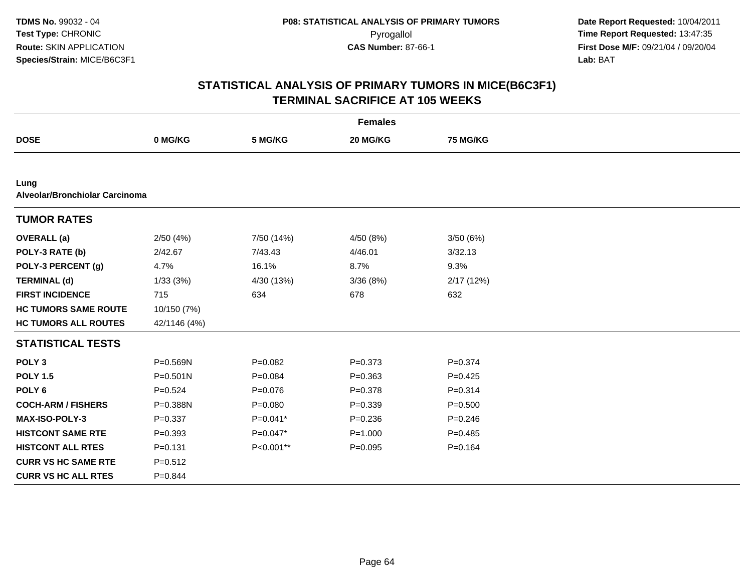|                                        |              |             | <b>Females</b> |                 |  |
|----------------------------------------|--------------|-------------|----------------|-----------------|--|
| <b>DOSE</b>                            | 0 MG/KG      | 5 MG/KG     | 20 MG/KG       | <b>75 MG/KG</b> |  |
|                                        |              |             |                |                 |  |
| Lung<br>Alveolar/Bronchiolar Carcinoma |              |             |                |                 |  |
| <b>TUMOR RATES</b>                     |              |             |                |                 |  |
| <b>OVERALL</b> (a)                     | 2/50(4%)     | 7/50 (14%)  | 4/50 (8%)      | 3/50 (6%)       |  |
| POLY-3 RATE (b)                        | 2/42.67      | 7/43.43     | 4/46.01        | 3/32.13         |  |
| POLY-3 PERCENT (g)                     | 4.7%         | 16.1%       | 8.7%           | 9.3%            |  |
| <b>TERMINAL (d)</b>                    | 1/33(3%)     | 4/30 (13%)  | 3/36(8%)       | 2/17(12%)       |  |
| <b>FIRST INCIDENCE</b>                 | 715          | 634         | 678            | 632             |  |
| <b>HC TUMORS SAME ROUTE</b>            | 10/150 (7%)  |             |                |                 |  |
| <b>HC TUMORS ALL ROUTES</b>            | 42/1146 (4%) |             |                |                 |  |
| <b>STATISTICAL TESTS</b>               |              |             |                |                 |  |
| POLY <sub>3</sub>                      | P=0.569N     | $P=0.082$   | $P = 0.373$    | $P = 0.374$     |  |
| <b>POLY 1.5</b>                        | $P = 0.501N$ | $P = 0.084$ | $P = 0.363$    | $P=0.425$       |  |
| POLY <sub>6</sub>                      | $P = 0.524$  | $P=0.076$   | $P = 0.378$    | $P = 0.314$     |  |
| <b>COCH-ARM / FISHERS</b>              | P=0.388N     | $P = 0.080$ | $P = 0.339$    | $P = 0.500$     |  |
| <b>MAX-ISO-POLY-3</b>                  | $P = 0.337$  | $P=0.041*$  | $P = 0.236$    | $P=0.246$       |  |
| <b>HISTCONT SAME RTE</b>               | $P = 0.393$  | $P=0.047*$  | $P = 1.000$    | $P = 0.485$     |  |
| <b>HISTCONT ALL RTES</b>               | $P = 0.131$  | P<0.001**   | $P=0.095$      | $P=0.164$       |  |
| <b>CURR VS HC SAME RTE</b>             | $P = 0.512$  |             |                |                 |  |
| <b>CURR VS HC ALL RTES</b>             | $P = 0.844$  |             |                |                 |  |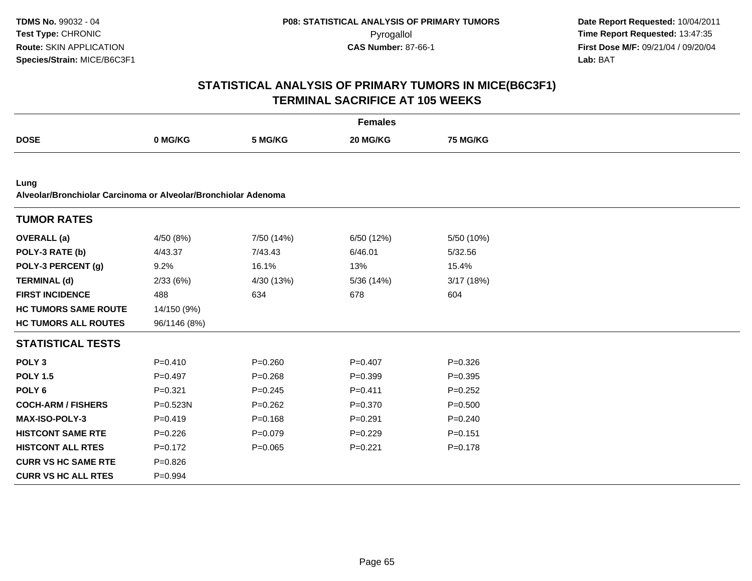|                                                                        |              |             | <b>Females</b> |             |  |
|------------------------------------------------------------------------|--------------|-------------|----------------|-------------|--|
| <b>DOSE</b>                                                            | 0 MG/KG      | 5 MG/KG     | 20 MG/KG       | 75 MG/KG    |  |
|                                                                        |              |             |                |             |  |
| Lung<br>Alveolar/Bronchiolar Carcinoma or Alveolar/Bronchiolar Adenoma |              |             |                |             |  |
| <b>TUMOR RATES</b>                                                     |              |             |                |             |  |
| <b>OVERALL</b> (a)                                                     | 4/50 (8%)    | 7/50 (14%)  | 6/50 (12%)     | 5/50 (10%)  |  |
| POLY-3 RATE (b)                                                        | 4/43.37      | 7/43.43     | 6/46.01        | 5/32.56     |  |
| POLY-3 PERCENT (g)                                                     | 9.2%         | 16.1%       | 13%            | 15.4%       |  |
| <b>TERMINAL (d)</b>                                                    | 2/33(6%)     | 4/30 (13%)  | 5/36 (14%)     | 3/17 (18%)  |  |
| <b>FIRST INCIDENCE</b>                                                 | 488          | 634         | 678            | 604         |  |
| <b>HC TUMORS SAME ROUTE</b>                                            | 14/150 (9%)  |             |                |             |  |
| <b>HC TUMORS ALL ROUTES</b>                                            | 96/1146 (8%) |             |                |             |  |
| <b>STATISTICAL TESTS</b>                                               |              |             |                |             |  |
| POLY <sub>3</sub>                                                      | $P=0.410$    | $P = 0.260$ | $P = 0.407$    | $P = 0.326$ |  |
| <b>POLY 1.5</b>                                                        | $P = 0.497$  | $P = 0.268$ | $P = 0.399$    | $P=0.395$   |  |
| POLY <sub>6</sub>                                                      | $P = 0.321$  | $P = 0.245$ | $P = 0.411$    | $P=0.252$   |  |
| <b>COCH-ARM / FISHERS</b>                                              | P=0.523N     | $P = 0.262$ | $P = 0.370$    | $P = 0.500$ |  |
| MAX-ISO-POLY-3                                                         | $P = 0.419$  | $P = 0.168$ | $P = 0.291$    | $P = 0.240$ |  |
| <b>HISTCONT SAME RTE</b>                                               | $P = 0.226$  | $P=0.079$   | $P=0.229$      | $P = 0.151$ |  |
| <b>HISTCONT ALL RTES</b>                                               | $P=0.172$    | $P=0.065$   | $P=0.221$      | $P = 0.178$ |  |
| <b>CURR VS HC SAME RTE</b>                                             | $P = 0.826$  |             |                |             |  |
| <b>CURR VS HC ALL RTES</b>                                             | $P=0.994$    |             |                |             |  |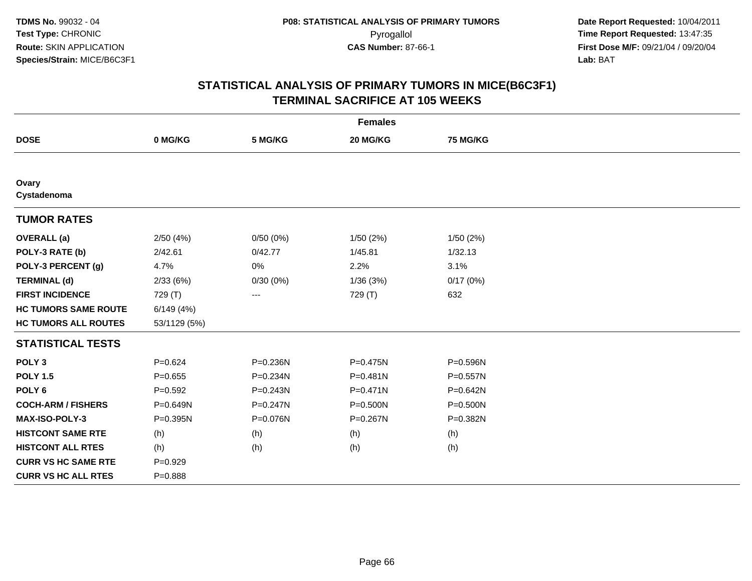|                             |              |              | <b>Females</b> |              |  |
|-----------------------------|--------------|--------------|----------------|--------------|--|
| <b>DOSE</b>                 | 0 MG/KG      | 5 MG/KG      | 20 MG/KG       | 75 MG/KG     |  |
|                             |              |              |                |              |  |
| Ovary<br>Cystadenoma        |              |              |                |              |  |
| <b>TUMOR RATES</b>          |              |              |                |              |  |
| <b>OVERALL</b> (a)          | 2/50(4%)     | 0/50(0%)     | 1/50(2%)       | 1/50(2%)     |  |
| POLY-3 RATE (b)             | 2/42.61      | 0/42.77      | 1/45.81        | 1/32.13      |  |
| POLY-3 PERCENT (g)          | 4.7%         | 0%           | 2.2%           | 3.1%         |  |
| <b>TERMINAL (d)</b>         | 2/33(6%)     | 0/30(0%)     | 1/36(3%)       | 0/17(0%)     |  |
| <b>FIRST INCIDENCE</b>      | 729 (T)      | ---          | 729 (T)        | 632          |  |
| <b>HC TUMORS SAME ROUTE</b> | 6/149(4%)    |              |                |              |  |
| <b>HC TUMORS ALL ROUTES</b> | 53/1129 (5%) |              |                |              |  |
| <b>STATISTICAL TESTS</b>    |              |              |                |              |  |
| POLY <sub>3</sub>           | $P=0.624$    | P=0.236N     | P=0.475N       | P=0.596N     |  |
| <b>POLY 1.5</b>             | $P=0.655$    | P=0.234N     | $P = 0.481N$   | $P = 0.557N$ |  |
| POLY <sub>6</sub>           | $P = 0.592$  | $P = 0.243N$ | $P = 0.471N$   | P=0.642N     |  |
| <b>COCH-ARM / FISHERS</b>   | P=0.649N     | $P = 0.247N$ | $P = 0.500N$   | P=0.500N     |  |
| <b>MAX-ISO-POLY-3</b>       | $P = 0.395N$ | P=0.076N     | P=0.267N       | P=0.382N     |  |
| <b>HISTCONT SAME RTE</b>    | (h)          | (h)          | (h)            | (h)          |  |
| <b>HISTCONT ALL RTES</b>    | (h)          | (h)          | (h)            | (h)          |  |
| <b>CURR VS HC SAME RTE</b>  | $P=0.929$    |              |                |              |  |
| <b>CURR VS HC ALL RTES</b>  | $P = 0.888$  |              |                |              |  |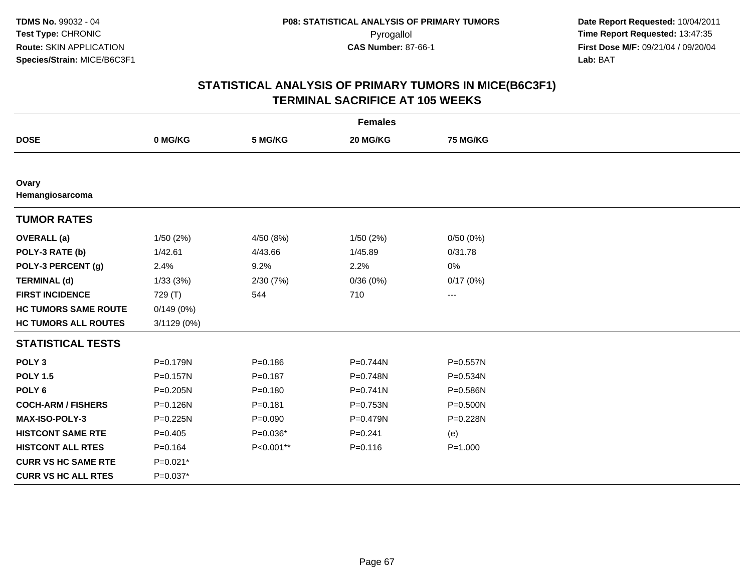|                             |             |             | <b>Females</b> |                 |  |
|-----------------------------|-------------|-------------|----------------|-----------------|--|
| <b>DOSE</b>                 | 0 MG/KG     | 5 MG/KG     | 20 MG/KG       | <b>75 MG/KG</b> |  |
|                             |             |             |                |                 |  |
| Ovary<br>Hemangiosarcoma    |             |             |                |                 |  |
| <b>TUMOR RATES</b>          |             |             |                |                 |  |
| <b>OVERALL</b> (a)          | 1/50(2%)    | 4/50 (8%)   | 1/50(2%)       | 0/50(0%)        |  |
| POLY-3 RATE (b)             | 1/42.61     | 4/43.66     | 1/45.89        | 0/31.78         |  |
| POLY-3 PERCENT (g)          | 2.4%        | 9.2%        | 2.2%           | 0%              |  |
| <b>TERMINAL (d)</b>         | 1/33(3%)    | 2/30(7%)    | 0/36(0%)       | 0/17(0%)        |  |
| <b>FIRST INCIDENCE</b>      | 729 (T)     | 544         | 710            | $\cdots$        |  |
| <b>HC TUMORS SAME ROUTE</b> | 0/149(0%)   |             |                |                 |  |
| <b>HC TUMORS ALL ROUTES</b> | 3/1129 (0%) |             |                |                 |  |
| <b>STATISTICAL TESTS</b>    |             |             |                |                 |  |
| POLY <sub>3</sub>           | P=0.179N    | $P = 0.186$ | P=0.744N       | $P = 0.557N$    |  |
| <b>POLY 1.5</b>             | P=0.157N    | $P = 0.187$ | P=0.748N       | $P = 0.534N$    |  |
| POLY <sub>6</sub>           | P=0.205N    | $P = 0.180$ | $P = 0.741N$   | P=0.586N        |  |
| <b>COCH-ARM / FISHERS</b>   | P=0.126N    | $P = 0.181$ | P=0.753N       | $P = 0.500N$    |  |
| MAX-ISO-POLY-3              | P=0.225N    | $P = 0.090$ | P=0.479N       | P=0.228N        |  |
| <b>HISTCONT SAME RTE</b>    | $P=0.405$   | $P=0.036*$  | $P = 0.241$    | (e)             |  |
| <b>HISTCONT ALL RTES</b>    | $P = 0.164$ | P<0.001**   | $P = 0.116$    | $P = 1.000$     |  |
| <b>CURR VS HC SAME RTE</b>  | P=0.021*    |             |                |                 |  |
| <b>CURR VS HC ALL RTES</b>  | $P=0.037*$  |             |                |                 |  |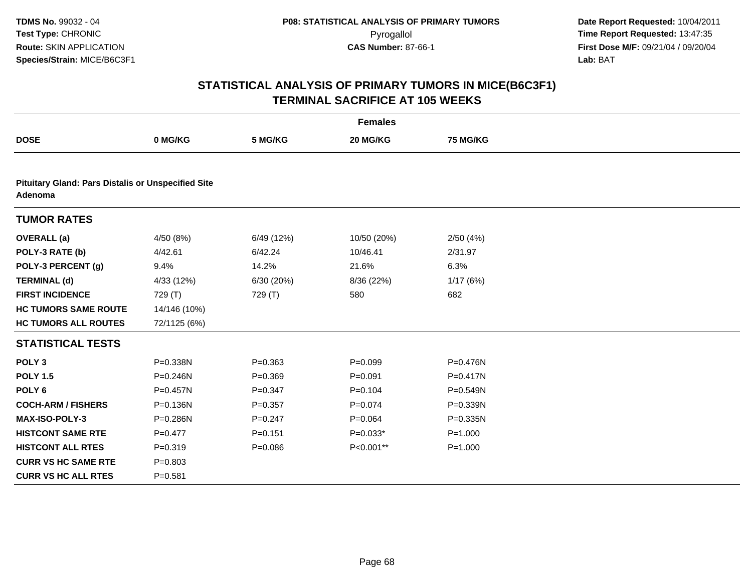|                                                                      |              |             | <b>Females</b> |              |  |
|----------------------------------------------------------------------|--------------|-------------|----------------|--------------|--|
| <b>DOSE</b>                                                          | 0 MG/KG      | 5 MG/KG     | 20 MG/KG       | 75 MG/KG     |  |
|                                                                      |              |             |                |              |  |
| <b>Pituitary Gland: Pars Distalis or Unspecified Site</b><br>Adenoma |              |             |                |              |  |
| <b>TUMOR RATES</b>                                                   |              |             |                |              |  |
| <b>OVERALL</b> (a)                                                   | 4/50 (8%)    | 6/49 (12%)  | 10/50 (20%)    | 2/50(4%)     |  |
| POLY-3 RATE (b)                                                      | 4/42.61      | 6/42.24     | 10/46.41       | 2/31.97      |  |
| POLY-3 PERCENT (g)                                                   | 9.4%         | 14.2%       | 21.6%          | 6.3%         |  |
| <b>TERMINAL (d)</b>                                                  | 4/33 (12%)   | 6/30 (20%)  | 8/36 (22%)     | 1/17(6%)     |  |
| <b>FIRST INCIDENCE</b>                                               | 729 (T)      | 729 (T)     | 580            | 682          |  |
| <b>HC TUMORS SAME ROUTE</b>                                          | 14/146 (10%) |             |                |              |  |
| <b>HC TUMORS ALL ROUTES</b>                                          | 72/1125 (6%) |             |                |              |  |
| <b>STATISTICAL TESTS</b>                                             |              |             |                |              |  |
| POLY <sub>3</sub>                                                    | P=0.338N     | $P = 0.363$ | $P=0.099$      | P=0.476N     |  |
| <b>POLY 1.5</b>                                                      | $P = 0.246N$ | $P = 0.369$ | $P = 0.091$    | $P = 0.417N$ |  |
| POLY <sub>6</sub>                                                    | P=0.457N     | $P = 0.347$ | $P = 0.104$    | $P = 0.549N$ |  |
| <b>COCH-ARM / FISHERS</b>                                            | P=0.136N     | $P=0.357$   | $P = 0.074$    | $P = 0.339N$ |  |
| <b>MAX-ISO-POLY-3</b>                                                | P=0.286N     | $P = 0.247$ | $P = 0.064$    | $P = 0.335N$ |  |
| <b>HISTCONT SAME RTE</b>                                             | $P=0.477$    | $P = 0.151$ | $P=0.033*$     | $P = 1.000$  |  |
| <b>HISTCONT ALL RTES</b>                                             | $P = 0.319$  | $P = 0.086$ | P<0.001**      | $P = 1.000$  |  |
| <b>CURR VS HC SAME RTE</b>                                           | $P = 0.803$  |             |                |              |  |
| <b>CURR VS HC ALL RTES</b>                                           | $P = 0.581$  |             |                |              |  |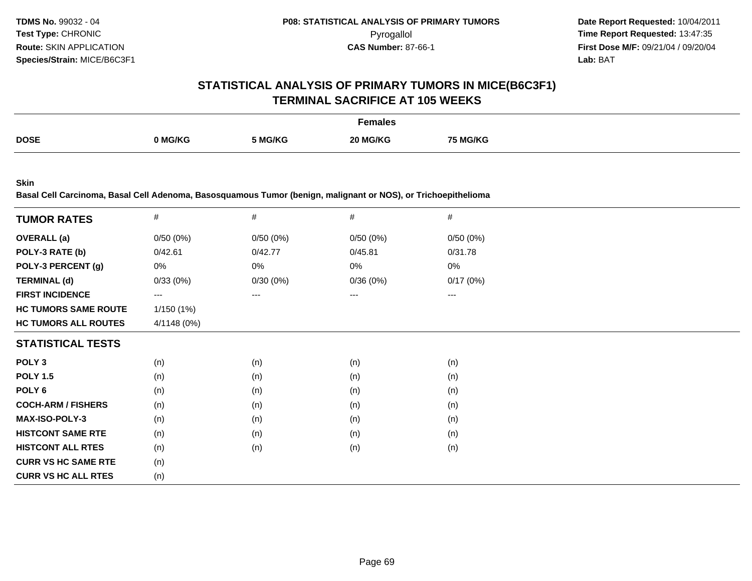# **STATISTICAL ANALYSIS OF PRIMARY TUMORS IN MICE(B6C3F1)TERMINAL SACRIFICE AT 105 WEEKS**

|             |         |         | Females       |         |
|-------------|---------|---------|---------------|---------|
| <b>DOSE</b> | າ MG/KG | 5 MG/KG | 1G/KC<br>20 M | i MG/KG |

**Skin**

**Basal Cell Carcinoma, Basal Cell Adenoma, Basosquamous Tumor (benign, malignant or NOS), or Trichoepithelioma**

| <b>TUMOR RATES</b>          | $\#$        | $\#$     | $\#$     | $\#$     |
|-----------------------------|-------------|----------|----------|----------|
| <b>OVERALL</b> (a)          | 0/50(0%)    | 0/50(0%) | 0/50(0%) | 0/50(0%) |
| POLY-3 RATE (b)             | 0/42.61     | 0/42.77  | 0/45.81  | 0/31.78  |
| POLY-3 PERCENT (g)          | 0%          | 0%       | 0%       | 0%       |
| <b>TERMINAL (d)</b>         | 0/33(0%)    | 0/30(0%) | 0/36(0%) | 0/17(0%) |
| <b>FIRST INCIDENCE</b>      | $--$        | ---      | ---      | ---      |
| <b>HC TUMORS SAME ROUTE</b> | 1/150 (1%)  |          |          |          |
| <b>HC TUMORS ALL ROUTES</b> | 4/1148 (0%) |          |          |          |
| <b>STATISTICAL TESTS</b>    |             |          |          |          |
| POLY <sub>3</sub>           | (n)         | (n)      | (n)      | (n)      |
| <b>POLY 1.5</b>             | (n)         | (n)      | (n)      | (n)      |
| POLY <sub>6</sub>           | (n)         | (n)      | (n)      | (n)      |
| <b>COCH-ARM / FISHERS</b>   | (n)         | (n)      | (n)      | (n)      |
| <b>MAX-ISO-POLY-3</b>       | (n)         | (n)      | (n)      | (n)      |
| <b>HISTCONT SAME RTE</b>    | (n)         | (n)      | (n)      | (n)      |
| <b>HISTCONT ALL RTES</b>    | (n)         | (n)      | (n)      | (n)      |
| <b>CURR VS HC SAME RTE</b>  | (n)         |          |          |          |
| <b>CURR VS HC ALL RTES</b>  | (n)         |          |          |          |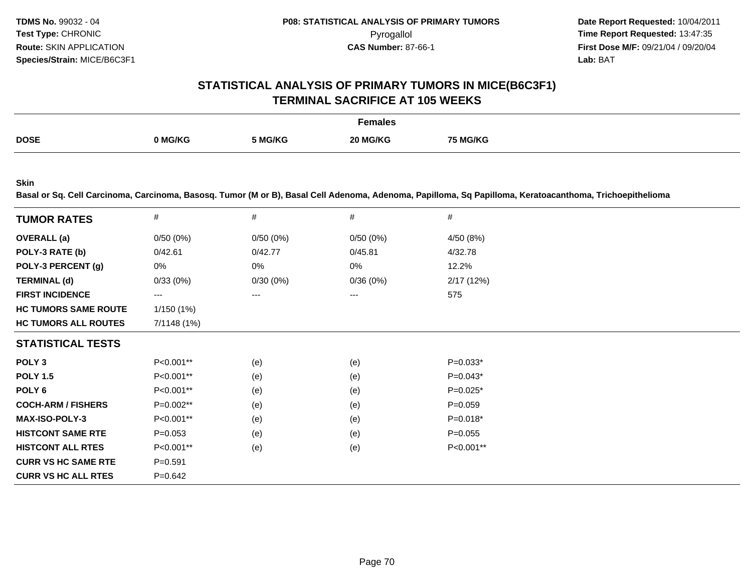## **STATISTICAL ANALYSIS OF PRIMARY TUMORS IN MICE(B6C3F1)TERMINAL SACRIFICE AT 105 WEEKS**

|             |         |         | <sup>=</sup> emales |          |
|-------------|---------|---------|---------------------|----------|
| <b>DOSE</b> | ባ MG/KG | 5 MG/KG | 20 MG/KG            | 75 MG/KG |

**Skin**

**Basal or Sq. Cell Carcinoma, Carcinoma, Basosq. Tumor (M or B), Basal Cell Adenoma, Adenoma, Papilloma, Sq Papilloma, Keratoacanthoma, Trichoepithelioma**

| <b>TUMOR RATES</b>          | $\#$        | #        | #        | #           |
|-----------------------------|-------------|----------|----------|-------------|
| <b>OVERALL</b> (a)          | 0/50(0%)    | 0/50(0%) | 0/50(0%) | 4/50 (8%)   |
| POLY-3 RATE (b)             | 0/42.61     | 0/42.77  | 0/45.81  | 4/32.78     |
| POLY-3 PERCENT (g)          | 0%          | 0%       | 0%       | 12.2%       |
| <b>TERMINAL (d)</b>         | 0/33(0%)    | 0/30(0%) | 0/36(0%) | 2/17(12%)   |
| <b>FIRST INCIDENCE</b>      | ---         | ---      | $---$    | 575         |
| <b>HC TUMORS SAME ROUTE</b> | 1/150(1%)   |          |          |             |
| <b>HC TUMORS ALL ROUTES</b> | 7/1148 (1%) |          |          |             |
| <b>STATISTICAL TESTS</b>    |             |          |          |             |
| POLY <sub>3</sub>           | P<0.001**   | (e)      | (e)      | $P=0.033*$  |
| <b>POLY 1.5</b>             | $P<0.001**$ | (e)      | (e)      | $P=0.043*$  |
| POLY <sub>6</sub>           | P<0.001**   | (e)      | (e)      | $P=0.025*$  |
| <b>COCH-ARM / FISHERS</b>   | P=0.002**   | (e)      | (e)      | $P = 0.059$ |
| <b>MAX-ISO-POLY-3</b>       | P<0.001**   | (e)      | (e)      | $P=0.018*$  |
| <b>HISTCONT SAME RTE</b>    | $P = 0.053$ | (e)      | (e)      | $P = 0.055$ |
| <b>HISTCONT ALL RTES</b>    | P<0.001**   | (e)      | (e)      | P<0.001**   |
| <b>CURR VS HC SAME RTE</b>  | $P = 0.591$ |          |          |             |
| <b>CURR VS HC ALL RTES</b>  | $P = 0.642$ |          |          |             |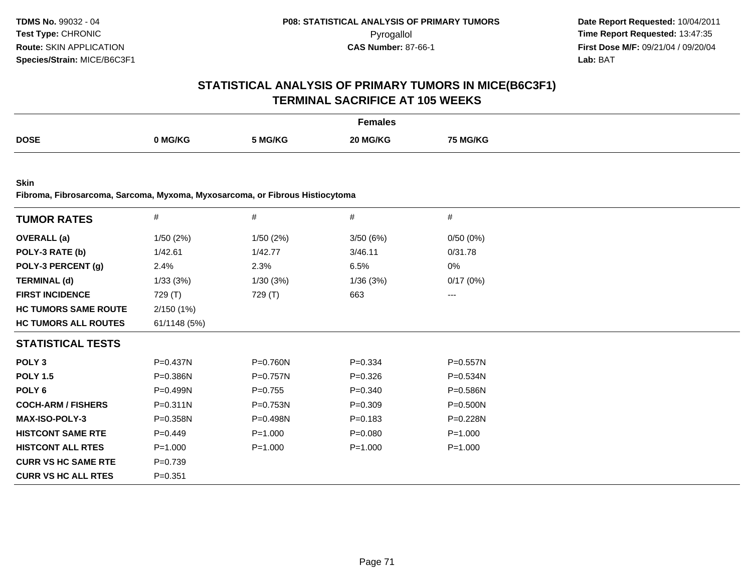# **STATISTICAL ANALYSIS OF PRIMARY TUMORS IN MICE(B6C3F1)TERMINAL SACRIFICE AT 105 WEEKS**

|             |              |         | Females    |         |
|-------------|--------------|---------|------------|---------|
| <b>DOSE</b> | <b>MG/KG</b> | 5 MG/KG | $20$ MG/KG | 5 MG/KG |

**Skin**

**Fibroma, Fibrosarcoma, Sarcoma, Myxoma, Myxosarcoma, or Fibrous Histiocytoma**

| <b>TUMOR RATES</b>          | $\#$         | $\#$        | #           | #            |
|-----------------------------|--------------|-------------|-------------|--------------|
|                             |              |             |             |              |
| <b>OVERALL (a)</b>          | 1/50(2%)     | 1/50(2%)    | 3/50(6%)    | 0/50(0%)     |
| POLY-3 RATE (b)             | 1/42.61      | 1/42.77     | 3/46.11     | 0/31.78      |
| POLY-3 PERCENT (g)          | 2.4%         | 2.3%        | 6.5%        | 0%           |
| <b>TERMINAL (d)</b>         | 1/33(3%)     | 1/30(3%)    | 1/36(3%)    | 0/17(0%)     |
| <b>FIRST INCIDENCE</b>      | 729 (T)      | 729 (T)     | 663         | $---$        |
| <b>HC TUMORS SAME ROUTE</b> | 2/150(1%)    |             |             |              |
| <b>HC TUMORS ALL ROUTES</b> | 61/1148 (5%) |             |             |              |
| <b>STATISTICAL TESTS</b>    |              |             |             |              |
| POLY <sub>3</sub>           | P=0.437N     | P=0.760N    | $P = 0.334$ | P=0.557N     |
| <b>POLY 1.5</b>             | P=0.386N     | P=0.757N    | $P = 0.326$ | P=0.534N     |
| POLY 6                      | $P = 0.499N$ | $P=0.755$   | $P = 0.340$ | $P = 0.586N$ |
| <b>COCH-ARM / FISHERS</b>   | P=0.311N     | P=0.753N    | $P = 0.309$ | P=0.500N     |
| <b>MAX-ISO-POLY-3</b>       | $P = 0.358N$ | $P=0.498N$  | $P = 0.183$ | $P=0.228N$   |
| <b>HISTCONT SAME RTE</b>    | $P=0.449$    | $P = 1.000$ | $P = 0.080$ | $P = 1.000$  |
| <b>HISTCONT ALL RTES</b>    | $P = 1.000$  | $P = 1.000$ | $P = 1.000$ | $P = 1.000$  |
| <b>CURR VS HC SAME RTE</b>  | $P = 0.739$  |             |             |              |
| <b>CURR VS HC ALL RTES</b>  | $P = 0.351$  |             |             |              |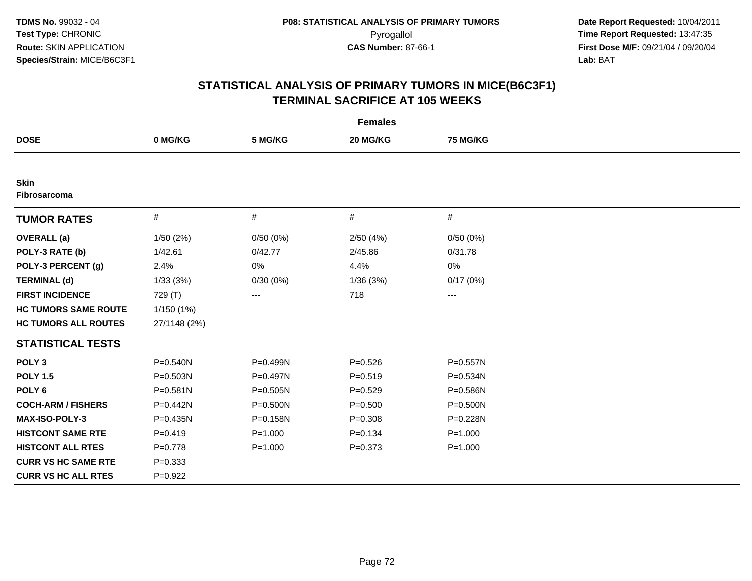| <b>Females</b>                     |              |             |             |                 |  |  |  |
|------------------------------------|--------------|-------------|-------------|-----------------|--|--|--|
| <b>DOSE</b>                        | 0 MG/KG      | 5 MG/KG     | 20 MG/KG    | <b>75 MG/KG</b> |  |  |  |
|                                    |              |             |             |                 |  |  |  |
| <b>Skin</b><br><b>Fibrosarcoma</b> |              |             |             |                 |  |  |  |
| <b>TUMOR RATES</b>                 | $\#$         | #           | $\#$        | #               |  |  |  |
| <b>OVERALL</b> (a)                 | 1/50(2%)     | 0/50(0%)    | 2/50(4%)    | 0/50(0%)        |  |  |  |
| POLY-3 RATE (b)                    | 1/42.61      | 0/42.77     | 2/45.86     | 0/31.78         |  |  |  |
| POLY-3 PERCENT (g)                 | 2.4%         | 0%          | 4.4%        | 0%              |  |  |  |
| <b>TERMINAL (d)</b>                | 1/33(3%)     | 0/30(0%)    | 1/36(3%)    | 0/17(0%)        |  |  |  |
| <b>FIRST INCIDENCE</b>             | 729 (T)      | ---         | 718         | $--$            |  |  |  |
| <b>HC TUMORS SAME ROUTE</b>        | 1/150 (1%)   |             |             |                 |  |  |  |
| <b>HC TUMORS ALL ROUTES</b>        | 27/1148 (2%) |             |             |                 |  |  |  |
| <b>STATISTICAL TESTS</b>           |              |             |             |                 |  |  |  |
| POLY <sub>3</sub>                  | P=0.540N     | P=0.499N    | $P = 0.526$ | P=0.557N        |  |  |  |
| <b>POLY 1.5</b>                    | P=0.503N     | P=0.497N    | $P = 0.519$ | P=0.534N        |  |  |  |
| POLY <sub>6</sub>                  | $P = 0.581N$ | P=0.505N    | $P=0.529$   | P=0.586N        |  |  |  |
| <b>COCH-ARM / FISHERS</b>          | P=0.442N     | P=0.500N    | $P = 0.500$ | $P = 0.500N$    |  |  |  |
| <b>MAX-ISO-POLY-3</b>              | P=0.435N     | P=0.158N    | $P = 0.308$ | P=0.228N        |  |  |  |
| <b>HISTCONT SAME RTE</b>           | $P = 0.419$  | $P = 1.000$ | $P = 0.134$ | $P = 1.000$     |  |  |  |
| <b>HISTCONT ALL RTES</b>           | $P = 0.778$  | $P = 1.000$ | $P = 0.373$ | $P = 1.000$     |  |  |  |
| <b>CURR VS HC SAME RTE</b>         | $P = 0.333$  |             |             |                 |  |  |  |
| <b>CURR VS HC ALL RTES</b>         | $P=0.922$    |             |             |                 |  |  |  |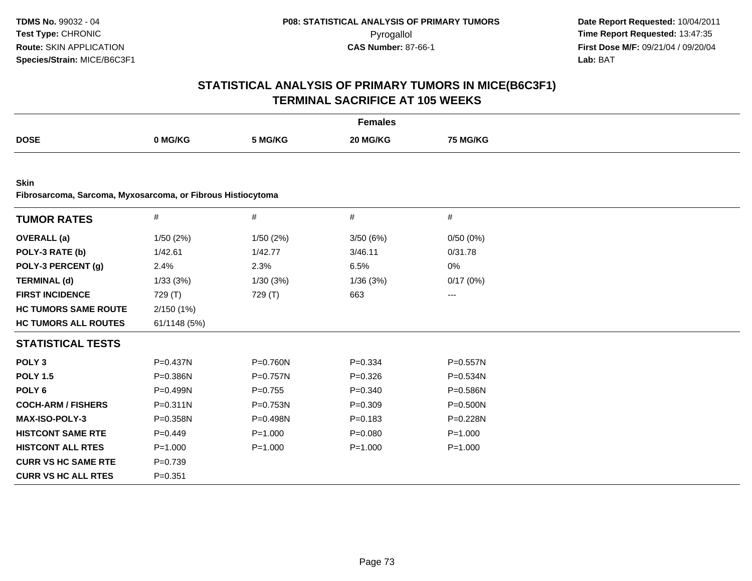| <b>Females</b>                                                             |              |             |             |              |  |  |
|----------------------------------------------------------------------------|--------------|-------------|-------------|--------------|--|--|
| <b>DOSE</b>                                                                | 0 MG/KG      | 5 MG/KG     | 20 MG/KG    | 75 MG/KG     |  |  |
|                                                                            |              |             |             |              |  |  |
| <b>Skin</b><br>Fibrosarcoma, Sarcoma, Myxosarcoma, or Fibrous Histiocytoma |              |             |             |              |  |  |
| <b>TUMOR RATES</b>                                                         | #            | $\#$        | $\#$        | #            |  |  |
| <b>OVERALL</b> (a)                                                         | 1/50 (2%)    | 1/50(2%)    | 3/50(6%)    | 0/50(0%)     |  |  |
| POLY-3 RATE (b)                                                            | 1/42.61      | 1/42.77     | 3/46.11     | 0/31.78      |  |  |
| POLY-3 PERCENT (g)                                                         | 2.4%         | 2.3%        | 6.5%        | 0%           |  |  |
| <b>TERMINAL (d)</b>                                                        | 1/33(3%)     | 1/30(3%)    | 1/36(3%)    | 0/17(0%)     |  |  |
| <b>FIRST INCIDENCE</b>                                                     | 729 (T)      | 729 (T)     | 663         | ---          |  |  |
| <b>HC TUMORS SAME ROUTE</b>                                                | 2/150(1%)    |             |             |              |  |  |
| <b>HC TUMORS ALL ROUTES</b>                                                | 61/1148 (5%) |             |             |              |  |  |
| <b>STATISTICAL TESTS</b>                                                   |              |             |             |              |  |  |
| POLY <sub>3</sub>                                                          | $P = 0.437N$ | P=0.760N    | $P = 0.334$ | $P = 0.557N$ |  |  |
| <b>POLY 1.5</b>                                                            | P=0.386N     | P=0.757N    | $P = 0.326$ | $P = 0.534N$ |  |  |
| POLY <sub>6</sub>                                                          | P=0.499N     | $P = 0.755$ | $P = 0.340$ | P=0.586N     |  |  |
| <b>COCH-ARM / FISHERS</b>                                                  | $P = 0.311N$ | P=0.753N    | $P = 0.309$ | $P = 0.500N$ |  |  |
| MAX-ISO-POLY-3                                                             | $P = 0.358N$ | P=0.498N    | $P = 0.183$ | P=0.228N     |  |  |
| <b>HISTCONT SAME RTE</b>                                                   | $P=0.449$    | $P = 1.000$ | $P = 0.080$ | $P = 1.000$  |  |  |
| <b>HISTCONT ALL RTES</b>                                                   | $P = 1.000$  | $P = 1.000$ | $P = 1.000$ | $P = 1.000$  |  |  |
| <b>CURR VS HC SAME RTE</b>                                                 | $P = 0.739$  |             |             |              |  |  |
| <b>CURR VS HC ALL RTES</b>                                                 | $P = 0.351$  |             |             |              |  |  |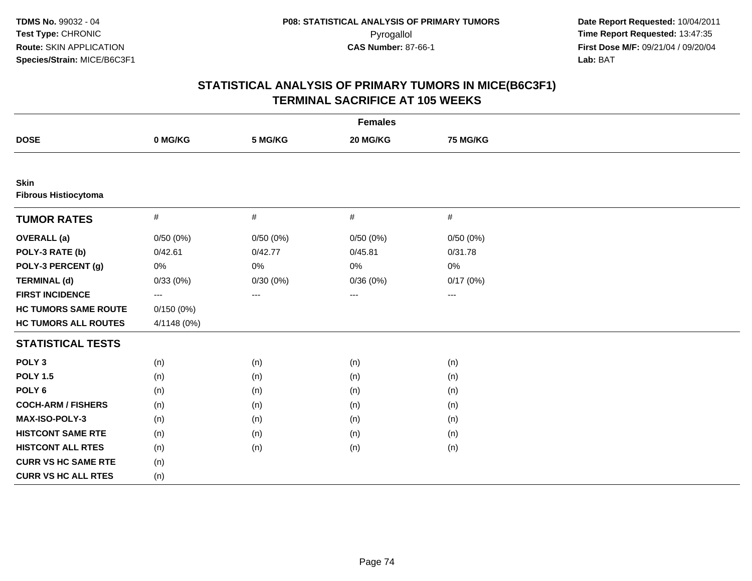| <b>Females</b>                             |             |          |          |                 |  |  |
|--------------------------------------------|-------------|----------|----------|-----------------|--|--|
| <b>DOSE</b>                                | 0 MG/KG     | 5 MG/KG  | 20 MG/KG | <b>75 MG/KG</b> |  |  |
|                                            |             |          |          |                 |  |  |
| <b>Skin</b><br><b>Fibrous Histiocytoma</b> |             |          |          |                 |  |  |
| <b>TUMOR RATES</b>                         | $\#$        | $\#$     | $\#$     | #               |  |  |
| <b>OVERALL</b> (a)                         | 0/50(0%)    | 0/50(0%) | 0/50(0%) | 0/50(0%)        |  |  |
| POLY-3 RATE (b)                            | 0/42.61     | 0/42.77  | 0/45.81  | 0/31.78         |  |  |
| POLY-3 PERCENT (g)                         | $0\%$       | 0%       | 0%       | 0%              |  |  |
| <b>TERMINAL (d)</b>                        | 0/33(0%)    | 0/30(0%) | 0/36(0%) | 0/17(0%)        |  |  |
| <b>FIRST INCIDENCE</b>                     | ---         | ---      | ---      | $--$            |  |  |
| <b>HC TUMORS SAME ROUTE</b>                | 0/150(0%)   |          |          |                 |  |  |
| <b>HC TUMORS ALL ROUTES</b>                | 4/1148 (0%) |          |          |                 |  |  |
| <b>STATISTICAL TESTS</b>                   |             |          |          |                 |  |  |
| POLY <sub>3</sub>                          | (n)         | (n)      | (n)      | (n)             |  |  |
| <b>POLY 1.5</b>                            | (n)         | (n)      | (n)      | (n)             |  |  |
| POLY <sub>6</sub>                          | (n)         | (n)      | (n)      | (n)             |  |  |
| <b>COCH-ARM / FISHERS</b>                  | (n)         | (n)      | (n)      | (n)             |  |  |
| MAX-ISO-POLY-3                             | (n)         | (n)      | (n)      | (n)             |  |  |
| <b>HISTCONT SAME RTE</b>                   | (n)         | (n)      | (n)      | (n)             |  |  |
| <b>HISTCONT ALL RTES</b>                   | (n)         | (n)      | (n)      | (n)             |  |  |
| <b>CURR VS HC SAME RTE</b>                 | (n)         |          |          |                 |  |  |
| <b>CURR VS HC ALL RTES</b>                 | (n)         |          |          |                 |  |  |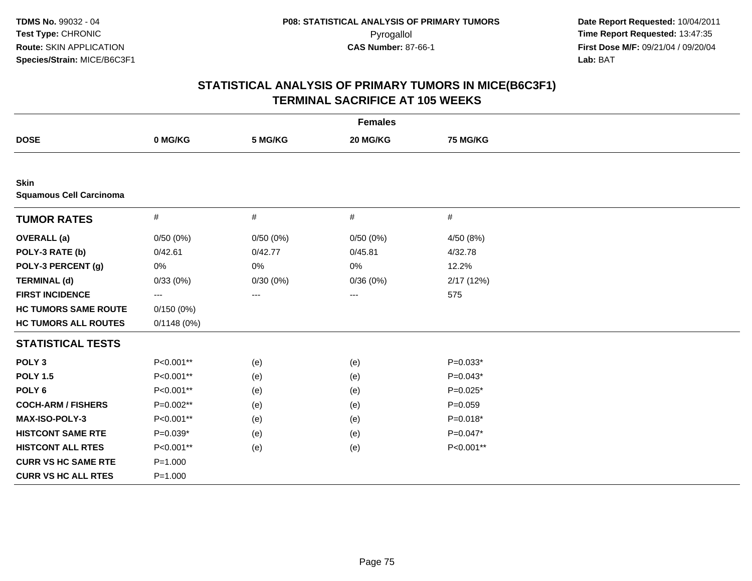| <b>Females</b>                                |             |          |          |             |  |  |
|-----------------------------------------------|-------------|----------|----------|-------------|--|--|
| <b>DOSE</b>                                   | 0 MG/KG     | 5 MG/KG  | 20 MG/KG | 75 MG/KG    |  |  |
|                                               |             |          |          |             |  |  |
| <b>Skin</b><br><b>Squamous Cell Carcinoma</b> |             |          |          |             |  |  |
| <b>TUMOR RATES</b>                            | $\#$        | $\#$     | $\#$     | #           |  |  |
| <b>OVERALL</b> (a)                            | 0/50(0%)    | 0/50(0%) | 0/50(0%) | 4/50 (8%)   |  |  |
| POLY-3 RATE (b)                               | 0/42.61     | 0/42.77  | 0/45.81  | 4/32.78     |  |  |
| POLY-3 PERCENT (g)                            | 0%          | 0%       | 0%       | 12.2%       |  |  |
| <b>TERMINAL (d)</b>                           | 0/33(0%)    | 0/30(0%) | 0/36(0%) | 2/17 (12%)  |  |  |
| <b>FIRST INCIDENCE</b>                        | ---         | ---      | ---      | 575         |  |  |
| <b>HC TUMORS SAME ROUTE</b>                   | 0/150(0%)   |          |          |             |  |  |
| <b>HC TUMORS ALL ROUTES</b>                   | 0/1148(0%)  |          |          |             |  |  |
| <b>STATISTICAL TESTS</b>                      |             |          |          |             |  |  |
| POLY <sub>3</sub>                             | P<0.001**   | (e)      | (e)      | $P=0.033*$  |  |  |
| <b>POLY 1.5</b>                               | P<0.001**   | (e)      | (e)      | $P=0.043*$  |  |  |
| POLY <sub>6</sub>                             | P<0.001**   | (e)      | (e)      | $P=0.025*$  |  |  |
| <b>COCH-ARM / FISHERS</b>                     | P=0.002**   | (e)      | (e)      | $P = 0.059$ |  |  |
| <b>MAX-ISO-POLY-3</b>                         | P<0.001**   | (e)      | (e)      | $P=0.018*$  |  |  |
| <b>HISTCONT SAME RTE</b>                      | $P=0.039*$  | (e)      | (e)      | $P=0.047*$  |  |  |
| <b>HISTCONT ALL RTES</b>                      | P<0.001**   | (e)      | (e)      | P<0.001**   |  |  |
| <b>CURR VS HC SAME RTE</b>                    | $P = 1.000$ |          |          |             |  |  |
| <b>CURR VS HC ALL RTES</b>                    | $P = 1.000$ |          |          |             |  |  |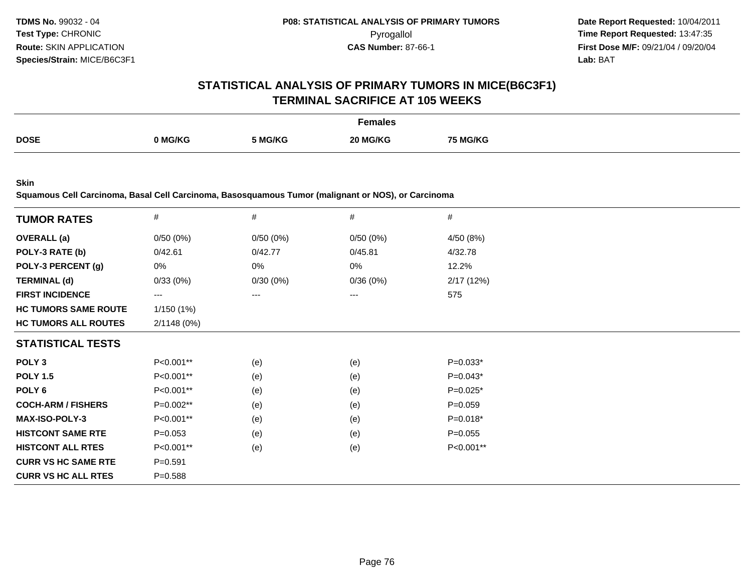# **STATISTICAL ANALYSIS OF PRIMARY TUMORS IN MICE(B6C3F1)TERMINAL SACRIFICE AT 105 WEEKS**

|             |         |         | Females  |                 |
|-------------|---------|---------|----------|-----------------|
| <b>DOSE</b> | າ MG/KG | 5 MG/KG | 20 MG/KG | <b>75 MG/KG</b> |

**Skin**

**Squamous Cell Carcinoma, Basal Cell Carcinoma, Basosquamous Tumor (malignant or NOS), or Carcinoma**

| #           | #        | #        | $\#$       |
|-------------|----------|----------|------------|
| 0/50(0%)    | 0/50(0%) | 0/50(0%) | 4/50 (8%)  |
| 0/42.61     | 0/42.77  | 0/45.81  | 4/32.78    |
| 0%          | 0%       | 0%       | 12.2%      |
| 0/33(0%)    | 0/30(0%) | 0/36(0%) | 2/17 (12%) |
| ---         |          |          | 575        |
| 1/150(1%)   |          |          |            |
| 2/1148(0%)  |          |          |            |
|             |          |          |            |
| P<0.001**   | (e)      | (e)      | $P=0.033*$ |
| P<0.001**   | (e)      | (e)      | $P=0.043*$ |
| P<0.001**   | (e)      | (e)      | $P=0.025*$ |
| P=0.002**   | (e)      | (e)      | $P=0.059$  |
| P<0.001**   | (e)      | (e)      | $P=0.018*$ |
| $P = 0.053$ | (e)      | (e)      | $P=0.055$  |
| P<0.001**   | (e)      | (e)      | P<0.001**  |
| $P = 0.591$ |          |          |            |
| $P = 0.588$ |          |          |            |
|             |          |          |            |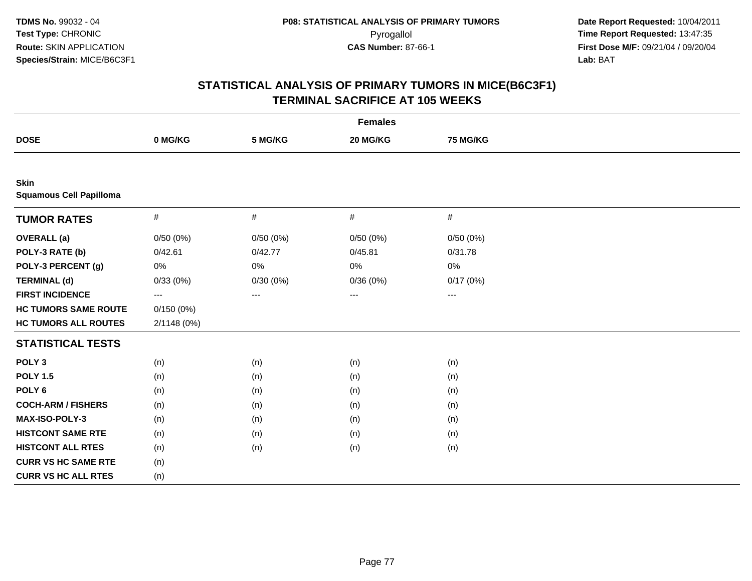| <b>Females</b>                                |             |          |          |          |  |  |
|-----------------------------------------------|-------------|----------|----------|----------|--|--|
| <b>DOSE</b>                                   | 0 MG/KG     | 5 MG/KG  | 20 MG/KG | 75 MG/KG |  |  |
|                                               |             |          |          |          |  |  |
| <b>Skin</b><br><b>Squamous Cell Papilloma</b> |             |          |          |          |  |  |
| <b>TUMOR RATES</b>                            | $\#$        | $\#$     | $\#$     | #        |  |  |
| <b>OVERALL</b> (a)                            | 0/50(0%)    | 0/50(0%) | 0/50(0%) | 0/50(0%) |  |  |
| POLY-3 RATE (b)                               | 0/42.61     | 0/42.77  | 0/45.81  | 0/31.78  |  |  |
| POLY-3 PERCENT (g)                            | 0%          | 0%       | 0%       | 0%       |  |  |
| <b>TERMINAL (d)</b>                           | 0/33(0%)    | 0/30(0%) | 0/36(0%) | 0/17(0%) |  |  |
| <b>FIRST INCIDENCE</b>                        | $---$       | ---      | $---$    | $---$    |  |  |
| <b>HC TUMORS SAME ROUTE</b>                   | 0/150(0%)   |          |          |          |  |  |
| <b>HC TUMORS ALL ROUTES</b>                   | 2/1148 (0%) |          |          |          |  |  |
| <b>STATISTICAL TESTS</b>                      |             |          |          |          |  |  |
| POLY <sub>3</sub>                             | (n)         | (n)      | (n)      | (n)      |  |  |
| <b>POLY 1.5</b>                               | (n)         | (n)      | (n)      | (n)      |  |  |
| POLY <sub>6</sub>                             | (n)         | (n)      | (n)      | (n)      |  |  |
| <b>COCH-ARM / FISHERS</b>                     | (n)         | (n)      | (n)      | (n)      |  |  |
| MAX-ISO-POLY-3                                | (n)         | (n)      | (n)      | (n)      |  |  |
| <b>HISTCONT SAME RTE</b>                      | (n)         | (n)      | (n)      | (n)      |  |  |
| <b>HISTCONT ALL RTES</b>                      | (n)         | (n)      | (n)      | (n)      |  |  |
| <b>CURR VS HC SAME RTE</b>                    | (n)         |          |          |          |  |  |
| <b>CURR VS HC ALL RTES</b>                    | (n)         |          |          |          |  |  |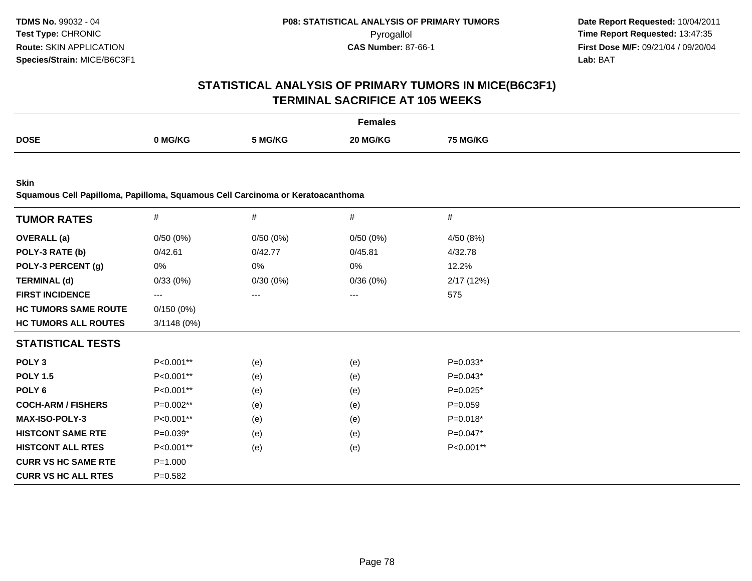# **STATISTICAL ANALYSIS OF PRIMARY TUMORS IN MICE(B6C3F1)TERMINAL SACRIFICE AT 105 WEEKS**

|             |         |         | -emales  |              |
|-------------|---------|---------|----------|--------------|
| <b>DOSE</b> | ↑ MG/KG | 5 MG/KG | 20 MG/KG | <b>MG/KG</b> |

**Skin**

**Squamous Cell Papilloma, Papilloma, Squamous Cell Carcinoma or Keratoacanthoma**

| <b>TUMOR RATES</b>          | $\#$        | #        | #        | #           |  |
|-----------------------------|-------------|----------|----------|-------------|--|
| <b>OVERALL</b> (a)          | 0/50(0%)    | 0/50(0%) | 0/50(0%) | 4/50 (8%)   |  |
| POLY-3 RATE (b)             | 0/42.61     | 0/42.77  | 0/45.81  | 4/32.78     |  |
| POLY-3 PERCENT (g)          | 0%          | 0%       | 0%       | 12.2%       |  |
| <b>TERMINAL (d)</b>         | 0/33(0%)    | 0/30(0%) | 0/36(0%) | 2/17(12%)   |  |
| <b>FIRST INCIDENCE</b>      | ---         | ---      | ---      | 575         |  |
| <b>HC TUMORS SAME ROUTE</b> | 0/150(0%)   |          |          |             |  |
| <b>HC TUMORS ALL ROUTES</b> | 3/1148(0%)  |          |          |             |  |
| <b>STATISTICAL TESTS</b>    |             |          |          |             |  |
| POLY <sub>3</sub>           | P<0.001**   | (e)      | (e)      | $P=0.033*$  |  |
| <b>POLY 1.5</b>             | P<0.001**   | (e)      | (e)      | $P=0.043*$  |  |
| POLY 6                      | P<0.001**   | (e)      | (e)      | $P=0.025*$  |  |
| <b>COCH-ARM / FISHERS</b>   | P=0.002**   | (e)      | (e)      | $P = 0.059$ |  |
| <b>MAX-ISO-POLY-3</b>       | P<0.001**   | (e)      | (e)      | $P=0.018*$  |  |
| <b>HISTCONT SAME RTE</b>    | $P=0.039*$  | (e)      | (e)      | $P=0.047*$  |  |
| <b>HISTCONT ALL RTES</b>    | P<0.001**   | (e)      | (e)      | P<0.001**   |  |
| <b>CURR VS HC SAME RTE</b>  | $P = 1.000$ |          |          |             |  |
| <b>CURR VS HC ALL RTES</b>  | $P = 0.582$ |          |          |             |  |
|                             |             |          |          |             |  |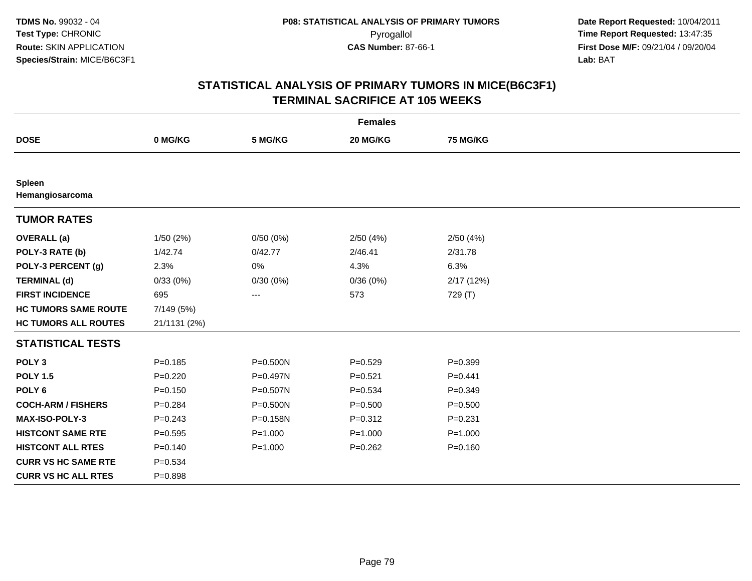| <b>Females</b>              |              |             |             |             |  |  |
|-----------------------------|--------------|-------------|-------------|-------------|--|--|
| <b>DOSE</b>                 | 0 MG/KG      | 5 MG/KG     | 20 MG/KG    | 75 MG/KG    |  |  |
|                             |              |             |             |             |  |  |
| Spleen<br>Hemangiosarcoma   |              |             |             |             |  |  |
| <b>TUMOR RATES</b>          |              |             |             |             |  |  |
| <b>OVERALL</b> (a)          | 1/50(2%)     | 0/50(0%)    | 2/50(4%)    | 2/50(4%)    |  |  |
| POLY-3 RATE (b)             | 1/42.74      | 0/42.77     | 2/46.41     | 2/31.78     |  |  |
| POLY-3 PERCENT (g)          | 2.3%         | 0%          | 4.3%        | 6.3%        |  |  |
| <b>TERMINAL (d)</b>         | 0/33(0%)     | 0/30(0%)    | 0/36(0%)    | 2/17(12%)   |  |  |
| <b>FIRST INCIDENCE</b>      | 695          | $---$       | 573         | 729 (T)     |  |  |
| <b>HC TUMORS SAME ROUTE</b> | 7/149 (5%)   |             |             |             |  |  |
| <b>HC TUMORS ALL ROUTES</b> | 21/1131 (2%) |             |             |             |  |  |
| <b>STATISTICAL TESTS</b>    |              |             |             |             |  |  |
| POLY <sub>3</sub>           | $P = 0.185$  | P=0.500N    | $P = 0.529$ | $P = 0.399$ |  |  |
| <b>POLY 1.5</b>             | $P=0.220$    | P=0.497N    | $P = 0.521$ | $P = 0.441$ |  |  |
| POLY <sub>6</sub>           | $P = 0.150$  | P=0.507N    | $P = 0.534$ | $P=0.349$   |  |  |
| <b>COCH-ARM / FISHERS</b>   | $P = 0.284$  | P=0.500N    | $P = 0.500$ | $P = 0.500$ |  |  |
| MAX-ISO-POLY-3              | $P = 0.243$  | P=0.158N    | $P = 0.312$ | $P = 0.231$ |  |  |
| <b>HISTCONT SAME RTE</b>    | $P=0.595$    | $P = 1.000$ | $P = 1.000$ | $P = 1.000$ |  |  |
| <b>HISTCONT ALL RTES</b>    | $P = 0.140$  | $P = 1.000$ | $P = 0.262$ | $P = 0.160$ |  |  |
| <b>CURR VS HC SAME RTE</b>  | $P = 0.534$  |             |             |             |  |  |
| <b>CURR VS HC ALL RTES</b>  | $P = 0.898$  |             |             |             |  |  |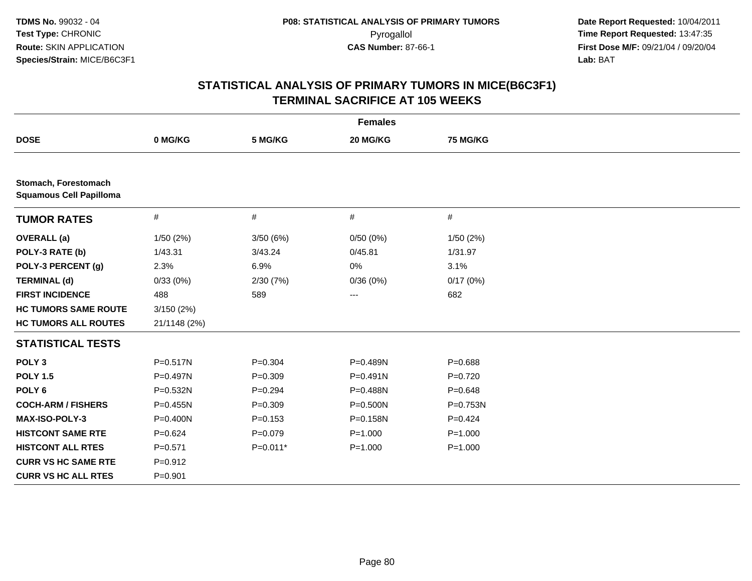| <b>Females</b>                                         |              |             |              |              |  |  |
|--------------------------------------------------------|--------------|-------------|--------------|--------------|--|--|
| <b>DOSE</b>                                            | 0 MG/KG      | 5 MG/KG     | 20 MG/KG     | 75 MG/KG     |  |  |
|                                                        |              |             |              |              |  |  |
| Stomach, Forestomach<br><b>Squamous Cell Papilloma</b> |              |             |              |              |  |  |
| <b>TUMOR RATES</b>                                     | $\#$         | $\#$        | #            | $\#$         |  |  |
| <b>OVERALL</b> (a)                                     | 1/50(2%)     | 3/50(6%)    | 0/50(0%)     | 1/50 (2%)    |  |  |
| POLY-3 RATE (b)                                        | 1/43.31      | 3/43.24     | 0/45.81      | 1/31.97      |  |  |
| POLY-3 PERCENT (g)                                     | 2.3%         | 6.9%        | 0%           | 3.1%         |  |  |
| <b>TERMINAL (d)</b>                                    | 0/33(0%)     | 2/30(7%)    | 0/36(0%)     | 0/17(0%)     |  |  |
| <b>FIRST INCIDENCE</b>                                 | 488          | 589         | $---$        | 682          |  |  |
| <b>HC TUMORS SAME ROUTE</b>                            | 3/150(2%)    |             |              |              |  |  |
| <b>HC TUMORS ALL ROUTES</b>                            | 21/1148 (2%) |             |              |              |  |  |
| <b>STATISTICAL TESTS</b>                               |              |             |              |              |  |  |
| POLY <sub>3</sub>                                      | P=0.517N     | $P = 0.304$ | P=0.489N     | $P = 0.688$  |  |  |
| <b>POLY 1.5</b>                                        | $P=0.497N$   | $P = 0.309$ | $P = 0.491N$ | $P = 0.720$  |  |  |
| POLY <sub>6</sub>                                      | P=0.532N     | $P = 0.294$ | P=0.488N     | $P = 0.648$  |  |  |
| <b>COCH-ARM / FISHERS</b>                              | $P = 0.455N$ | $P = 0.309$ | P=0.500N     | $P = 0.753N$ |  |  |
| <b>MAX-ISO-POLY-3</b>                                  | P=0.400N     | $P = 0.153$ | P=0.158N     | $P = 0.424$  |  |  |
| <b>HISTCONT SAME RTE</b>                               | $P=0.624$    | $P = 0.079$ | $P = 1.000$  | $P = 1.000$  |  |  |
| <b>HISTCONT ALL RTES</b>                               | $P = 0.571$  | $P=0.011*$  | $P = 1.000$  | $P = 1.000$  |  |  |
| <b>CURR VS HC SAME RTE</b>                             | $P = 0.912$  |             |              |              |  |  |
| <b>CURR VS HC ALL RTES</b>                             | $P = 0.901$  |             |              |              |  |  |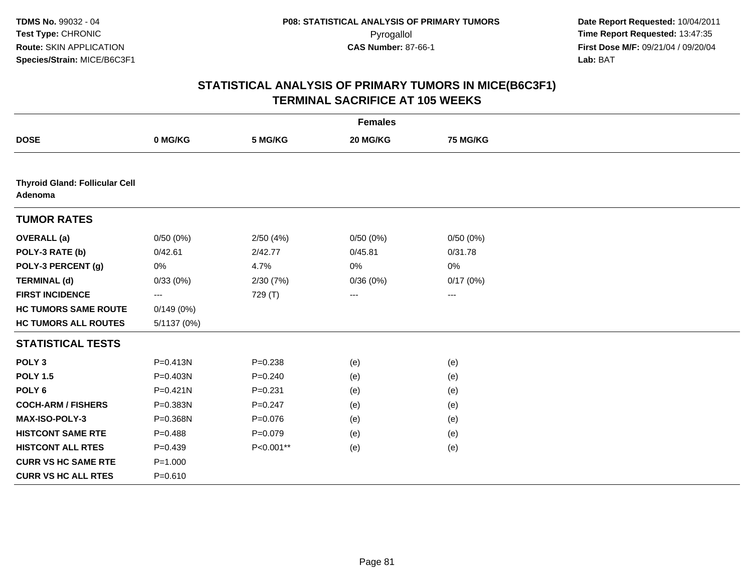|                                                  |              |             | <b>Females</b> |          |  |
|--------------------------------------------------|--------------|-------------|----------------|----------|--|
| <b>DOSE</b>                                      | 0 MG/KG      | 5 MG/KG     | 20 MG/KG       | 75 MG/KG |  |
|                                                  |              |             |                |          |  |
| <b>Thyroid Gland: Follicular Cell</b><br>Adenoma |              |             |                |          |  |
| <b>TUMOR RATES</b>                               |              |             |                |          |  |
| <b>OVERALL</b> (a)                               | 0/50(0%)     | 2/50(4%)    | 0/50(0%)       | 0/50(0%) |  |
| POLY-3 RATE (b)                                  | 0/42.61      | 2/42.77     | 0/45.81        | 0/31.78  |  |
| POLY-3 PERCENT (g)                               | 0%           | 4.7%        | 0%             | 0%       |  |
| <b>TERMINAL (d)</b>                              | 0/33(0%)     | 2/30 (7%)   | 0/36(0%)       | 0/17(0%) |  |
| <b>FIRST INCIDENCE</b>                           | ---          | 729 (T)     | $\cdots$       | $\cdots$ |  |
| <b>HC TUMORS SAME ROUTE</b>                      | 0/149(0%)    |             |                |          |  |
| <b>HC TUMORS ALL ROUTES</b>                      | 5/1137 (0%)  |             |                |          |  |
| <b>STATISTICAL TESTS</b>                         |              |             |                |          |  |
| POLY <sub>3</sub>                                | $P = 0.413N$ | $P = 0.238$ | (e)            | (e)      |  |
| <b>POLY 1.5</b>                                  | P=0.403N     | $P = 0.240$ | (e)            | (e)      |  |
| POLY <sub>6</sub>                                | $P = 0.421N$ | $P = 0.231$ | (e)            | (e)      |  |
| <b>COCH-ARM / FISHERS</b>                        | P=0.383N     | $P=0.247$   | (e)            | (e)      |  |
| MAX-ISO-POLY-3                                   | P=0.368N     | $P = 0.076$ | (e)            | (e)      |  |
| <b>HISTCONT SAME RTE</b>                         | $P=0.488$    | $P=0.079$   | (e)            | (e)      |  |
| <b>HISTCONT ALL RTES</b>                         | $P = 0.439$  | P<0.001**   | (e)            | (e)      |  |
| <b>CURR VS HC SAME RTE</b>                       | $P = 1.000$  |             |                |          |  |
| <b>CURR VS HC ALL RTES</b>                       | $P = 0.610$  |             |                |          |  |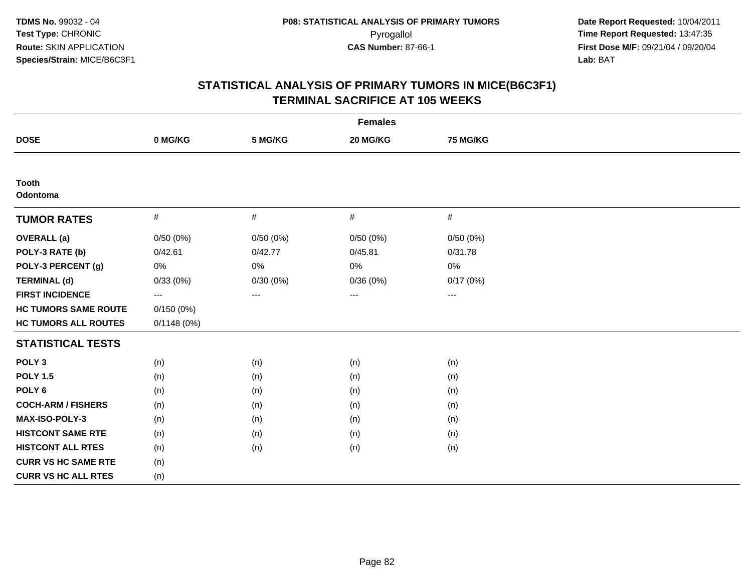| <b>Females</b>              |                     |          |                        |                        |  |  |  |
|-----------------------------|---------------------|----------|------------------------|------------------------|--|--|--|
| <b>DOSE</b>                 | 0 MG/KG             | 5 MG/KG  | 20 MG/KG               | <b>75 MG/KG</b>        |  |  |  |
|                             |                     |          |                        |                        |  |  |  |
| <b>Tooth</b><br>Odontoma    |                     |          |                        |                        |  |  |  |
| <b>TUMOR RATES</b>          | $\#$                | $\#$     | $\#$                   | #                      |  |  |  |
| <b>OVERALL</b> (a)          | 0/50(0%)            | 0/50(0%) | 0/50(0%)               | 0/50(0%)               |  |  |  |
| POLY-3 RATE (b)             | 0/42.61             | 0/42.77  | 0/45.81                | 0/31.78                |  |  |  |
| POLY-3 PERCENT (g)          | 0%                  | 0%       | 0%                     | 0%                     |  |  |  |
| <b>TERMINAL (d)</b>         | 0/33(0%)            | 0/30(0%) | 0/36(0%)               | 0/17(0%)               |  |  |  |
| <b>FIRST INCIDENCE</b>      | $\qquad \qquad - -$ | ---      | $\qquad \qquad \cdots$ | $\qquad \qquad \cdots$ |  |  |  |
| <b>HC TUMORS SAME ROUTE</b> | 0/150(0%)           |          |                        |                        |  |  |  |
| <b>HC TUMORS ALL ROUTES</b> | 0/1148(0%)          |          |                        |                        |  |  |  |
| <b>STATISTICAL TESTS</b>    |                     |          |                        |                        |  |  |  |
| POLY <sub>3</sub>           | (n)                 | (n)      | (n)                    | (n)                    |  |  |  |
| <b>POLY 1.5</b>             | (n)                 | (n)      | (n)                    | (n)                    |  |  |  |
| POLY <sub>6</sub>           | (n)                 | (n)      | (n)                    | (n)                    |  |  |  |
| <b>COCH-ARM / FISHERS</b>   | (n)                 | (n)      | (n)                    | (n)                    |  |  |  |
| MAX-ISO-POLY-3              | (n)                 | (n)      | (n)                    | (n)                    |  |  |  |
| <b>HISTCONT SAME RTE</b>    | (n)                 | (n)      | (n)                    | (n)                    |  |  |  |
| <b>HISTCONT ALL RTES</b>    | (n)                 | (n)      | (n)                    | (n)                    |  |  |  |
| <b>CURR VS HC SAME RTE</b>  | (n)                 |          |                        |                        |  |  |  |
| <b>CURR VS HC ALL RTES</b>  | (n)                 |          |                        |                        |  |  |  |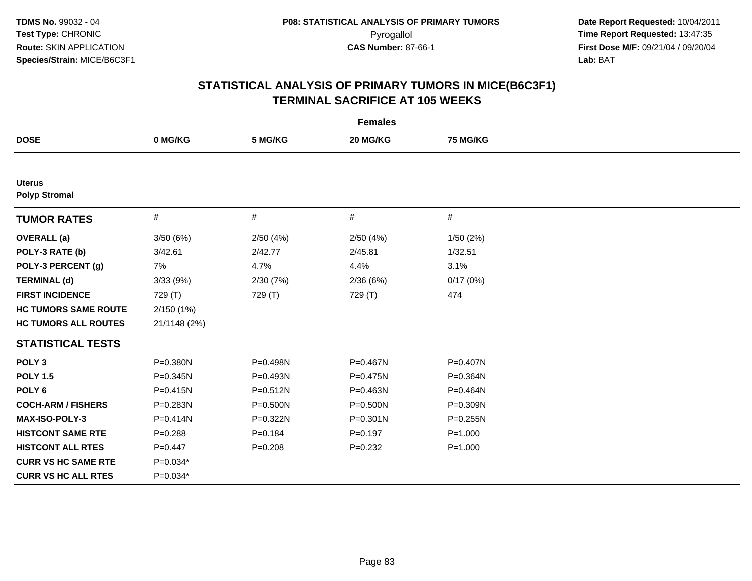| <b>Females</b>                        |              |              |              |                 |  |
|---------------------------------------|--------------|--------------|--------------|-----------------|--|
| <b>DOSE</b>                           | 0 MG/KG      | 5 MG/KG      | 20 MG/KG     | <b>75 MG/KG</b> |  |
|                                       |              |              |              |                 |  |
| <b>Uterus</b><br><b>Polyp Stromal</b> |              |              |              |                 |  |
| <b>TUMOR RATES</b>                    | $\#$         | #            | #            | $\#$            |  |
| <b>OVERALL</b> (a)                    | 3/50(6%)     | 2/50(4%)     | 2/50(4%)     | 1/50(2%)        |  |
| POLY-3 RATE (b)                       | 3/42.61      | 2/42.77      | 2/45.81      | 1/32.51         |  |
| POLY-3 PERCENT (g)                    | 7%           | 4.7%         | 4.4%         | 3.1%            |  |
| <b>TERMINAL (d)</b>                   | 3/33(9%)     | 2/30(7%)     | 2/36(6%)     | 0/17(0%)        |  |
| <b>FIRST INCIDENCE</b>                | 729 (T)      | 729 (T)      | 729 (T)      | 474             |  |
| <b>HC TUMORS SAME ROUTE</b>           | 2/150(1%)    |              |              |                 |  |
| <b>HC TUMORS ALL ROUTES</b>           | 21/1148 (2%) |              |              |                 |  |
| <b>STATISTICAL TESTS</b>              |              |              |              |                 |  |
| POLY <sub>3</sub>                     | P=0.380N     | P=0.498N     | P=0.467N     | P=0.407N        |  |
| <b>POLY 1.5</b>                       | $P = 0.345N$ | P=0.493N     | P=0.475N     | P=0.364N        |  |
| POLY <sub>6</sub>                     | $P = 0.415N$ | $P = 0.512N$ | P=0.463N     | P=0.464N        |  |
| <b>COCH-ARM / FISHERS</b>             | P=0.283N     | P=0.500N     | $P = 0.500N$ | P=0.309N        |  |
| <b>MAX-ISO-POLY-3</b>                 | $P = 0.414N$ | P=0.322N     | $P = 0.301N$ | $P = 0.255N$    |  |
| <b>HISTCONT SAME RTE</b>              | $P = 0.288$  | $P = 0.184$  | $P=0.197$    | $P = 1.000$     |  |
| <b>HISTCONT ALL RTES</b>              | $P=0.447$    | $P = 0.208$  | $P = 0.232$  | $P = 1.000$     |  |
| <b>CURR VS HC SAME RTE</b>            | $P=0.034*$   |              |              |                 |  |
| <b>CURR VS HC ALL RTES</b>            | $P=0.034*$   |              |              |                 |  |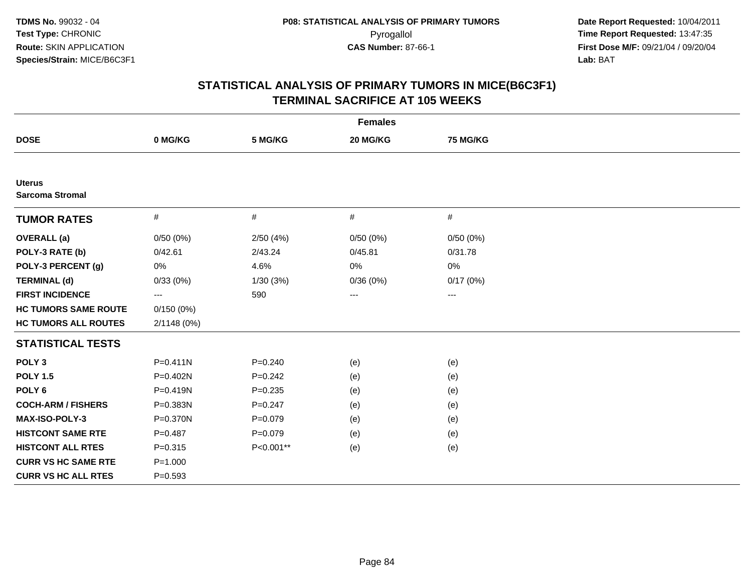| <b>Females</b>                          |              |             |                        |          |
|-----------------------------------------|--------------|-------------|------------------------|----------|
| <b>DOSE</b>                             | 0 MG/KG      | 5 MG/KG     | 20 MG/KG               | 75 MG/KG |
|                                         |              |             |                        |          |
| <b>Uterus</b><br><b>Sarcoma Stromal</b> |              |             |                        |          |
| <b>TUMOR RATES</b>                      | $\#$         | $\#$        | $\#$                   | $\#$     |
| <b>OVERALL</b> (a)                      | 0/50(0%)     | 2/50(4%)    | 0/50(0%)               | 0/50(0%) |
| POLY-3 RATE (b)                         | 0/42.61      | 2/43.24     | 0/45.81                | 0/31.78  |
| POLY-3 PERCENT (g)                      | 0%           | 4.6%        | 0%                     | 0%       |
| <b>TERMINAL (d)</b>                     | 0/33(0%)     | 1/30 (3%)   | 0/36(0%)               | 0/17(0%) |
| <b>FIRST INCIDENCE</b>                  | ---          | 590         | $\qquad \qquad \cdots$ | $--$     |
| <b>HC TUMORS SAME ROUTE</b>             | 0/150(0%)    |             |                        |          |
| <b>HC TUMORS ALL ROUTES</b>             | 2/1148 (0%)  |             |                        |          |
| <b>STATISTICAL TESTS</b>                |              |             |                        |          |
| POLY <sub>3</sub>                       | $P = 0.411N$ | $P = 0.240$ | (e)                    | (e)      |
| <b>POLY 1.5</b>                         | P=0.402N     | $P=0.242$   | (e)                    | (e)      |
| POLY <sub>6</sub>                       | P=0.419N     | $P = 0.235$ | (e)                    | (e)      |
| <b>COCH-ARM / FISHERS</b>               | P=0.383N     | $P = 0.247$ | (e)                    | (e)      |
| <b>MAX-ISO-POLY-3</b>                   | P=0.370N     | $P=0.079$   | (e)                    | (e)      |
| <b>HISTCONT SAME RTE</b>                | $P = 0.487$  | $P = 0.079$ | (e)                    | (e)      |
| <b>HISTCONT ALL RTES</b>                | $P = 0.315$  | P<0.001**   | (e)                    | (e)      |
| <b>CURR VS HC SAME RTE</b>              | $P = 1.000$  |             |                        |          |
| <b>CURR VS HC ALL RTES</b>              | $P = 0.593$  |             |                        |          |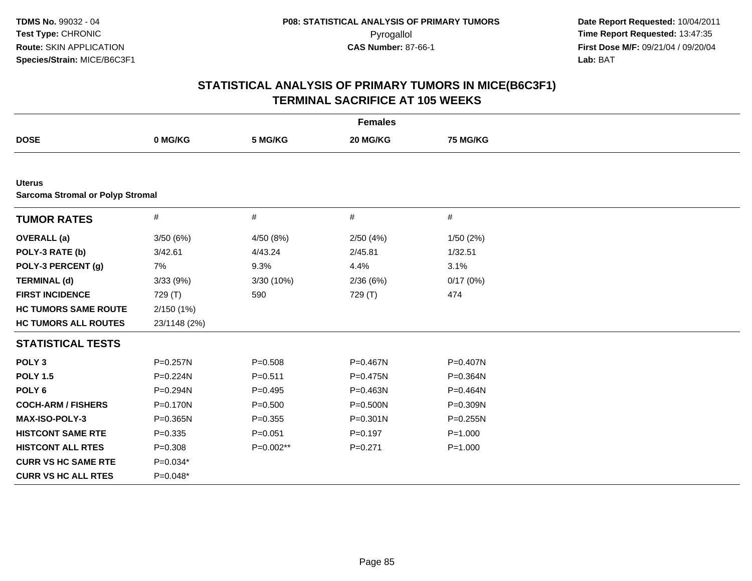| <b>Females</b>                          |              |             |              |                 |  |
|-----------------------------------------|--------------|-------------|--------------|-----------------|--|
| <b>DOSE</b>                             | 0 MG/KG      | 5 MG/KG     | 20 MG/KG     | <b>75 MG/KG</b> |  |
|                                         |              |             |              |                 |  |
| <b>Uterus</b>                           |              |             |              |                 |  |
| <b>Sarcoma Stromal or Polyp Stromal</b> |              |             |              |                 |  |
| <b>TUMOR RATES</b>                      | $\#$         | #           | $\#$         | $\#$            |  |
| <b>OVERALL</b> (a)                      | 3/50(6%)     | 4/50 (8%)   | 2/50(4%)     | 1/50(2%)        |  |
| POLY-3 RATE (b)                         | 3/42.61      | 4/43.24     | 2/45.81      | 1/32.51         |  |
| POLY-3 PERCENT (g)                      | 7%           | 9.3%        | 4.4%         | 3.1%            |  |
| <b>TERMINAL (d)</b>                     | 3/33(9%)     | 3/30 (10%)  | 2/36(6%)     | 0/17(0%)        |  |
| <b>FIRST INCIDENCE</b>                  | 729 (T)      | 590         | 729 (T)      | 474             |  |
| <b>HC TUMORS SAME ROUTE</b>             | 2/150(1%)    |             |              |                 |  |
| <b>HC TUMORS ALL ROUTES</b>             | 23/1148 (2%) |             |              |                 |  |
| <b>STATISTICAL TESTS</b>                |              |             |              |                 |  |
| POLY <sub>3</sub>                       | P=0.257N     | $P = 0.508$ | P=0.467N     | P=0.407N        |  |
| <b>POLY 1.5</b>                         | P=0.224N     | $P = 0.511$ | P=0.475N     | P=0.364N        |  |
| POLY <sub>6</sub>                       | P=0.294N     | $P=0.495$   | P=0.463N     | P=0.464N        |  |
| <b>COCH-ARM / FISHERS</b>               | P=0.170N     | $P = 0.500$ | P=0.500N     | P=0.309N        |  |
| <b>MAX-ISO-POLY-3</b>                   | $P = 0.365N$ | $P = 0.355$ | $P = 0.301N$ | $P = 0.255N$    |  |
| <b>HISTCONT SAME RTE</b>                | $P = 0.335$  | $P = 0.051$ | $P=0.197$    | $P = 1.000$     |  |
| <b>HISTCONT ALL RTES</b>                | $P = 0.308$  | $P=0.002**$ | $P = 0.271$  | $P = 1.000$     |  |
| <b>CURR VS HC SAME RTE</b>              | P=0.034*     |             |              |                 |  |
| <b>CURR VS HC ALL RTES</b>              | $P=0.048*$   |             |              |                 |  |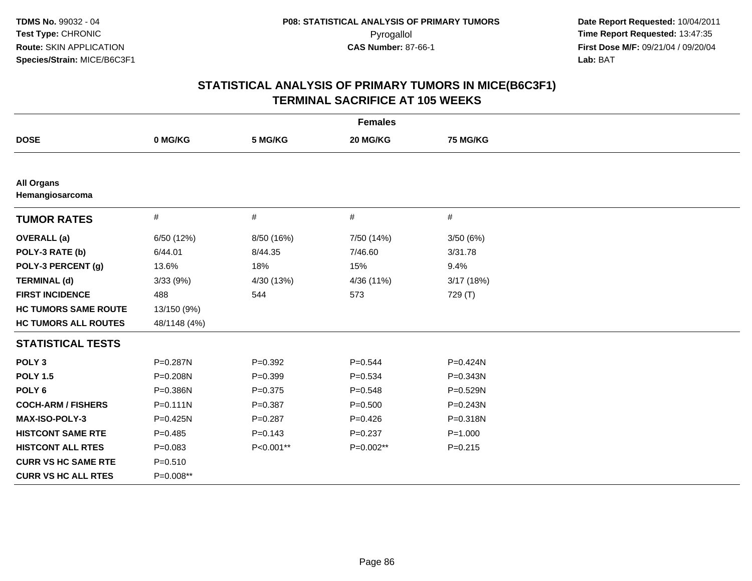|                                      |              |             | <b>Females</b> |                 |
|--------------------------------------|--------------|-------------|----------------|-----------------|
| <b>DOSE</b>                          | 0 MG/KG      | 5 MG/KG     | 20 MG/KG       | <b>75 MG/KG</b> |
|                                      |              |             |                |                 |
| <b>All Organs</b><br>Hemangiosarcoma |              |             |                |                 |
| <b>TUMOR RATES</b>                   | $\#$         | #           | $\#$           | $\#$            |
| <b>OVERALL</b> (a)                   | 6/50 (12%)   | 8/50 (16%)  | 7/50 (14%)     | 3/50(6%)        |
| POLY-3 RATE (b)                      | 6/44.01      | 8/44.35     | 7/46.60        | 3/31.78         |
| POLY-3 PERCENT (g)                   | 13.6%        | 18%         | 15%            | 9.4%            |
| <b>TERMINAL (d)</b>                  | 3/33(9%)     | 4/30 (13%)  | 4/36 (11%)     | 3/17(18%)       |
| <b>FIRST INCIDENCE</b>               | 488          | 544         | 573            | 729 (T)         |
| <b>HC TUMORS SAME ROUTE</b>          | 13/150 (9%)  |             |                |                 |
| <b>HC TUMORS ALL ROUTES</b>          | 48/1148 (4%) |             |                |                 |
| <b>STATISTICAL TESTS</b>             |              |             |                |                 |
| POLY <sub>3</sub>                    | P=0.287N     | $P=0.392$   | $P = 0.544$    | $P = 0.424N$    |
| <b>POLY 1.5</b>                      | P=0.208N     | $P = 0.399$ | $P = 0.534$    | P=0.343N        |
| POLY <sub>6</sub>                    | P=0.386N     | $P = 0.375$ | $P = 0.548$    | P=0.529N        |
| <b>COCH-ARM / FISHERS</b>            | $P = 0.111N$ | $P = 0.387$ | $P = 0.500$    | $P = 0.243N$    |
| MAX-ISO-POLY-3                       | P=0.425N     | $P = 0.287$ | $P=0.426$      | P=0.318N        |
| <b>HISTCONT SAME RTE</b>             | $P=0.485$    | $P = 0.143$ | $P = 0.237$    | $P = 1.000$     |
| <b>HISTCONT ALL RTES</b>             | $P = 0.083$  | P<0.001**   | P=0.002**      | $P = 0.215$     |
| <b>CURR VS HC SAME RTE</b>           | $P = 0.510$  |             |                |                 |
| <b>CURR VS HC ALL RTES</b>           | P=0.008**    |             |                |                 |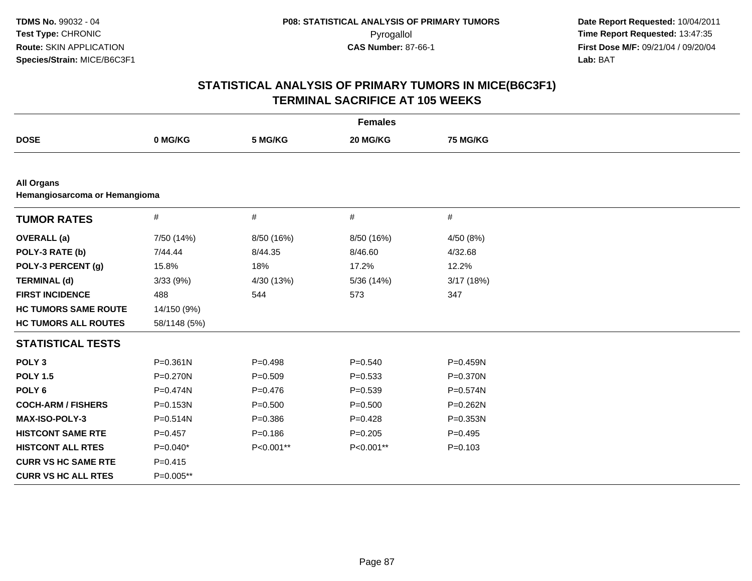| <b>Females</b>                |              |             |             |                 |  |
|-------------------------------|--------------|-------------|-------------|-----------------|--|
| <b>DOSE</b>                   | 0 MG/KG      | 5 MG/KG     | 20 MG/KG    | <b>75 MG/KG</b> |  |
|                               |              |             |             |                 |  |
| <b>All Organs</b>             |              |             |             |                 |  |
| Hemangiosarcoma or Hemangioma |              |             |             |                 |  |
| <b>TUMOR RATES</b>            | #            | $\#$        | $\#$        | $\#$            |  |
| <b>OVERALL</b> (a)            | 7/50 (14%)   | 8/50 (16%)  | 8/50 (16%)  | 4/50 (8%)       |  |
| POLY-3 RATE (b)               | 7/44.44      | 8/44.35     | 8/46.60     | 4/32.68         |  |
| POLY-3 PERCENT (g)            | 15.8%        | 18%         | 17.2%       | 12.2%           |  |
| <b>TERMINAL (d)</b>           | 3/33(9%)     | 4/30 (13%)  | 5/36 (14%)  | 3/17(18%)       |  |
| <b>FIRST INCIDENCE</b>        | 488          | 544         | 573         | 347             |  |
| <b>HC TUMORS SAME ROUTE</b>   | 14/150 (9%)  |             |             |                 |  |
| <b>HC TUMORS ALL ROUTES</b>   | 58/1148 (5%) |             |             |                 |  |
| <b>STATISTICAL TESTS</b>      |              |             |             |                 |  |
| POLY <sub>3</sub>             | $P = 0.361N$ | $P=0.498$   | $P = 0.540$ | $P = 0.459N$    |  |
| <b>POLY 1.5</b>               | $P = 0.270N$ | $P = 0.509$ | $P = 0.533$ | P=0.370N        |  |
| POLY <sub>6</sub>             | $P = 0.474N$ | $P=0.476$   | $P = 0.539$ | $P = 0.574N$    |  |
| <b>COCH-ARM / FISHERS</b>     | $P = 0.153N$ | $P = 0.500$ | $P = 0.500$ | P=0.262N        |  |
| <b>MAX-ISO-POLY-3</b>         | $P = 0.514N$ | $P = 0.386$ | $P = 0.428$ | P=0.353N        |  |
| <b>HISTCONT SAME RTE</b>      | $P=0.457$    | $P = 0.186$ | $P = 0.205$ | $P=0.495$       |  |
| <b>HISTCONT ALL RTES</b>      | $P=0.040*$   | P<0.001**   | P<0.001**   | $P = 0.103$     |  |
| <b>CURR VS HC SAME RTE</b>    | $P = 0.415$  |             |             |                 |  |
| <b>CURR VS HC ALL RTES</b>    | P=0.005**    |             |             |                 |  |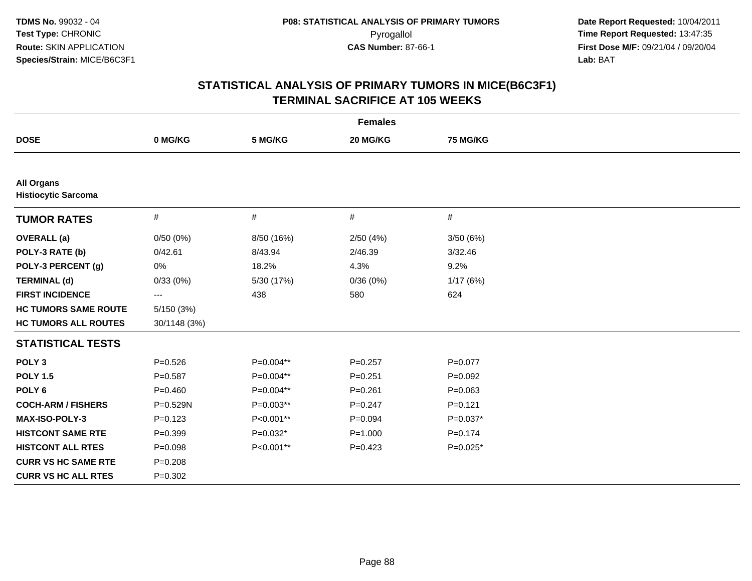| <b>Females</b>                                  |              |             |             |                 |  |
|-------------------------------------------------|--------------|-------------|-------------|-----------------|--|
| <b>DOSE</b>                                     | 0 MG/KG      | 5 MG/KG     | 20 MG/KG    | <b>75 MG/KG</b> |  |
|                                                 |              |             |             |                 |  |
| <b>All Organs</b><br><b>Histiocytic Sarcoma</b> |              |             |             |                 |  |
| <b>TUMOR RATES</b>                              | #            | #           | $\#$        | $\#$            |  |
| <b>OVERALL</b> (a)                              | 0/50(0%)     | 8/50 (16%)  | 2/50(4%)    | 3/50(6%)        |  |
| POLY-3 RATE (b)                                 | 0/42.61      | 8/43.94     | 2/46.39     | 3/32.46         |  |
| POLY-3 PERCENT (g)                              | 0%           | 18.2%       | 4.3%        | 9.2%            |  |
| <b>TERMINAL (d)</b>                             | 0/33(0%)     | 5/30 (17%)  | 0/36(0%)    | 1/17(6%)        |  |
| <b>FIRST INCIDENCE</b>                          | ---          | 438         | 580         | 624             |  |
| <b>HC TUMORS SAME ROUTE</b>                     | 5/150 (3%)   |             |             |                 |  |
| <b>HC TUMORS ALL ROUTES</b>                     | 30/1148 (3%) |             |             |                 |  |
| <b>STATISTICAL TESTS</b>                        |              |             |             |                 |  |
| POLY <sub>3</sub>                               | $P = 0.526$  | P=0.004**   | $P = 0.257$ | $P = 0.077$     |  |
| <b>POLY 1.5</b>                                 | $P = 0.587$  | P=0.004**   | $P = 0.251$ | $P=0.092$       |  |
| POLY <sub>6</sub>                               | $P=0.460$    | P=0.004**   | $P = 0.261$ | $P = 0.063$     |  |
| <b>COCH-ARM / FISHERS</b>                       | P=0.529N     | $P=0.003**$ | $P=0.247$   | $P = 0.121$     |  |
| MAX-ISO-POLY-3                                  | $P = 0.123$  | P<0.001**   | $P=0.094$   | $P=0.037*$      |  |
| <b>HISTCONT SAME RTE</b>                        | $P=0.399$    | $P=0.032*$  | $P = 1.000$ | $P = 0.174$     |  |
| <b>HISTCONT ALL RTES</b>                        | $P = 0.098$  | P<0.001**   | $P=0.423$   | $P=0.025*$      |  |
| <b>CURR VS HC SAME RTE</b>                      | $P = 0.208$  |             |             |                 |  |
| <b>CURR VS HC ALL RTES</b>                      | $P = 0.302$  |             |             |                 |  |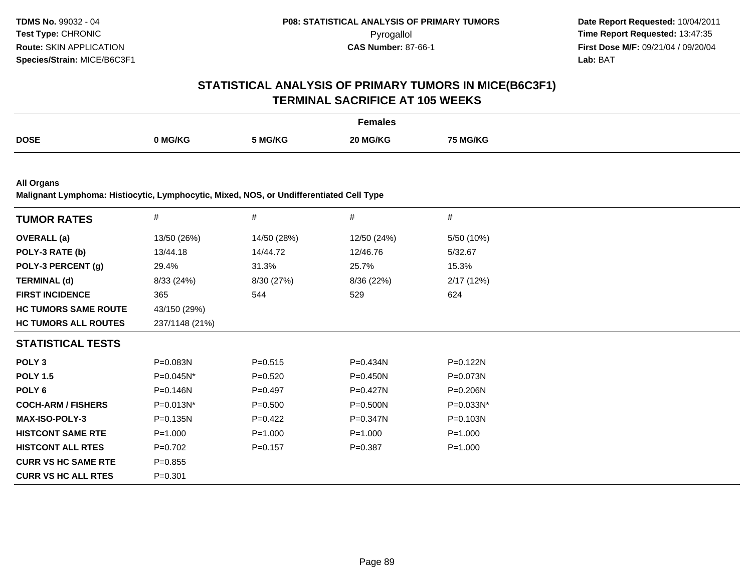# **STATISTICAL ANALYSIS OF PRIMARY TUMORS IN MICE(B6C3F1)TERMINAL SACRIFICE AT 105 WEEKS**

|             |         |         | Females  |                |
|-------------|---------|---------|----------|----------------|
| <b>DOSE</b> | າ MG/KG | 5 MG/KG | 20 MG/KG | ៊ MG/KG<br>. . |

**All Organs**

**Malignant Lymphoma: Histiocytic, Lymphocytic, Mixed, NOS, or Undifferentiated Cell Type**

|                |             |              | #            |
|----------------|-------------|--------------|--------------|
| 13/50 (26%)    | 14/50 (28%) | 12/50 (24%)  | 5/50 (10%)   |
| 13/44.18       | 14/44.72    | 12/46.76     | 5/32.67      |
| 29.4%          | 31.3%       | 25.7%        | 15.3%        |
| 8/33 (24%)     | 8/30 (27%)  | 8/36 (22%)   | 2/17(12%)    |
| 365            | 544         | 529          | 624          |
| 43/150 (29%)   |             |              |              |
| 237/1148 (21%) |             |              |              |
|                |             |              |              |
| P=0.083N       | $P = 0.515$ | P=0.434N     | P=0.122N     |
| P=0.045N*      | $P = 0.520$ | P=0.450N     | P=0.073N     |
| P=0.146N       | $P=0.497$   | $P=0.427N$   | $P = 0.206N$ |
| P=0.013N*      | $P = 0.500$ | P=0.500N     | P=0.033N*    |
| $P = 0.135N$   | $P=0.422$   | $P = 0.347N$ | $P = 0.103N$ |
| $P = 1.000$    | $P = 1.000$ | $P = 1.000$  | $P = 1.000$  |
| $P=0.702$      | $P=0.157$   | $P = 0.387$  | $P = 1.000$  |
| $P = 0.855$    |             |              |              |
| $P = 0.301$    |             |              |              |
|                | #           | #            | #            |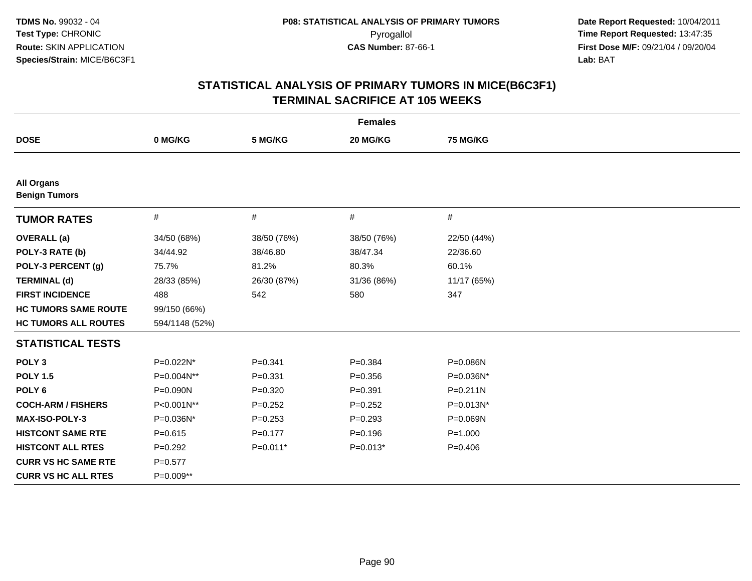| <b>Females</b>                            |                |             |             |                 |  |
|-------------------------------------------|----------------|-------------|-------------|-----------------|--|
| <b>DOSE</b>                               | 0 MG/KG        | 5 MG/KG     | 20 MG/KG    | <b>75 MG/KG</b> |  |
|                                           |                |             |             |                 |  |
| <b>All Organs</b><br><b>Benign Tumors</b> |                |             |             |                 |  |
| <b>TUMOR RATES</b>                        | $\#$           | #           | $\#$        | $\#$            |  |
| <b>OVERALL</b> (a)                        | 34/50 (68%)    | 38/50 (76%) | 38/50 (76%) | 22/50 (44%)     |  |
| POLY-3 RATE (b)                           | 34/44.92       | 38/46.80    | 38/47.34    | 22/36.60        |  |
| POLY-3 PERCENT (g)                        | 75.7%          | 81.2%       | 80.3%       | 60.1%           |  |
| <b>TERMINAL (d)</b>                       | 28/33 (85%)    | 26/30 (87%) | 31/36 (86%) | 11/17 (65%)     |  |
| <b>FIRST INCIDENCE</b>                    | 488            | 542         | 580         | 347             |  |
| <b>HC TUMORS SAME ROUTE</b>               | 99/150 (66%)   |             |             |                 |  |
| <b>HC TUMORS ALL ROUTES</b>               | 594/1148 (52%) |             |             |                 |  |
| <b>STATISTICAL TESTS</b>                  |                |             |             |                 |  |
| POLY <sub>3</sub>                         | P=0.022N*      | $P = 0.341$ | $P = 0.384$ | P=0.086N        |  |
| <b>POLY 1.5</b>                           | P=0.004N**     | $P = 0.331$ | $P = 0.356$ | P=0.036N*       |  |
| POLY <sub>6</sub>                         | P=0.090N       | $P = 0.320$ | $P = 0.391$ | $P = 0.211N$    |  |
| <b>COCH-ARM / FISHERS</b>                 | P<0.001N**     | $P = 0.252$ | $P = 0.252$ | P=0.013N*       |  |
| MAX-ISO-POLY-3                            | P=0.036N*      | $P = 0.253$ | $P=0.293$   | P=0.069N        |  |
| <b>HISTCONT SAME RTE</b>                  | $P = 0.615$    | $P=0.177$   | $P = 0.196$ | $P = 1.000$     |  |
| <b>HISTCONT ALL RTES</b>                  | $P=0.292$      | $P=0.011*$  | $P=0.013*$  | $P = 0.406$     |  |
| <b>CURR VS HC SAME RTE</b>                | $P = 0.577$    |             |             |                 |  |
| <b>CURR VS HC ALL RTES</b>                | P=0.009**      |             |             |                 |  |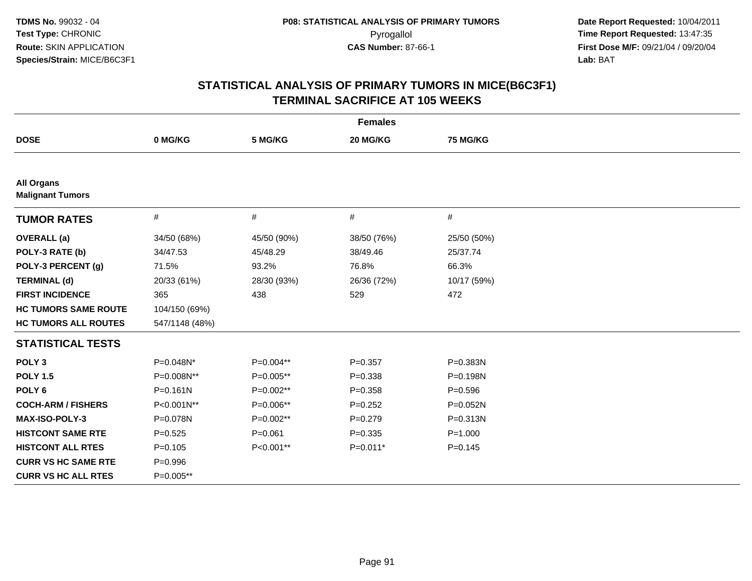| <b>Females</b>                               |                |             |             |                 |  |
|----------------------------------------------|----------------|-------------|-------------|-----------------|--|
| <b>DOSE</b>                                  | 0 MG/KG        | 5 MG/KG     | 20 MG/KG    | <b>75 MG/KG</b> |  |
|                                              |                |             |             |                 |  |
| <b>All Organs</b><br><b>Malignant Tumors</b> |                |             |             |                 |  |
| <b>TUMOR RATES</b>                           | #              | $\#$        | $\#$        | $\#$            |  |
| <b>OVERALL</b> (a)                           | 34/50 (68%)    | 45/50 (90%) | 38/50 (76%) | 25/50 (50%)     |  |
| POLY-3 RATE (b)                              | 34/47.53       | 45/48.29    | 38/49.46    | 25/37.74        |  |
| POLY-3 PERCENT (g)                           | 71.5%          | 93.2%       | 76.8%       | 66.3%           |  |
| <b>TERMINAL (d)</b>                          | 20/33 (61%)    | 28/30 (93%) | 26/36 (72%) | 10/17 (59%)     |  |
| <b>FIRST INCIDENCE</b>                       | 365            | 438         | 529         | 472             |  |
| <b>HC TUMORS SAME ROUTE</b>                  | 104/150 (69%)  |             |             |                 |  |
| <b>HC TUMORS ALL ROUTES</b>                  | 547/1148 (48%) |             |             |                 |  |
| <b>STATISTICAL TESTS</b>                     |                |             |             |                 |  |
| POLY <sub>3</sub>                            | P=0.048N*      | P=0.004**   | $P = 0.357$ | P=0.383N        |  |
| <b>POLY 1.5</b>                              | P=0.008N**     | P=0.005**   | $P = 0.338$ | P=0.198N        |  |
| POLY <sub>6</sub>                            | $P = 0.161N$   | P=0.002**   | $P = 0.358$ | $P = 0.596$     |  |
| <b>COCH-ARM / FISHERS</b>                    | P<0.001N**     | P=0.006**   | $P=0.252$   | P=0.052N        |  |
| <b>MAX-ISO-POLY-3</b>                        | P=0.078N       | $P=0.002**$ | $P = 0.279$ | $P = 0.313N$    |  |
| <b>HISTCONT SAME RTE</b>                     | $P=0.525$      | $P = 0.061$ | $P = 0.335$ | $P = 1.000$     |  |
| <b>HISTCONT ALL RTES</b>                     | $P=0.105$      | P<0.001**   | $P=0.011*$  | $P = 0.145$     |  |
| <b>CURR VS HC SAME RTE</b>                   | $P=0.996$      |             |             |                 |  |
| <b>CURR VS HC ALL RTES</b>                   | P=0.005**      |             |             |                 |  |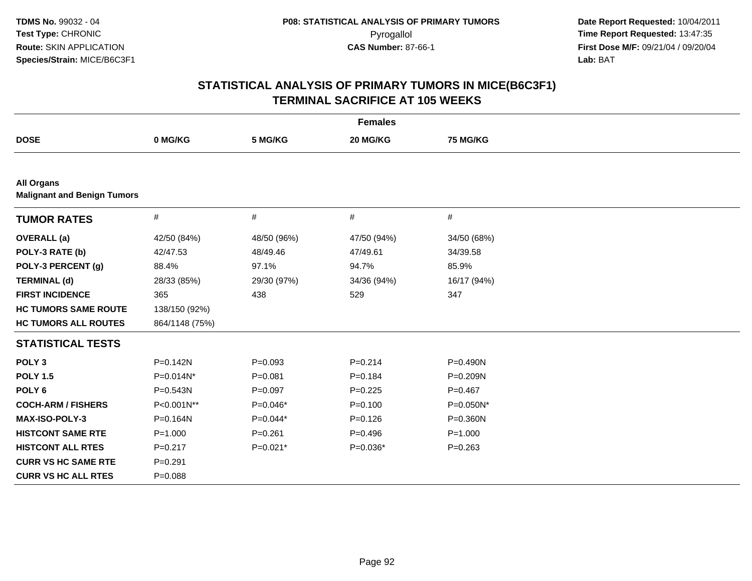| <b>Females</b>                                          |                |             |             |                 |  |
|---------------------------------------------------------|----------------|-------------|-------------|-----------------|--|
| <b>DOSE</b>                                             | 0 MG/KG        | 5 MG/KG     | 20 MG/KG    | <b>75 MG/KG</b> |  |
|                                                         |                |             |             |                 |  |
| <b>All Organs</b><br><b>Malignant and Benign Tumors</b> |                |             |             |                 |  |
| <b>TUMOR RATES</b>                                      | #              | #           | $\#$        | $\#$            |  |
| <b>OVERALL</b> (a)                                      | 42/50 (84%)    | 48/50 (96%) | 47/50 (94%) | 34/50 (68%)     |  |
| POLY-3 RATE (b)                                         | 42/47.53       | 48/49.46    | 47/49.61    | 34/39.58        |  |
| POLY-3 PERCENT (g)                                      | 88.4%          | 97.1%       | 94.7%       | 85.9%           |  |
| <b>TERMINAL (d)</b>                                     | 28/33 (85%)    | 29/30 (97%) | 34/36 (94%) | 16/17 (94%)     |  |
| <b>FIRST INCIDENCE</b>                                  | 365            | 438         | 529         | 347             |  |
| <b>HC TUMORS SAME ROUTE</b>                             | 138/150 (92%)  |             |             |                 |  |
| <b>HC TUMORS ALL ROUTES</b>                             | 864/1148 (75%) |             |             |                 |  |
| <b>STATISTICAL TESTS</b>                                |                |             |             |                 |  |
| POLY <sub>3</sub>                                       | $P = 0.142N$   | $P = 0.093$ | $P = 0.214$ | $P = 0.490N$    |  |
| <b>POLY 1.5</b>                                         | P=0.014N*      | $P = 0.081$ | $P = 0.184$ | P=0.209N        |  |
| POLY <sub>6</sub>                                       | P=0.543N       | $P=0.097$   | $P=0.225$   | $P = 0.467$     |  |
| <b>COCH-ARM / FISHERS</b>                               | P<0.001N**     | $P=0.046*$  | $P=0.100$   | P=0.050N*       |  |
| MAX-ISO-POLY-3                                          | P=0.164N       | $P=0.044*$  | $P=0.126$   | P=0.360N        |  |
| <b>HISTCONT SAME RTE</b>                                | $P = 1.000$    | $P = 0.261$ | $P=0.496$   | $P = 1.000$     |  |
| <b>HISTCONT ALL RTES</b>                                | $P=0.217$      | $P=0.021*$  | $P=0.036*$  | $P = 0.263$     |  |
| <b>CURR VS HC SAME RTE</b>                              | $P = 0.291$    |             |             |                 |  |
| <b>CURR VS HC ALL RTES</b>                              | $P = 0.088$    |             |             |                 |  |